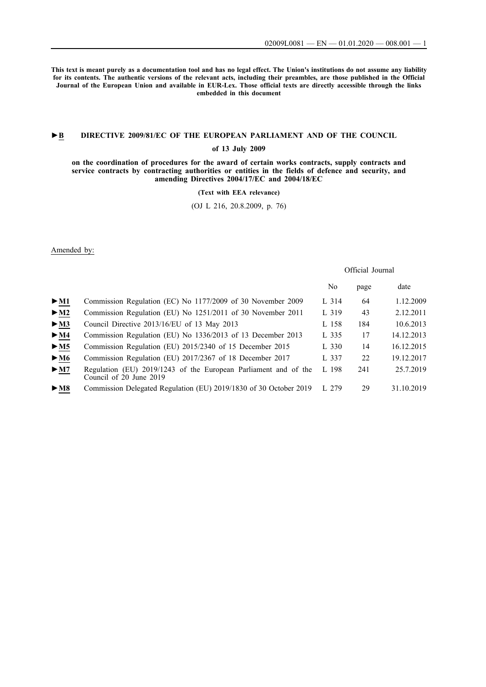**This text is meant purely as a documentation tool and has no legal effect. The Union's institutions do not assume any liability for its contents. The authentic versions of the relevant acts, including their preambles, are those published in the Official Journal of the European Union and available in EUR-Lex. Those official texts are directly accessible through the links embedded in this document**

# **►B [DIRECTIVE 2009/81/EC OF THE EUROPEAN PARLIAMENT AND OF THE COUNCIL](http://data.europa.eu/eli/dir/2009/81/oj/eng)**

# **[of 13 July 2009](http://data.europa.eu/eli/dir/2009/81/oj/eng)**

**[on the coordination of procedures for the award of certain works contracts, supply contracts and](http://data.europa.eu/eli/dir/2009/81/oj/eng) [service contracts by contracting authorities or entities in the fields of defence and security, and](http://data.europa.eu/eli/dir/2009/81/oj/eng) [amending Directives 2004/17/EC and 2004/18/EC](http://data.europa.eu/eli/dir/2009/81/oj/eng)**

# **[\(Text with EEA relevance\)](http://data.europa.eu/eli/dir/2009/81/oj/eng)**

[\(OJ L 216, 20.8.2009, p. 76\)](http://data.europa.eu/eli/dir/2009/81/oj/eng)

Amended by:

|                            |                                                                                            | UHIUM JUMHAI |      |            |
|----------------------------|--------------------------------------------------------------------------------------------|--------------|------|------------|
|                            |                                                                                            | No           | page | date       |
| $\triangleright$ <u>M1</u> | Commission Regulation (EC) No 1177/2009 of 30 November 2009                                | L 314        | 64   | 1.12.2009  |
| $\blacktriangleright$ M2   | Commission Regulation (EU) No 1251/2011 of 30 November 2011                                | L 319        | 43   | 2.12.2011  |
| $\triangleright$ <u>M3</u> | Council Directive 2013/16/EU of 13 May 2013                                                | L 158        | 184  | 10.6.2013  |
| $\blacktriangleright$ M4   | Commission Regulation (EU) No 1336/2013 of 13 December 2013                                | L 335        | 17   | 14.12.2013 |
| $\triangleright$ <u>M5</u> | Commission Regulation (EU) 2015/2340 of 15 December 2015                                   | L 330        | 14   | 16.12.2015 |
| $\blacktriangleright$ M6   | Commission Regulation (EU) 2017/2367 of 18 December 2017                                   | L 337        | 22   | 19.12.2017 |
| $\triangleright$ <u>M7</u> | Regulation (EU) 2019/1243 of the European Parliament and of the<br>Council of 20 June 2019 | $L$ 198      | 241  | 25.7.2019  |
| $>$ M8                     | Commission Delegated Regulation (EU) 2019/1830 of 30 October 2019                          | 1.279        | 29   | 31.10.2019 |

# Official Journal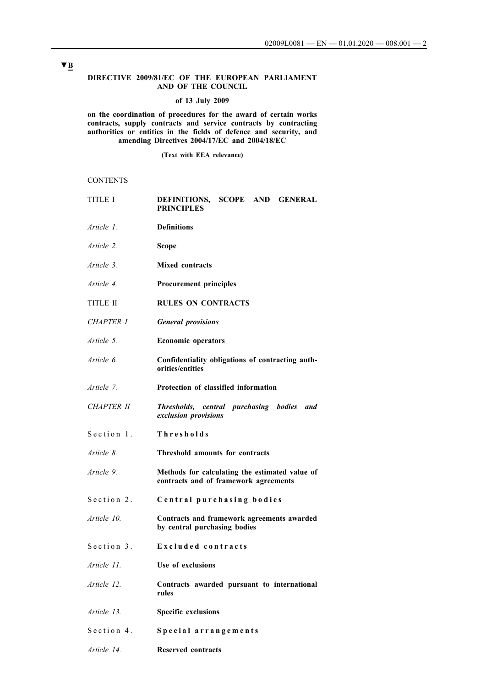# **DIRECTIVE 2009/81/EC OF THE EUROPEAN PARLIAMENT AND OF THE COUNCIL**

## **of 13 July 2009**

**on the coordination of procedures for the award of certain works contracts, supply contracts and service contracts by contracting authorities or entities in the fields of defence and security, and amending Directives 2004/17/EC and 2004/18/EC**

**(Text with EEA relevance)**

## **CONTENTS**

| <b>TITLE I</b>   | DEFINITIONS,<br><b>SCOPE</b><br>AND<br><b>GENERAL</b><br><b>PRINCIPLES</b>              |
|------------------|-----------------------------------------------------------------------------------------|
| Article 1        | <b>Definitions</b>                                                                      |
| Article 2.       | Scope                                                                                   |
| Article 3.       | <b>Mixed contracts</b>                                                                  |
| Article 4.       | <b>Procurement principles</b>                                                           |
| TITLE II         | <b>RULES ON CONTRACTS</b>                                                               |
| <i>CHAPTER I</i> | <b>General provisions</b>                                                               |
| Article 5.       | <b>Economic operators</b>                                                               |
| Article 6.       | Confidentiality obligations of contracting auth-<br>orities/entities                    |
| Article 7.       | Protection of classified information                                                    |
| CHAPTER II       | Thresholds, central purchasing bodies and<br>exclusion provisions                       |
| Section 1.       | Thresholds                                                                              |
| Article 8.       | Threshold amounts for contracts                                                         |
| Article 9.       | Methods for calculating the estimated value of<br>contracts and of framework agreements |
| Section 2.       | Central purchasing bodies                                                               |
| Article 10.      | Contracts and framework agreements awarded<br>by central purchasing bodies              |
| Section 3.       | Excluded contracts                                                                      |
| Article 11.      | Use of exclusions                                                                       |
| Article 12.      | Contracts awarded pursuant to international<br>rules                                    |
| Article 13.      | <b>Specific exclusions</b>                                                              |
| Section 4.       | Special arrangements                                                                    |
| Article 14.      | <b>Reserved contracts</b>                                                               |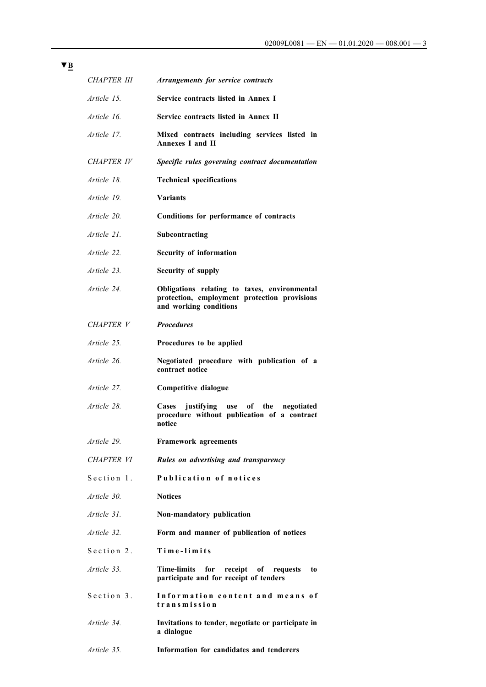| CHAPTER III       | Arrangements for service contracts                                                                                     |
|-------------------|------------------------------------------------------------------------------------------------------------------------|
| Article 15.       | Service contracts listed in Annex I                                                                                    |
| Article 16.       | <b>Service contracts listed in Annex II</b>                                                                            |
| Article 17.       | Mixed contracts including services listed in<br><b>Annexes I and II</b>                                                |
| <b>CHAPTER IV</b> | Specific rules governing contract documentation                                                                        |
| Article 18.       | <b>Technical specifications</b>                                                                                        |
| Article 19.       | <b>Variants</b>                                                                                                        |
| Article 20.       | Conditions for performance of contracts                                                                                |
| Article 21.       | Subcontracting                                                                                                         |
| Article 22.       | Security of information                                                                                                |
| Article 23.       | Security of supply                                                                                                     |
| Article 24.       | Obligations relating to taxes, environmental<br>protection, employment protection provisions<br>and working conditions |
| <i>CHAPTER V</i>  | <b>Procedures</b>                                                                                                      |
| Article 25.       | Procedures to be applied                                                                                               |
| Article 26.       | Negotiated procedure with publication of a<br>contract notice                                                          |
| Article 27.       | <b>Competitive dialogue</b>                                                                                            |
| Article 28        | Cases<br>justifying use<br>of the negotiated<br>procedure without publication of a contract<br>notice                  |
| Article 29.       | <b>Framework agreements</b>                                                                                            |
| CHAPTER VI        | Rules on advertising and transparency                                                                                  |
| Section 1.        | Publication of notices                                                                                                 |
| Article 30.       | <b>Notices</b>                                                                                                         |
| Article 31.       | Non-mandatory publication                                                                                              |
| Article 32.       | Form and manner of publication of notices                                                                              |
| Section 2.        | Time-limits                                                                                                            |
| Article 33.       | Time-limits for receipt of requests<br>to<br>participate and for receipt of tenders                                    |
| Section 3.        | Information content and means of<br>transmission                                                                       |
| Article 34.       | Invitations to tender, negotiate or participate in<br>a dialogue                                                       |
| Article 35.       | Information for candidates and tenderers                                                                               |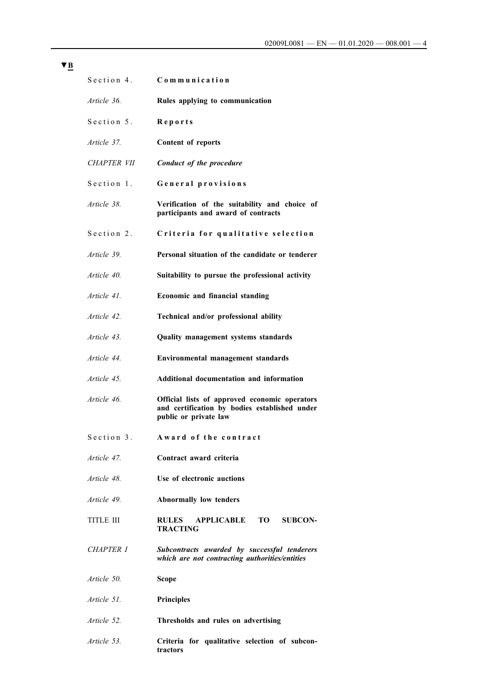| Section 4.  | Communication                                                                                                           |
|-------------|-------------------------------------------------------------------------------------------------------------------------|
| Article 36. | Rules applying to communication                                                                                         |
| Section 5.  | Reports                                                                                                                 |
| Article 37. | Content of reports                                                                                                      |
| CHAPTER VII | Conduct of the procedure                                                                                                |
| Section 1   | General provisions                                                                                                      |
| Article 38. | Verification of the suitability and choice of<br>participants and award of contracts                                    |
| Section 2.  | Criteria for qualitative selection                                                                                      |
| Article 39. | Personal situation of the candidate or tenderer                                                                         |
| Article 40. | Suitability to pursue the professional activity                                                                         |
| Article 41. | <b>Economic and financial standing</b>                                                                                  |
| Article 42. | Technical and/or professional ability                                                                                   |
| Article 43. | Quality management systems standards                                                                                    |
| Article 44. | Environmental management standards                                                                                      |
| Article 45. | Additional documentation and information                                                                                |
| Article 46  | Official lists of approved economic operators<br>and certification by bodies established under<br>public or private law |
| Section 3.  | Award of the contract                                                                                                   |
| Article 47. | Contract award criteria                                                                                                 |
| Article 48. | Use of electronic auctions                                                                                              |
| Article 49. | <b>Abnormally low tenders</b>                                                                                           |
| TITLE III   | RULES APPLICABLE<br>TO T<br><b>SUBCON-</b><br><b>TRACTING</b>                                                           |
| CHAPTER 1   | Subcontracts awarded by successful tenderers<br>which are not contracting authorities/entities                          |
| Article 50. | <b>Scope</b>                                                                                                            |
| Article 51. | <b>Principles</b>                                                                                                       |
| Article 52  | Thresholds and rules on advertising                                                                                     |
| Article 53. | Criteria for qualitative selection of subcon-<br>tractors                                                               |

**[tractors](#page-51-0)**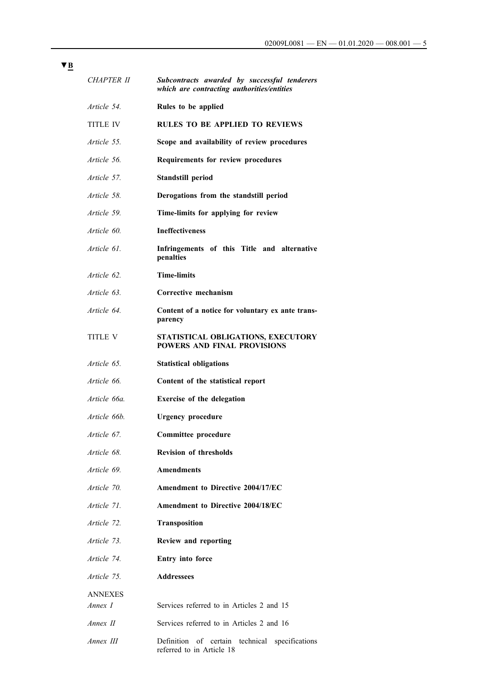| CHAPTER II                | Subcontracts awarded by successful tenderers<br>which are contracting authorities/entities |
|---------------------------|--------------------------------------------------------------------------------------------|
| Article 54.               | Rules to be applied                                                                        |
| <b>TITLE IV</b>           | <b>RULES TO BE APPLIED TO REVIEWS</b>                                                      |
| Article 55.               | Scope and availability of review procedures                                                |
| Article 56.               | <b>Requirements for review procedures</b>                                                  |
| Article 57.               | <b>Standstill period</b>                                                                   |
| Article 58.               | Derogations from the standstill period                                                     |
| Article 59.               | Time-limits for applying for review                                                        |
| Article 60.               | <b>Ineffectiveness</b>                                                                     |
| Article 61.               | Infringements of this Title and alternative<br>penalties                                   |
| Article 62.               | <b>Time-limits</b>                                                                         |
| Article 63.               | Corrective mechanism                                                                       |
| Article 64.               | Content of a notice for voluntary ex ante trans-<br>parency                                |
| <b>TITLE V</b>            | STATISTICAL OBLIGATIONS, EXECUTORY<br><b>POWERS AND FINAL PROVISIONS</b>                   |
| Article 65.               | <b>Statistical obligations</b>                                                             |
| Article 66.               | Content of the statistical report                                                          |
| Article 66a.              | <b>Exercise of the delegation</b>                                                          |
| Article 66b.              | <b>Urgency procedure</b>                                                                   |
| Article 67.               | Committee procedure                                                                        |
| Article 68.               | <b>Revision of thresholds</b>                                                              |
| Article 69.               | <b>Amendments</b>                                                                          |
| Article 70.               | Amendment to Directive 2004/17/EC                                                          |
| Article 71.               | <b>Amendment to Directive 2004/18/EC</b>                                                   |
| Article 72.               | <b>Transposition</b>                                                                       |
| Article 73.               | Review and reporting                                                                       |
| Article 74.               | Entry into force                                                                           |
| Article 75.               | <b>Addressees</b>                                                                          |
| <b>ANNEXES</b><br>Annex I | Services referred to in Articles 2 and 15                                                  |
| Annex II                  | Services referred to in Articles 2 and 16                                                  |
| Annex III                 | Definition of certain technical specifications<br>referred to in Article 18                |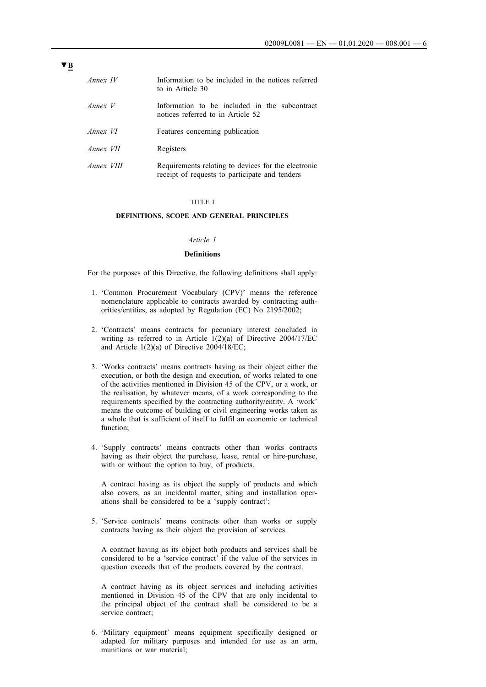<span id="page-5-0"></span>

| × | ٦ |
|---|---|
|   |   |

| Annex IV   | Information to be included in the notices referred<br>to in Article 30                                |
|------------|-------------------------------------------------------------------------------------------------------|
| Annex V    | Information to be included in the subcontract<br>notices referred to in Article 52                    |
| Annex VI   | Features concerning publication                                                                       |
| Annex VII  | Registers                                                                                             |
| Annex VIII | Requirements relating to devices for the electronic<br>receipt of requests to participate and tenders |

# TITLE I

# **DEFINITIONS, SCOPE AND GENERAL PRINCIPLES**

## *Article 1*

## **Definitions**

For the purposes of this Directive, the following definitions shall apply:

- 1. 'Common Procurement Vocabulary (CPV)' means the reference nomenclature applicable to contracts awarded by contracting authorities/entities, as adopted by Regulation (EC) No 2195/2002;
- 2. 'Contracts' means contracts for pecuniary interest concluded in writing as referred to in Article 1(2)(a) of Directive 2004/17/EC and Article 1(2)(a) of Directive 2004/18/EC;
- 3. 'Works contracts' means contracts having as their object either the execution, or both the design and execution, of works related to one of the activities mentioned in Division 45 of the CPV, or a work, or the realisation, by whatever means, of a work corresponding to the requirements specified by the contracting authority/entity. A 'work' means the outcome of building or civil engineering works taken as a whole that is sufficient of itself to fulfil an economic or technical function:
- 4. 'Supply contracts' means contracts other than works contracts having as their object the purchase, lease, rental or hire-purchase, with or without the option to buy, of products.

A contract having as its object the supply of products and which also covers, as an incidental matter, siting and installation operations shall be considered to be a 'supply contract';

5. 'Service contracts' means contracts other than works or supply contracts having as their object the provision of services.

A contract having as its object both products and services shall be considered to be a 'service contract' if the value of the services in question exceeds that of the products covered by the contract.

A contract having as its object services and including activities mentioned in Division 45 of the CPV that are only incidental to the principal object of the contract shall be considered to be a service contract;

6. 'Military equipment' means equipment specifically designed or adapted for military purposes and intended for use as an arm, munitions or war material;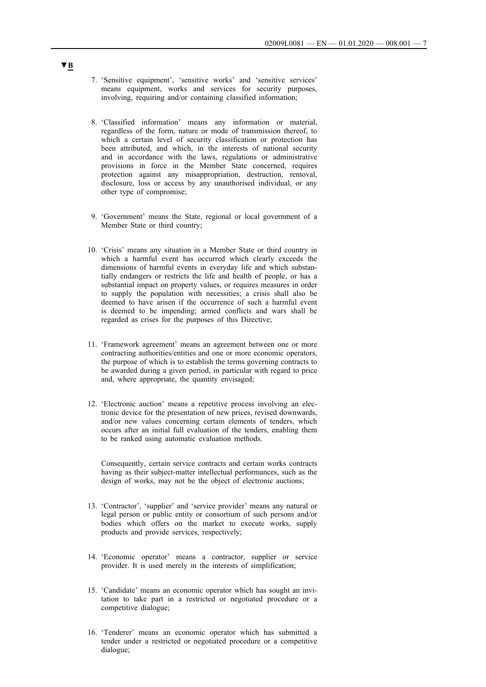- 7. 'Sensitive equipment', 'sensitive works' and 'sensitive services' means equipment, works and services for security purposes, involving, requiring and/or containing classified information;
- 8. 'Classified information' means any information or material, regardless of the form, nature or mode of transmission thereof, to which a certain level of security classification or protection has been attributed, and which, in the interests of national security and in accordance with the laws, regulations or administrative provisions in force in the Member State concerned, requires protection against any misappropriation, destruction, removal, disclosure, loss or access by any unauthorised individual, or any other type of compromise;
- 9. 'Government' means the State, regional or local government of a Member State or third country;
- 10. 'Crisis' means any situation in a Member State or third country in which a harmful event has occurred which clearly exceeds the dimensions of harmful events in everyday life and which substantially endangers or restricts the life and health of people, or has a substantial impact on property values, or requires measures in order to supply the population with necessities; a crisis shall also be deemed to have arisen if the occurrence of such a harmful event is deemed to be impending; armed conflicts and wars shall be regarded as crises for the purposes of this Directive;
- 11. 'Framework agreement' means an agreement between one or more contracting authorities/entities and one or more economic operators, the purpose of which is to establish the terms governing contracts to be awarded during a given period, in particular with regard to price and, where appropriate, the quantity envisaged;
- 12. 'Electronic auction' means a repetitive process involving an electronic device for the presentation of new prices, revised downwards, and/or new values concerning certain elements of tenders, which occurs after an initial full evaluation of the tenders, enabling them to be ranked using automatic evaluation methods.

Consequently, certain service contracts and certain works contracts having as their subject-matter intellectual performances, such as the design of works, may not be the object of electronic auctions;

- 13. 'Contractor', 'supplier' and 'service provider' means any natural or legal person or public entity or consortium of such persons and/or bodies which offers on the market to execute works, supply products and provide services, respectively;
- 14. 'Economic operator' means a contractor, supplier or service provider. It is used merely in the interests of simplification;
- 15. 'Candidate' means an economic operator which has sought an invitation to take part in a restricted or negotiated procedure or a competitive dialogue;
- 16. 'Tenderer' means an economic operator which has submitted a tender under a restricted or negotiated procedure or a competitive dialogue;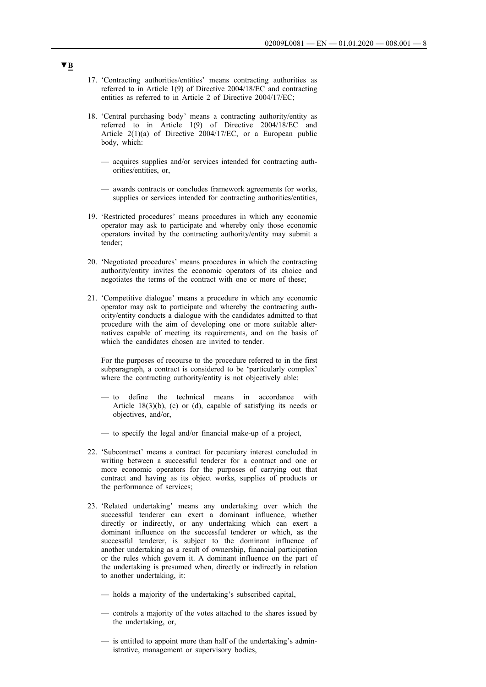- 17. 'Contracting authorities/entities' means contracting authorities as referred to in Article 1(9) of Directive 2004/18/EC and contracting entities as referred to in Article 2 of Directive 2004/17/EC;
- 18. 'Central purchasing body' means a contracting authority/entity as referred to in Article 1(9) of Directive 2004/18/EC and Article 2(1)(a) of Directive 2004/17/EC, or a European public body, which:
	- acquires supplies and/or services intended for contracting authorities/entities, or,
	- awards contracts or concludes framework agreements for works, supplies or services intended for contracting authorities/entities,
- 19. 'Restricted procedures' means procedures in which any economic operator may ask to participate and whereby only those economic operators invited by the contracting authority/entity may submit a tender;
- 20. 'Negotiated procedures' means procedures in which the contracting authority/entity invites the economic operators of its choice and negotiates the terms of the contract with one or more of these;
- 21. 'Competitive dialogue' means a procedure in which any economic operator may ask to participate and whereby the contracting authority/entity conducts a dialogue with the candidates admitted to that procedure with the aim of developing one or more suitable alternatives capable of meeting its requirements, and on the basis of which the candidates chosen are invited to tender.

For the purposes of recourse to the procedure referred to in the first subparagraph, a contract is considered to be 'particularly complex' where the contracting authority/entity is not objectively able:

- to define the technical means in accordance with Article  $18(3)(b)$ , (c) or (d), capable of satisfying its needs or objectives, and/or,
- to specify the legal and/or financial make-up of a project,
- 22. 'Subcontract' means a contract for pecuniary interest concluded in writing between a successful tenderer for a contract and one or more economic operators for the purposes of carrying out that contract and having as its object works, supplies of products or the performance of services;
- 23. 'Related undertaking' means any undertaking over which the successful tenderer can exert a dominant influence, whether directly or indirectly, or any undertaking which can exert a dominant influence on the successful tenderer or which, as the successful tenderer, is subject to the dominant influence of another undertaking as a result of ownership, financial participation or the rules which govern it. A dominant influence on the part of the undertaking is presumed when, directly or indirectly in relation to another undertaking, it:
	- holds a majority of the undertaking's subscribed capital,
	- controls a majority of the votes attached to the shares issued by the undertaking, or,
	- is entitled to appoint more than half of the undertaking's administrative, management or supervisory bodies,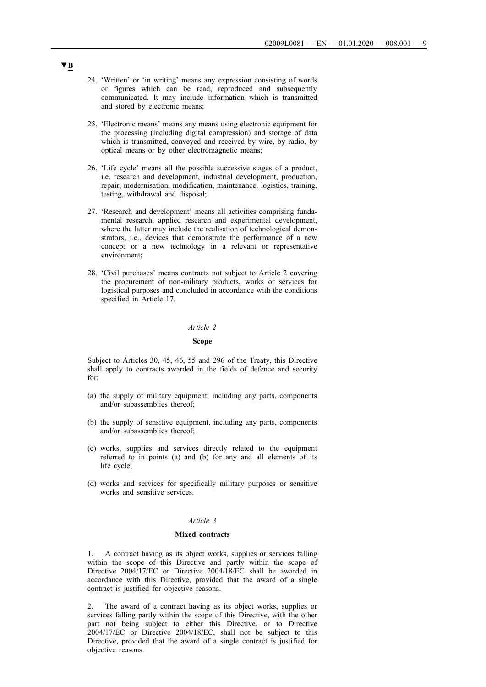- <span id="page-8-0"></span>24. 'Written' or 'in writing' means any expression consisting of words or figures which can be read, reproduced and subsequently communicated. It may include information which is transmitted and stored by electronic means;
- 25. 'Electronic means' means any means using electronic equipment for the processing (including digital compression) and storage of data which is transmitted, conveyed and received by wire, by radio, by optical means or by other electromagnetic means;
- 26. 'Life cycle' means all the possible successive stages of a product, i.e. research and development, industrial development, production, repair, modernisation, modification, maintenance, logistics, training, testing, withdrawal and disposal;
- 27. 'Research and development' means all activities comprising fundamental research, applied research and experimental development, where the latter may include the realisation of technological demonstrators, i.e., devices that demonstrate the performance of a new concept or a new technology in a relevant or representative environment;
- 28. 'Civil purchases' means contracts not subject to Article 2 covering the procurement of non-military products, works or services for logistical purposes and concluded in accordance with the conditions specified in Article 17.

### *Article 2*

## **Scope**

Subject to Articles 30, 45, 46, 55 and 296 of the Treaty, this Directive shall apply to contracts awarded in the fields of defence and security for:

- (a) the supply of military equipment, including any parts, components and/or subassemblies thereof;
- (b) the supply of sensitive equipment, including any parts, components and/or subassemblies thereof;
- (c) works, supplies and services directly related to the equipment referred to in points (a) and (b) for any and all elements of its life cycle;
- (d) works and services for specifically military purposes or sensitive works and sensitive services.

## *Article 3*

## **Mixed contracts**

1. A contract having as its object works, supplies or services falling within the scope of this Directive and partly within the scope of Directive 2004/17/EC or Directive 2004/18/EC shall be awarded in accordance with this Directive, provided that the award of a single contract is justified for objective reasons.

2. The award of a contract having as its object works, supplies or services falling partly within the scope of this Directive, with the other part not being subject to either this Directive, or to Directive 2004/17/EC or Directive 2004/18/EC, shall not be subject to this Directive, provided that the award of a single contract is justified for objective reasons.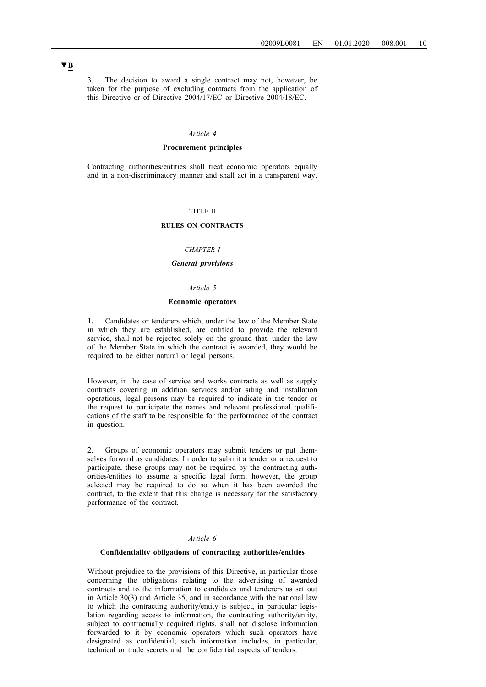<span id="page-9-0"></span>3. The decision to award a single contract may not, however, be taken for the purpose of excluding contracts from the application of this Directive or of Directive 2004/17/EC or Directive 2004/18/EC.

# *Article 4*

## **Procurement principles**

Contracting authorities/entities shall treat economic operators equally and in a non-discriminatory manner and shall act in a transparent way.

## TITLE II

### **RULES ON CONTRACTS**

# *CHAPTER I*

## *General provisions*

#### *Article 5*

#### **Economic operators**

1. Candidates or tenderers which, under the law of the Member State in which they are established, are entitled to provide the relevant service, shall not be rejected solely on the ground that, under the law of the Member State in which the contract is awarded, they would be required to be either natural or legal persons.

However, in the case of service and works contracts as well as supply contracts covering in addition services and/or siting and installation operations, legal persons may be required to indicate in the tender or the request to participate the names and relevant professional qualifications of the staff to be responsible for the performance of the contract in question.

2. Groups of economic operators may submit tenders or put themselves forward as candidates. In order to submit a tender or a request to participate, these groups may not be required by the contracting authorities/entities to assume a specific legal form; however, the group selected may be required to do so when it has been awarded the contract, to the extent that this change is necessary for the satisfactory performance of the contract.

## *Article 6*

### **Confidentiality obligations of contracting authorities/entities**

Without prejudice to the provisions of this Directive, in particular those concerning the obligations relating to the advertising of awarded contracts and to the information to candidates and tenderers as set out in Article 30(3) and Article 35, and in accordance with the national law to which the contracting authority/entity is subject, in particular legislation regarding access to information, the contracting authority/entity, subject to contractually acquired rights, shall not disclose information forwarded to it by economic operators which such operators have designated as confidential; such information includes, in particular, technical or trade secrets and the confidential aspects of tenders.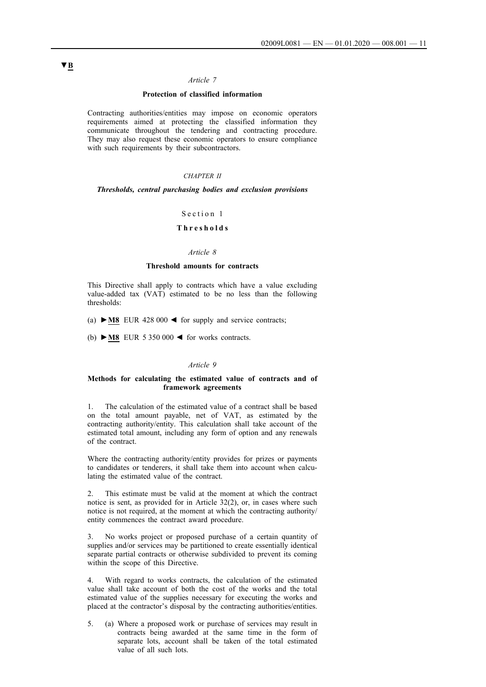# *Article 7*

# **Protection of classified information**

<span id="page-10-0"></span>Contracting authorities/entities may impose on economic operators requirements aimed at protecting the classified information they communicate throughout the tendering and contracting procedure. They may also request these economic operators to ensure compliance with such requirements by their subcontractors.

## *CHAPTER II*

#### *Thresholds, central purchasing bodies and exclusion provisions*

# Section 1

# **T h r e s h o l d s**

## *Article 8*

### **Threshold amounts for contracts**

This Directive shall apply to contracts which have a value excluding value-added tax (VAT) estimated to be no less than the following thresholds:

- (a) **►M8** EUR 428 000 ◄ for supply and service contracts;
- (b) **►M8** EUR 5 350 000 ◄ for works contracts.

### *Article 9*

### **Methods for calculating the estimated value of contracts and of framework agreements**

1. The calculation of the estimated value of a contract shall be based on the total amount payable, net of VAT, as estimated by the contracting authority/entity. This calculation shall take account of the estimated total amount, including any form of option and any renewals of the contract.

Where the contracting authority/entity provides for prizes or payments to candidates or tenderers, it shall take them into account when calculating the estimated value of the contract.

2. This estimate must be valid at the moment at which the contract notice is sent, as provided for in Article 32(2), or, in cases where such notice is not required, at the moment at which the contracting authority/ entity commences the contract award procedure.

3. No works project or proposed purchase of a certain quantity of supplies and/or services may be partitioned to create essentially identical separate partial contracts or otherwise subdivided to prevent its coming within the scope of this Directive.

With regard to works contracts, the calculation of the estimated value shall take account of both the cost of the works and the total estimated value of the supplies necessary for executing the works and placed at the contractor's disposal by the contracting authorities/entities.

5. (a) Where a proposed work or purchase of services may result in contracts being awarded at the same time in the form of separate lots, account shall be taken of the total estimated value of all such lots.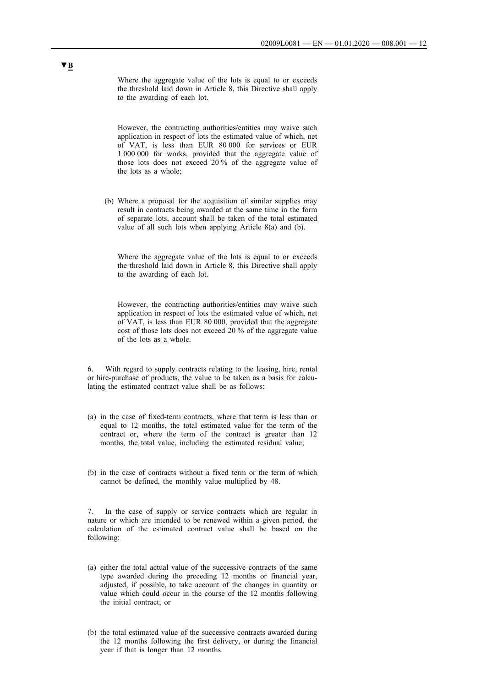Where the aggregate value of the lots is equal to or exceeds the threshold laid down in Article 8, this Directive shall apply to the awarding of each lot.

However, the contracting authorities/entities may waive such application in respect of lots the estimated value of which, net of VAT, is less than EUR 80 000 for services or EUR 1 000 000 for works, provided that the aggregate value of those lots does not exceed 20 % of the aggregate value of the lots as a whole;

(b) Where a proposal for the acquisition of similar supplies may result in contracts being awarded at the same time in the form of separate lots, account shall be taken of the total estimated value of all such lots when applying Article 8(a) and (b).

Where the aggregate value of the lots is equal to or exceeds the threshold laid down in Article 8, this Directive shall apply to the awarding of each lot.

However, the contracting authorities/entities may waive such application in respect of lots the estimated value of which, net of VAT, is less than EUR 80 000, provided that the aggregate cost of those lots does not exceed 20 % of the aggregate value of the lots as a whole.

6. With regard to supply contracts relating to the leasing, hire, rental or hire-purchase of products, the value to be taken as a basis for calculating the estimated contract value shall be as follows:

- (a) in the case of fixed-term contracts, where that term is less than or equal to 12 months, the total estimated value for the term of the contract or, where the term of the contract is greater than 12 months, the total value, including the estimated residual value;
- (b) in the case of contracts without a fixed term or the term of which cannot be defined, the monthly value multiplied by 48.

7. In the case of supply or service contracts which are regular in nature or which are intended to be renewed within a given period, the calculation of the estimated contract value shall be based on the following:

- (a) either the total actual value of the successive contracts of the same type awarded during the preceding 12 months or financial year, adjusted, if possible, to take account of the changes in quantity or value which could occur in the course of the 12 months following the initial contract; or
- (b) the total estimated value of the successive contracts awarded during the 12 months following the first delivery, or during the financial year if that is longer than 12 months.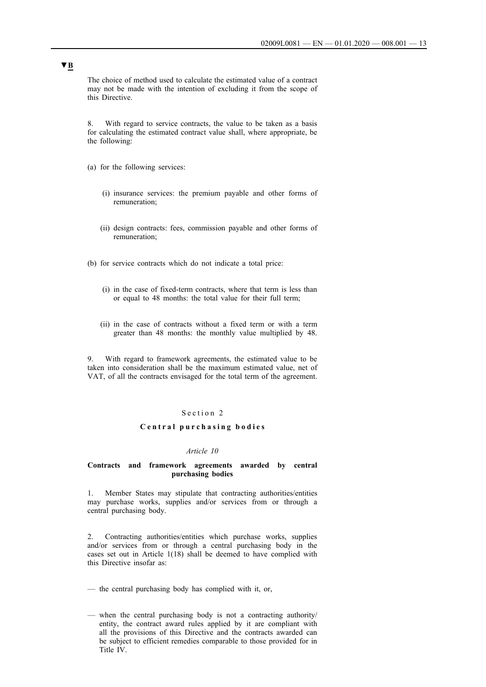<span id="page-12-0"></span>The choice of method used to calculate the estimated value of a contract may not be made with the intention of excluding it from the scope of this Directive.

8. With regard to service contracts, the value to be taken as a basis for calculating the estimated contract value shall, where appropriate, be the following:

- (a) for the following services:
	- (i) insurance services: the premium payable and other forms of remuneration;
	- (ii) design contracts: fees, commission payable and other forms of remuneration;
- (b) for service contracts which do not indicate a total price:
	- (i) in the case of fixed-term contracts, where that term is less than or equal to 48 months: the total value for their full term;
	- (ii) in the case of contracts without a fixed term or with a term greater than 48 months: the monthly value multiplied by 48.

9. With regard to framework agreements, the estimated value to be taken into consideration shall be the maximum estimated value, net of VAT, of all the contracts envisaged for the total term of the agreement.

# Section 2

## C entral purchasing bodies

## *Article 10*

## **Contracts and framework agreements awarded by central purchasing bodies**

1. Member States may stipulate that contracting authorities/entities may purchase works, supplies and/or services from or through a central purchasing body.

2. Contracting authorities/entities which purchase works, supplies and/or services from or through a central purchasing body in the cases set out in Article 1(18) shall be deemed to have complied with this Directive insofar as:

- the central purchasing body has complied with it, or,
- when the central purchasing body is not a contracting authority/ entity, the contract award rules applied by it are compliant with all the provisions of this Directive and the contracts awarded can be subject to efficient remedies comparable to those provided for in Title IV.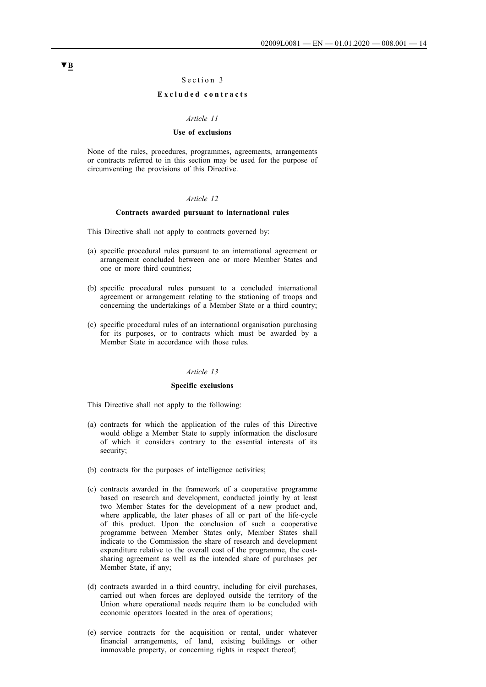# Section 3

## **E x c l u d e d c o n t r a c t s**

#### *Article 11*

## **Use of exclusions**

<span id="page-13-0"></span>None of the rules, procedures, programmes, agreements, arrangements or contracts referred to in this section may be used for the purpose of circumventing the provisions of this Directive.

#### *Article 12*

## **Contracts awarded pursuant to international rules**

This Directive shall not apply to contracts governed by:

- (a) specific procedural rules pursuant to an international agreement or arrangement concluded between one or more Member States and one or more third countries;
- (b) specific procedural rules pursuant to a concluded international agreement or arrangement relating to the stationing of troops and concerning the undertakings of a Member State or a third country;
- (c) specific procedural rules of an international organisation purchasing for its purposes, or to contracts which must be awarded by a Member State in accordance with those rules.

## *Article 13*

#### **Specific exclusions**

This Directive shall not apply to the following:

- (a) contracts for which the application of the rules of this Directive would oblige a Member State to supply information the disclosure of which it considers contrary to the essential interests of its security;
- (b) contracts for the purposes of intelligence activities;
- (c) contracts awarded in the framework of a cooperative programme based on research and development, conducted jointly by at least two Member States for the development of a new product and, where applicable, the later phases of all or part of the life-cycle of this product. Upon the conclusion of such a cooperative programme between Member States only, Member States shall indicate to the Commission the share of research and development expenditure relative to the overall cost of the programme, the costsharing agreement as well as the intended share of purchases per Member State, if any;
- (d) contracts awarded in a third country, including for civil purchases, carried out when forces are deployed outside the territory of the Union where operational needs require them to be concluded with economic operators located in the area of operations;
- (e) service contracts for the acquisition or rental, under whatever financial arrangements, of land, existing buildings or other immovable property, or concerning rights in respect thereof;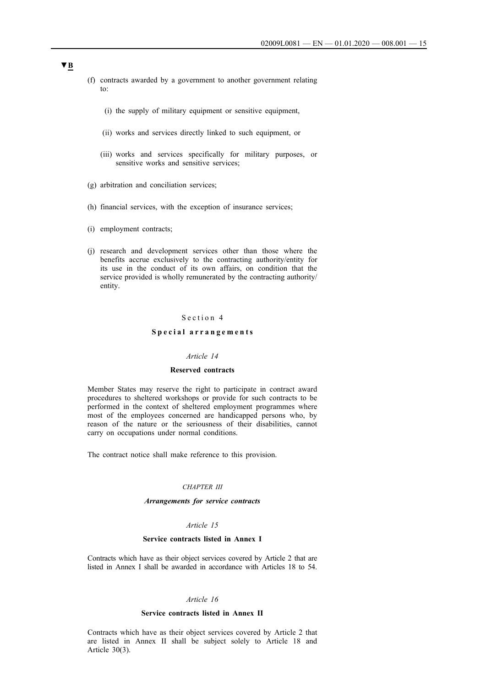- <span id="page-14-0"></span>(f) contracts awarded by a government to another government relating to:
	- (i) the supply of military equipment or sensitive equipment,
	- (ii) works and services directly linked to such equipment, or
	- (iii) works and services specifically for military purposes, or sensitive works and sensitive services;
- (g) arbitration and conciliation services;
- (h) financial services, with the exception of insurance services;
- (i) employment contracts;
- (j) research and development services other than those where the benefits accrue exclusively to the contracting authority/entity for its use in the conduct of its own affairs, on condition that the service provided is wholly remunerated by the contracting authority/ entity.

## Section 4

# **S p e c i a l a r r a n g e m e n t s**

# *Article 14*

# **Reserved contracts**

Member States may reserve the right to participate in contract award procedures to sheltered workshops or provide for such contracts to be performed in the context of sheltered employment programmes where most of the employees concerned are handicapped persons who, by reason of the nature or the seriousness of their disabilities, cannot carry on occupations under normal conditions.

The contract notice shall make reference to this provision.

## *CHAPTER III*

#### *Arrangements for service contracts*

# *Article 15*

## **Service contracts listed in Annex I**

Contracts which have as their object services covered by Article 2 that are listed in Annex I shall be awarded in accordance with Articles 18 to 54.

#### *Article 16*

### **Service contracts listed in Annex II**

Contracts which have as their object services covered by Article 2 that are listed in Annex II shall be subject solely to Article 18 and Article 30(3).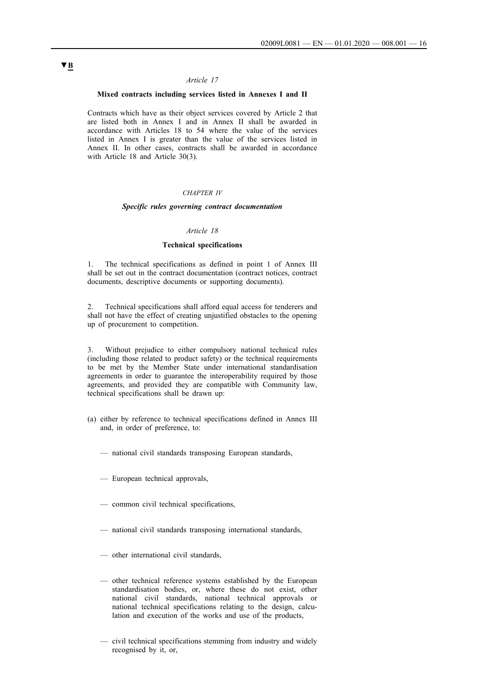#### *Article 17*

# <span id="page-15-0"></span>**Mixed contracts including services listed in Annexes I and II**

Contracts which have as their object services covered by Article 2 that are listed both in Annex I and in Annex II shall be awarded in accordance with Articles 18 to 54 where the value of the services listed in Annex I is greater than the value of the services listed in Annex II. In other cases, contracts shall be awarded in accordance with Article 18 and Article 30(3).

# *CHAPTER IV*

### *Specific rules governing contract documentation*

### *Article 18*

# **Technical specifications**

1. The technical specifications as defined in point 1 of Annex III shall be set out in the contract documentation (contract notices, contract documents, descriptive documents or supporting documents).

2. Technical specifications shall afford equal access for tenderers and shall not have the effect of creating unjustified obstacles to the opening up of procurement to competition.

3. Without prejudice to either compulsory national technical rules (including those related to product safety) or the technical requirements to be met by the Member State under international standardisation agreements in order to guarantee the interoperability required by those agreements, and provided they are compatible with Community law, technical specifications shall be drawn up:

- (a) either by reference to technical specifications defined in Annex III and, in order of preference, to:
	- national civil standards transposing European standards,
	- European technical approvals,
	- common civil technical specifications,
	- national civil standards transposing international standards,
	- other international civil standards,
	- other technical reference systems established by the European standardisation bodies, or, where these do not exist, other national civil standards, national technical approvals or national technical specifications relating to the design, calculation and execution of the works and use of the products,
	- civil technical specifications stemming from industry and widely recognised by it, or,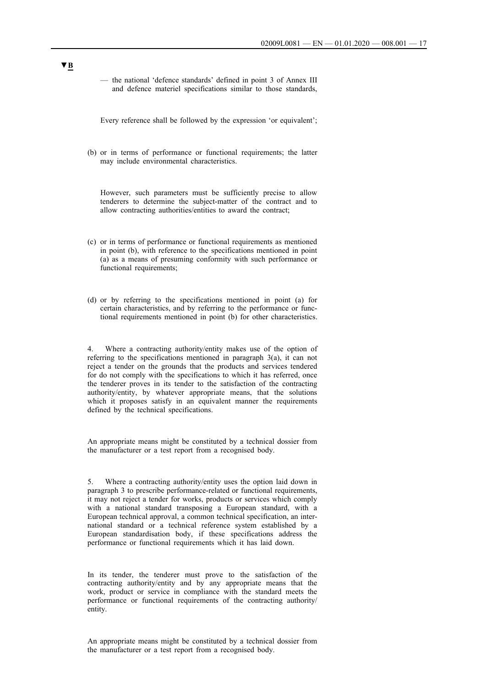— the national 'defence standards' defined in point 3 of Annex III and defence materiel specifications similar to those standards,

Every reference shall be followed by the expression 'or equivalent';

(b) or in terms of performance or functional requirements; the latter may include environmental characteristics.

However, such parameters must be sufficiently precise to allow tenderers to determine the subject-matter of the contract and to allow contracting authorities/entities to award the contract;

- (c) or in terms of performance or functional requirements as mentioned in point (b), with reference to the specifications mentioned in point (a) as a means of presuming conformity with such performance or functional requirements;
- (d) or by referring to the specifications mentioned in point (a) for certain characteristics, and by referring to the performance or functional requirements mentioned in point (b) for other characteristics.

4. Where a contracting authority/entity makes use of the option of referring to the specifications mentioned in paragraph 3(a), it can not reject a tender on the grounds that the products and services tendered for do not comply with the specifications to which it has referred, once the tenderer proves in its tender to the satisfaction of the contracting authority/entity, by whatever appropriate means, that the solutions which it proposes satisfy in an equivalent manner the requirements defined by the technical specifications.

An appropriate means might be constituted by a technical dossier from the manufacturer or a test report from a recognised body.

5. Where a contracting authority/entity uses the option laid down in paragraph 3 to prescribe performance-related or functional requirements, it may not reject a tender for works, products or services which comply with a national standard transposing a European standard, with a European technical approval, a common technical specification, an international standard or a technical reference system established by a European standardisation body, if these specifications address the performance or functional requirements which it has laid down.

In its tender, the tenderer must prove to the satisfaction of the contracting authority/entity and by any appropriate means that the work, product or service in compliance with the standard meets the performance or functional requirements of the contracting authority/ entity.

An appropriate means might be constituted by a technical dossier from the manufacturer or a test report from a recognised body.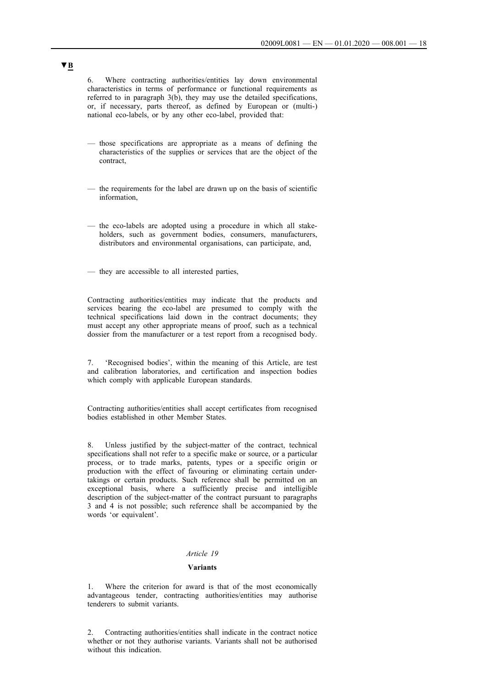<span id="page-17-0"></span>6. Where contracting authorities/entities lay down environmental characteristics in terms of performance or functional requirements as referred to in paragraph  $3(b)$ , they may use the detailed specifications, or, if necessary, parts thereof, as defined by European or (multi-) national eco-labels, or by any other eco-label, provided that:

- those specifications are appropriate as a means of defining the characteristics of the supplies or services that are the object of the contract,
- the requirements for the label are drawn up on the basis of scientific information,
- the eco-labels are adopted using a procedure in which all stakeholders, such as government bodies, consumers, manufacturers, distributors and environmental organisations, can participate, and,
- they are accessible to all interested parties,

Contracting authorities/entities may indicate that the products and services bearing the eco-label are presumed to comply with the technical specifications laid down in the contract documents; they must accept any other appropriate means of proof, such as a technical dossier from the manufacturer or a test report from a recognised body.

7. 'Recognised bodies', within the meaning of this Article, are test and calibration laboratories, and certification and inspection bodies which comply with applicable European standards.

Contracting authorities/entities shall accept certificates from recognised bodies established in other Member States.

8. Unless justified by the subject-matter of the contract, technical specifications shall not refer to a specific make or source, or a particular process, or to trade marks, patents, types or a specific origin or production with the effect of favouring or eliminating certain undertakings or certain products. Such reference shall be permitted on an exceptional basis, where a sufficiently precise and intelligible description of the subject-matter of the contract pursuant to paragraphs 3 and 4 is not possible; such reference shall be accompanied by the words 'or equivalent'.

#### *Article 19*

#### **Variants**

1. Where the criterion for award is that of the most economically advantageous tender, contracting authorities/entities may authorise tenderers to submit variants.

2. Contracting authorities/entities shall indicate in the contract notice whether or not they authorise variants. Variants shall not be authorised without this indication.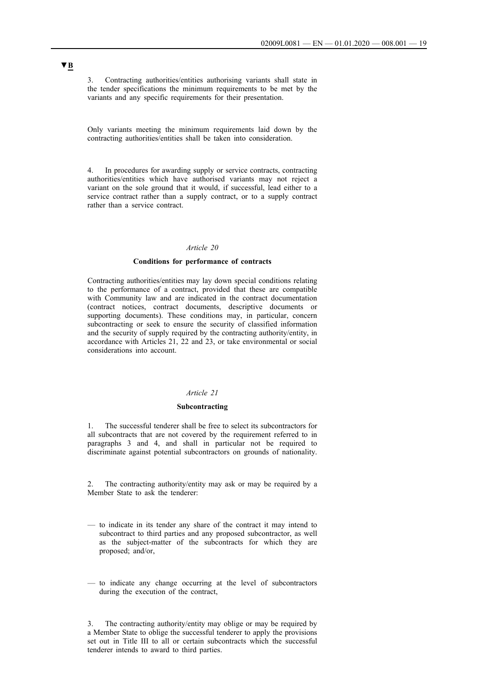<span id="page-18-0"></span>3. Contracting authorities/entities authorising variants shall state in the tender specifications the minimum requirements to be met by the variants and any specific requirements for their presentation.

Only variants meeting the minimum requirements laid down by the contracting authorities/entities shall be taken into consideration.

4. In procedures for awarding supply or service contracts, contracting authorities/entities which have authorised variants may not reject a variant on the sole ground that it would, if successful, lead either to a service contract rather than a supply contract, or to a supply contract rather than a service contract.

# *Article 20*

# **Conditions for performance of contracts**

Contracting authorities/entities may lay down special conditions relating to the performance of a contract, provided that these are compatible with Community law and are indicated in the contract documentation (contract notices, contract documents, descriptive documents or supporting documents). These conditions may, in particular, concern subcontracting or seek to ensure the security of classified information and the security of supply required by the contracting authority/entity, in accordance with Articles 21, 22 and 23, or take environmental or social considerations into account.

# *Article 21*

#### **Subcontracting**

1. The successful tenderer shall be free to select its subcontractors for all subcontracts that are not covered by the requirement referred to in paragraphs 3 and 4, and shall in particular not be required to discriminate against potential subcontractors on grounds of nationality.

2. The contracting authority/entity may ask or may be required by a Member State to ask the tenderer:

- to indicate in its tender any share of the contract it may intend to subcontract to third parties and any proposed subcontractor, as well as the subject-matter of the subcontracts for which they are proposed; and/or,
- to indicate any change occurring at the level of subcontractors during the execution of the contract,

3. The contracting authority/entity may oblige or may be required by a Member State to oblige the successful tenderer to apply the provisions set out in Title III to all or certain subcontracts which the successful tenderer intends to award to third parties.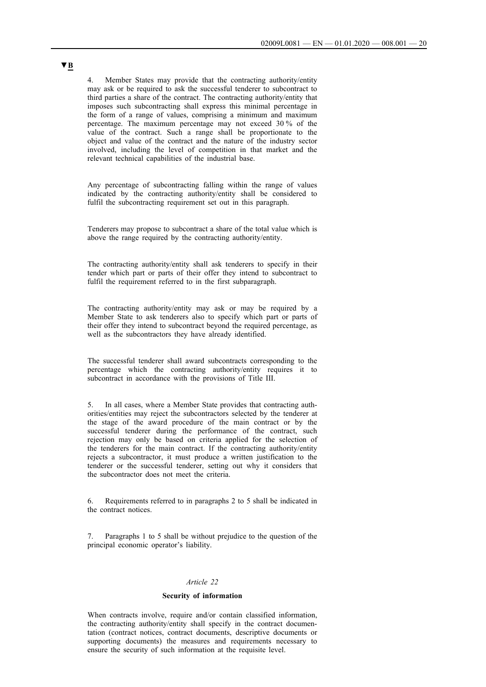<span id="page-19-0"></span>4. Member States may provide that the contracting authority/entity may ask or be required to ask the successful tenderer to subcontract to third parties a share of the contract. The contracting authority/entity that imposes such subcontracting shall express this minimal percentage in the form of a range of values, comprising a minimum and maximum percentage. The maximum percentage may not exceed 30 % of the value of the contract. Such a range shall be proportionate to the object and value of the contract and the nature of the industry sector involved, including the level of competition in that market and the relevant technical capabilities of the industrial base.

Any percentage of subcontracting falling within the range of values indicated by the contracting authority/entity shall be considered to fulfil the subcontracting requirement set out in this paragraph.

Tenderers may propose to subcontract a share of the total value which is above the range required by the contracting authority/entity.

The contracting authority/entity shall ask tenderers to specify in their tender which part or parts of their offer they intend to subcontract to fulfil the requirement referred to in the first subparagraph.

The contracting authority/entity may ask or may be required by a Member State to ask tenderers also to specify which part or parts of their offer they intend to subcontract beyond the required percentage, as well as the subcontractors they have already identified.

The successful tenderer shall award subcontracts corresponding to the percentage which the contracting authority/entity requires it to subcontract in accordance with the provisions of Title III.

5. In all cases, where a Member State provides that contracting authorities/entities may reject the subcontractors selected by the tenderer at the stage of the award procedure of the main contract or by the successful tenderer during the performance of the contract, such rejection may only be based on criteria applied for the selection of the tenderers for the main contract. If the contracting authority/entity rejects a subcontractor, it must produce a written justification to the tenderer or the successful tenderer, setting out why it considers that the subcontractor does not meet the criteria.

6. Requirements referred to in paragraphs 2 to 5 shall be indicated in the contract notices.

7. Paragraphs 1 to 5 shall be without prejudice to the question of the principal economic operator's liability.

#### *Article 22*

### **Security of information**

When contracts involve, require and/or contain classified information, the contracting authority/entity shall specify in the contract documentation (contract notices, contract documents, descriptive documents or supporting documents) the measures and requirements necessary to ensure the security of such information at the requisite level.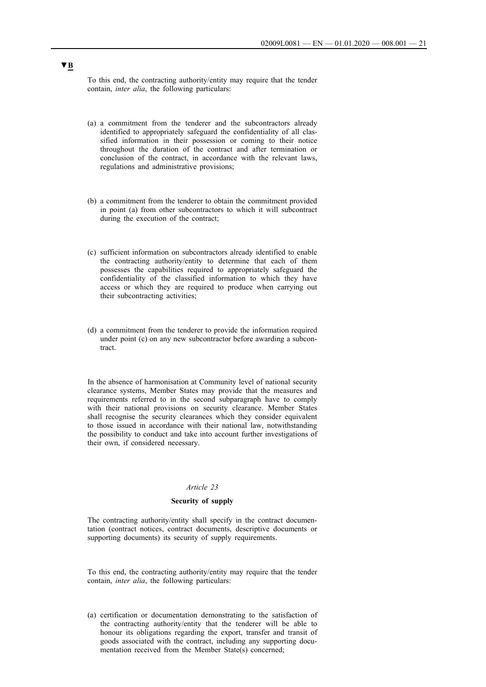<span id="page-20-0"></span>To this end, the contracting authority/entity may require that the tender contain, *inter alia*, the following particulars:

- (a) a commitment from the tenderer and the subcontractors already identified to appropriately safeguard the confidentiality of all classified information in their possession or coming to their notice throughout the duration of the contract and after termination or conclusion of the contract, in accordance with the relevant laws, regulations and administrative provisions;
- (b) a commitment from the tenderer to obtain the commitment provided in point (a) from other subcontractors to which it will subcontract during the execution of the contract;
- (c) sufficient information on subcontractors already identified to enable the contracting authority/entity to determine that each of them possesses the capabilities required to appropriately safeguard the confidentiality of the classified information to which they have access or which they are required to produce when carrying out their subcontracting activities;
- (d) a commitment from the tenderer to provide the information required under point (c) on any new subcontractor before awarding a subcontract.

In the absence of harmonisation at Community level of national security clearance systems, Member States may provide that the measures and requirements referred to in the second subparagraph have to comply with their national provisions on security clearance. Member States shall recognise the security clearances which they consider equivalent to those issued in accordance with their national law, notwithstanding the possibility to conduct and take into account further investigations of their own, if considered necessary.

### *Article 23*

# **Security of supply**

The contracting authority/entity shall specify in the contract documentation (contract notices, contract documents, descriptive documents or supporting documents) its security of supply requirements.

To this end, the contracting authority/entity may require that the tender contain, *inter alia*, the following particulars:

(a) certification or documentation demonstrating to the satisfaction of the contracting authority/entity that the tenderer will be able to honour its obligations regarding the export, transfer and transit of goods associated with the contract, including any supporting documentation received from the Member State(s) concerned;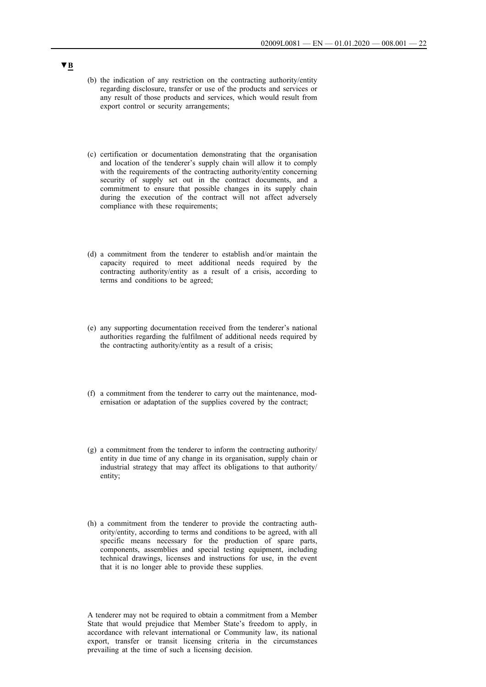- (b) the indication of any restriction on the contracting authority/entity regarding disclosure, transfer or use of the products and services or any result of those products and services, which would result from export control or security arrangements;
- (c) certification or documentation demonstrating that the organisation and location of the tenderer's supply chain will allow it to comply with the requirements of the contracting authority/entity concerning security of supply set out in the contract documents, and a commitment to ensure that possible changes in its supply chain during the execution of the contract will not affect adversely compliance with these requirements;
- (d) a commitment from the tenderer to establish and/or maintain the capacity required to meet additional needs required by the contracting authority/entity as a result of a crisis, according to terms and conditions to be agreed;
- (e) any supporting documentation received from the tenderer's national authorities regarding the fulfilment of additional needs required by the contracting authority/entity as a result of a crisis;
- (f) a commitment from the tenderer to carry out the maintenance, modernisation or adaptation of the supplies covered by the contract;
- (g) a commitment from the tenderer to inform the contracting authority/ entity in due time of any change in its organisation, supply chain or industrial strategy that may affect its obligations to that authority/ entity;
- (h) a commitment from the tenderer to provide the contracting authority/entity, according to terms and conditions to be agreed, with all specific means necessary for the production of spare parts, components, assemblies and special testing equipment, including technical drawings, licenses and instructions for use, in the event that it is no longer able to provide these supplies.

A tenderer may not be required to obtain a commitment from a Member State that would prejudice that Member State's freedom to apply, in accordance with relevant international or Community law, its national export, transfer or transit licensing criteria in the circumstances prevailing at the time of such a licensing decision.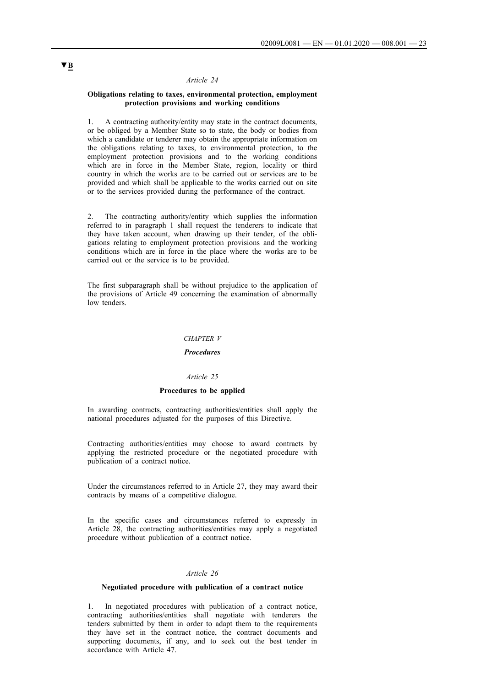# *Article 24*

## <span id="page-22-0"></span>**Obligations relating to taxes, environmental protection, employment protection provisions and working conditions**

1. A contracting authority/entity may state in the contract documents, or be obliged by a Member State so to state, the body or bodies from which a candidate or tenderer may obtain the appropriate information on the obligations relating to taxes, to environmental protection, to the employment protection provisions and to the working conditions which are in force in the Member State, region, locality or third country in which the works are to be carried out or services are to be provided and which shall be applicable to the works carried out on site or to the services provided during the performance of the contract.

2. The contracting authority/entity which supplies the information referred to in paragraph 1 shall request the tenderers to indicate that they have taken account, when drawing up their tender, of the obligations relating to employment protection provisions and the working conditions which are in force in the place where the works are to be carried out or the service is to be provided.

The first subparagraph shall be without prejudice to the application of the provisions of Article 49 concerning the examination of abnormally low tenders.

#### *CHAPTER V*

#### *Procedures*

#### *Article 25*

#### **Procedures to be applied**

In awarding contracts, contracting authorities/entities shall apply the national procedures adjusted for the purposes of this Directive.

Contracting authorities/entities may choose to award contracts by applying the restricted procedure or the negotiated procedure with publication of a contract notice.

Under the circumstances referred to in Article 27, they may award their contracts by means of a competitive dialogue.

In the specific cases and circumstances referred to expressly in Article 28, the contracting authorities/entities may apply a negotiated procedure without publication of a contract notice.

## *Article 26*

## **Negotiated procedure with publication of a contract notice**

1. In negotiated procedures with publication of a contract notice, contracting authorities/entities shall negotiate with tenderers the tenders submitted by them in order to adapt them to the requirements they have set in the contract notice, the contract documents and supporting documents, if any, and to seek out the best tender in accordance with Article 47.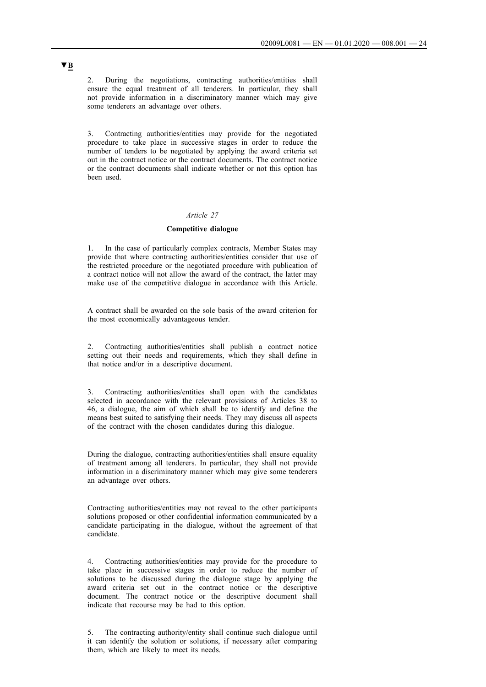<span id="page-23-0"></span>2. During the negotiations, contracting authorities/entities shall ensure the equal treatment of all tenderers. In particular, they shall not provide information in a discriminatory manner which may give some tenderers an advantage over others.

3. Contracting authorities/entities may provide for the negotiated procedure to take place in successive stages in order to reduce the number of tenders to be negotiated by applying the award criteria set out in the contract notice or the contract documents. The contract notice or the contract documents shall indicate whether or not this option has been used.

### *Article 27*

## **Competitive dialogue**

1. In the case of particularly complex contracts, Member States may provide that where contracting authorities/entities consider that use of the restricted procedure or the negotiated procedure with publication of a contract notice will not allow the award of the contract, the latter may make use of the competitive dialogue in accordance with this Article.

A contract shall be awarded on the sole basis of the award criterion for the most economically advantageous tender.

2. Contracting authorities/entities shall publish a contract notice setting out their needs and requirements, which they shall define in that notice and/or in a descriptive document.

3. Contracting authorities/entities shall open with the candidates selected in accordance with the relevant provisions of Articles 38 to 46, a dialogue, the aim of which shall be to identify and define the means best suited to satisfying their needs. They may discuss all aspects of the contract with the chosen candidates during this dialogue.

During the dialogue, contracting authorities/entities shall ensure equality of treatment among all tenderers. In particular, they shall not provide information in a discriminatory manner which may give some tenderers an advantage over others.

Contracting authorities/entities may not reveal to the other participants solutions proposed or other confidential information communicated by a candidate participating in the dialogue, without the agreement of that candidate.

4. Contracting authorities/entities may provide for the procedure to take place in successive stages in order to reduce the number of solutions to be discussed during the dialogue stage by applying the award criteria set out in the contract notice or the descriptive document. The contract notice or the descriptive document shall indicate that recourse may be had to this option.

5. The contracting authority/entity shall continue such dialogue until it can identify the solution or solutions, if necessary after comparing them, which are likely to meet its needs.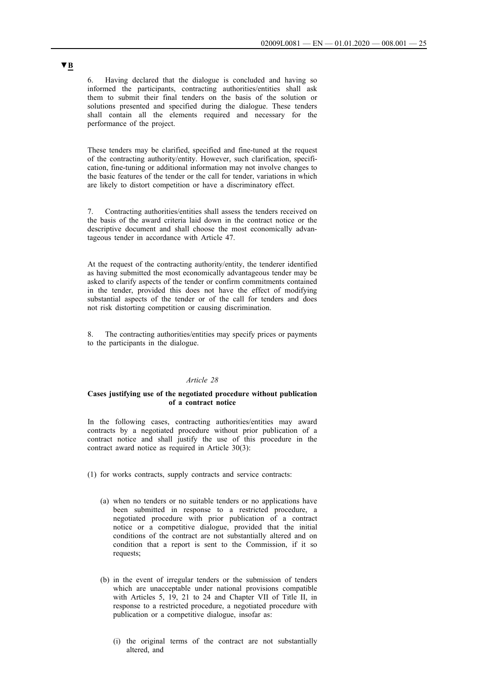<span id="page-24-0"></span>6. Having declared that the dialogue is concluded and having so informed the participants, contracting authorities/entities shall ask them to submit their final tenders on the basis of the solution or solutions presented and specified during the dialogue. These tenders shall contain all the elements required and necessary for the performance of the project.

These tenders may be clarified, specified and fine-tuned at the request of the contracting authority/entity. However, such clarification, specification, fine-tuning or additional information may not involve changes to the basic features of the tender or the call for tender, variations in which are likely to distort competition or have a discriminatory effect.

7. Contracting authorities/entities shall assess the tenders received on the basis of the award criteria laid down in the contract notice or the descriptive document and shall choose the most economically advantageous tender in accordance with Article 47.

At the request of the contracting authority/entity, the tenderer identified as having submitted the most economically advantageous tender may be asked to clarify aspects of the tender or confirm commitments contained in the tender, provided this does not have the effect of modifying substantial aspects of the tender or of the call for tenders and does not risk distorting competition or causing discrimination.

8. The contracting authorities/entities may specify prices or payments to the participants in the dialogue.

#### *Article 28*

### **Cases justifying use of the negotiated procedure without publication of a contract notice**

In the following cases, contracting authorities/entities may award contracts by a negotiated procedure without prior publication of a contract notice and shall justify the use of this procedure in the contract award notice as required in Article 30(3):

- (1) for works contracts, supply contracts and service contracts:
	- (a) when no tenders or no suitable tenders or no applications have been submitted in response to a restricted procedure, a negotiated procedure with prior publication of a contract notice or a competitive dialogue, provided that the initial conditions of the contract are not substantially altered and on condition that a report is sent to the Commission, if it so requests;
	- (b) in the event of irregular tenders or the submission of tenders which are unacceptable under national provisions compatible with Articles 5, 19, 21 to 24 and Chapter VII of Title II, in response to a restricted procedure, a negotiated procedure with publication or a competitive dialogue, insofar as:
		- (i) the original terms of the contract are not substantially altered, and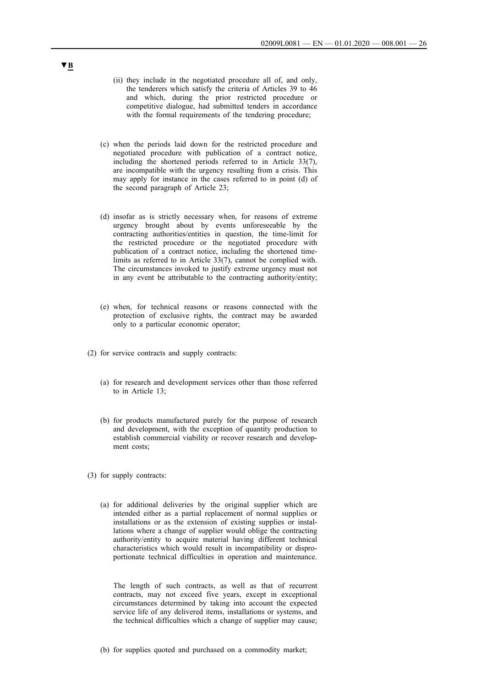- (ii) they include in the negotiated procedure all of, and only, the tenderers which satisfy the criteria of Articles 39 to 46 and which, during the prior restricted procedure or competitive dialogue, had submitted tenders in accordance with the formal requirements of the tendering procedure;
- (c) when the periods laid down for the restricted procedure and negotiated procedure with publication of a contract notice, including the shortened periods referred to in Article 33(7), are incompatible with the urgency resulting from a crisis. This may apply for instance in the cases referred to in point (d) of the second paragraph of Article 23;
- (d) insofar as is strictly necessary when, for reasons of extreme urgency brought about by events unforeseeable by the contracting authorities/entities in question, the time-limit for the restricted procedure or the negotiated procedure with publication of a contract notice, including the shortened timelimits as referred to in Article 33(7), cannot be complied with. The circumstances invoked to justify extreme urgency must not in any event be attributable to the contracting authority/entity;
- (e) when, for technical reasons or reasons connected with the protection of exclusive rights, the contract may be awarded only to a particular economic operator;
- (2) for service contracts and supply contracts:
	- (a) for research and development services other than those referred to in Article 13;
	- (b) for products manufactured purely for the purpose of research and development, with the exception of quantity production to establish commercial viability or recover research and development costs;
- (3) for supply contracts:
	- (a) for additional deliveries by the original supplier which are intended either as a partial replacement of normal supplies or installations or as the extension of existing supplies or installations where a change of supplier would oblige the contracting authority/entity to acquire material having different technical characteristics which would result in incompatibility or disproportionate technical difficulties in operation and maintenance.

The length of such contracts, as well as that of recurrent contracts, may not exceed five years, except in exceptional circumstances determined by taking into account the expected service life of any delivered items, installations or systems, and the technical difficulties which a change of supplier may cause;

(b) for supplies quoted and purchased on a commodity market;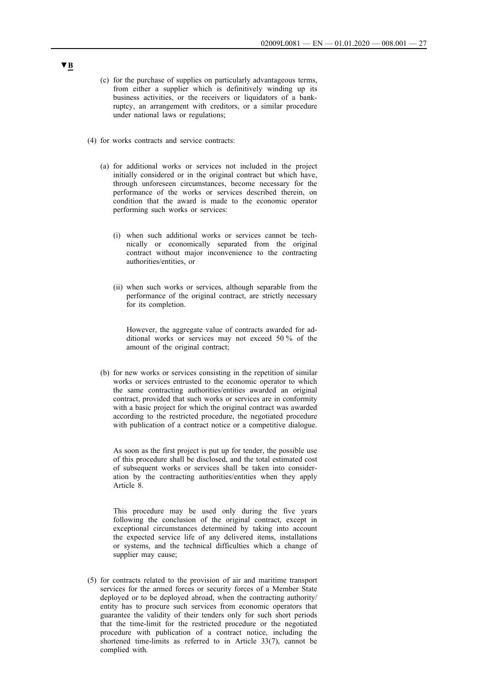- (c) for the purchase of supplies on particularly advantageous terms, from either a supplier which is definitively winding up its business activities, or the receivers or liquidators of a bankruptcy, an arrangement with creditors, or a similar procedure under national laws or regulations;
- (4) for works contracts and service contracts:
	- (a) for additional works or services not included in the project initially considered or in the original contract but which have, through unforeseen circumstances, become necessary for the performance of the works or services described therein, on condition that the award is made to the economic operator performing such works or services:
		- (i) when such additional works or services cannot be technically or economically separated from the original contract without major inconvenience to the contracting authorities/entities, or
		- (ii) when such works or services, although separable from the performance of the original contract, are strictly necessary for its completion.

However, the aggregate value of contracts awarded for additional works or services may not exceed 50 % of the amount of the original contract;

(b) for new works or services consisting in the repetition of similar works or services entrusted to the economic operator to which the same contracting authorities/entities awarded an original contract, provided that such works or services are in conformity with a basic project for which the original contract was awarded according to the restricted procedure, the negotiated procedure with publication of a contract notice or a competitive dialogue.

As soon as the first project is put up for tender, the possible use of this procedure shall be disclosed, and the total estimated cost of subsequent works or services shall be taken into consideration by the contracting authorities/entities when they apply Article 8.

This procedure may be used only during the five years following the conclusion of the original contract, except in exceptional circumstances determined by taking into account the expected service life of any delivered items, installations or systems, and the technical difficulties which a change of supplier may cause;

(5) for contracts related to the provision of air and maritime transport services for the armed forces or security forces of a Member State deployed or to be deployed abroad, when the contracting authority/ entity has to procure such services from economic operators that guarantee the validity of their tenders only for such short periods that the time-limit for the restricted procedure or the negotiated procedure with publication of a contract notice, including the shortened time-limits as referred to in Article 33(7), cannot be complied with.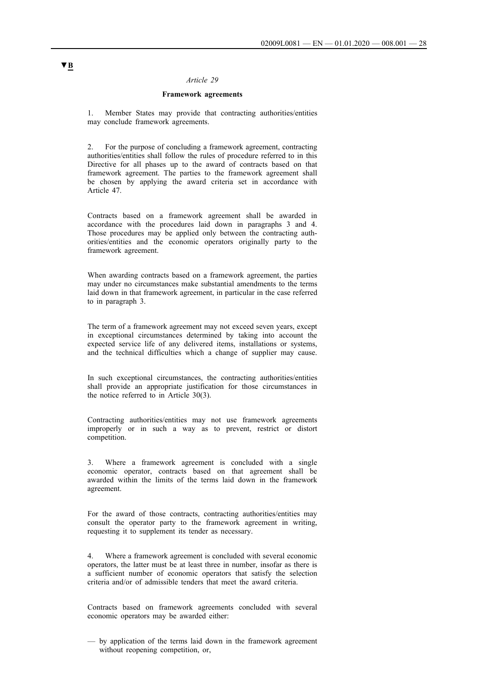## *Article 29*

## **Framework agreements**

<span id="page-27-0"></span>1. Member States may provide that contracting authorities/entities may conclude framework agreements.

2. For the purpose of concluding a framework agreement, contracting authorities/entities shall follow the rules of procedure referred to in this Directive for all phases up to the award of contracts based on that framework agreement. The parties to the framework agreement shall be chosen by applying the award criteria set in accordance with Article 47.

Contracts based on a framework agreement shall be awarded in accordance with the procedures laid down in paragraphs 3 and 4. Those procedures may be applied only between the contracting authorities/entities and the economic operators originally party to the framework agreement.

When awarding contracts based on a framework agreement, the parties may under no circumstances make substantial amendments to the terms laid down in that framework agreement, in particular in the case referred to in paragraph 3.

The term of a framework agreement may not exceed seven years, except in exceptional circumstances determined by taking into account the expected service life of any delivered items, installations or systems, and the technical difficulties which a change of supplier may cause.

In such exceptional circumstances, the contracting authorities/entities shall provide an appropriate justification for those circumstances in the notice referred to in Article 30(3).

Contracting authorities/entities may not use framework agreements improperly or in such a way as to prevent, restrict or distort competition.

3. Where a framework agreement is concluded with a single economic operator, contracts based on that agreement shall be awarded within the limits of the terms laid down in the framework agreement.

For the award of those contracts, contracting authorities/entities may consult the operator party to the framework agreement in writing, requesting it to supplement its tender as necessary.

4. Where a framework agreement is concluded with several economic operators, the latter must be at least three in number, insofar as there is a sufficient number of economic operators that satisfy the selection criteria and/or of admissible tenders that meet the award criteria.

Contracts based on framework agreements concluded with several economic operators may be awarded either:

— by application of the terms laid down in the framework agreement without reopening competition, or,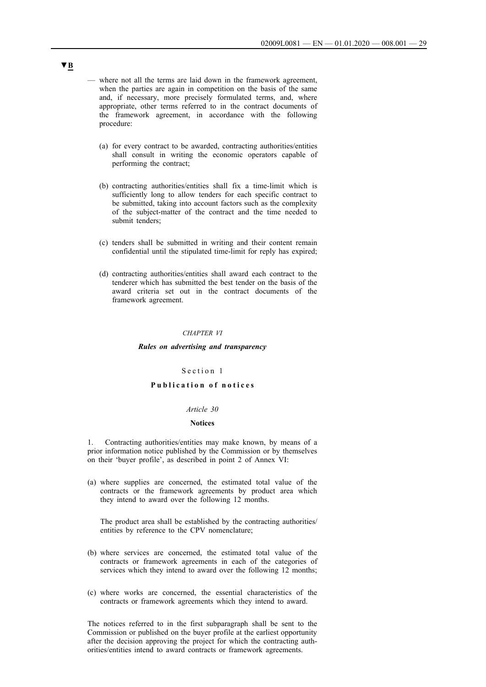<span id="page-28-0"></span>— where not all the terms are laid down in the framework agreement, when the parties are again in competition on the basis of the same and, if necessary, more precisely formulated terms, and, where appropriate, other terms referred to in the contract documents of the framework agreement, in accordance with the following procedure:

- (a) for every contract to be awarded, contracting authorities/entities shall consult in writing the economic operators capable of performing the contract;
- (b) contracting authorities/entities shall fix a time-limit which is sufficiently long to allow tenders for each specific contract to be submitted, taking into account factors such as the complexity of the subject-matter of the contract and the time needed to submit tenders;
- (c) tenders shall be submitted in writing and their content remain confidential until the stipulated time-limit for reply has expired;
- (d) contracting authorities/entities shall award each contract to the tenderer which has submitted the best tender on the basis of the award criteria set out in the contract documents of the framework agreement.

### *CHAPTER VI*

#### *Rules on advertising and transparency*

## Section 1

## **P u b l i c a t i o n o f n o t i c e s**

## *Article 30*

### **Notices**

1. Contracting authorities/entities may make known, by means of a prior information notice published by the Commission or by themselves on their 'buyer profile', as described in point 2 of Annex VI:

(a) where supplies are concerned, the estimated total value of the contracts or the framework agreements by product area which they intend to award over the following 12 months.

The product area shall be established by the contracting authorities/ entities by reference to the CPV nomenclature;

- (b) where services are concerned, the estimated total value of the contracts or framework agreements in each of the categories of services which they intend to award over the following 12 months;
- (c) where works are concerned, the essential characteristics of the contracts or framework agreements which they intend to award.

The notices referred to in the first subparagraph shall be sent to the Commission or published on the buyer profile at the earliest opportunity after the decision approving the project for which the contracting authorities/entities intend to award contracts or framework agreements.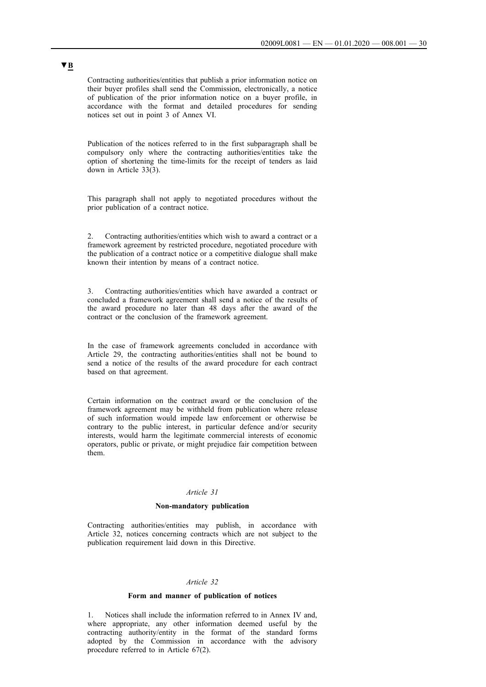<span id="page-29-0"></span>Contracting authorities/entities that publish a prior information notice on their buyer profiles shall send the Commission, electronically, a notice of publication of the prior information notice on a buyer profile, in accordance with the format and detailed procedures for sending notices set out in point 3 of Annex VI.

Publication of the notices referred to in the first subparagraph shall be compulsory only where the contracting authorities/entities take the option of shortening the time-limits for the receipt of tenders as laid down in Article 33(3).

This paragraph shall not apply to negotiated procedures without the prior publication of a contract notice.

2. Contracting authorities/entities which wish to award a contract or a framework agreement by restricted procedure, negotiated procedure with the publication of a contract notice or a competitive dialogue shall make known their intention by means of a contract notice.

3. Contracting authorities/entities which have awarded a contract or concluded a framework agreement shall send a notice of the results of the award procedure no later than 48 days after the award of the contract or the conclusion of the framework agreement.

In the case of framework agreements concluded in accordance with Article 29, the contracting authorities/entities shall not be bound to send a notice of the results of the award procedure for each contract based on that agreement.

Certain information on the contract award or the conclusion of the framework agreement may be withheld from publication where release of such information would impede law enforcement or otherwise be contrary to the public interest, in particular defence and/or security interests, would harm the legitimate commercial interests of economic operators, public or private, or might prejudice fair competition between them.

### *Article 31*

## **Non-mandatory publication**

Contracting authorities/entities may publish, in accordance with Article 32, notices concerning contracts which are not subject to the publication requirement laid down in this Directive.

### *Article 32*

#### **Form and manner of publication of notices**

1. Notices shall include the information referred to in Annex IV and, where appropriate, any other information deemed useful by the contracting authority/entity in the format of the standard forms adopted by the Commission in accordance with the advisory procedure referred to in Article 67(2).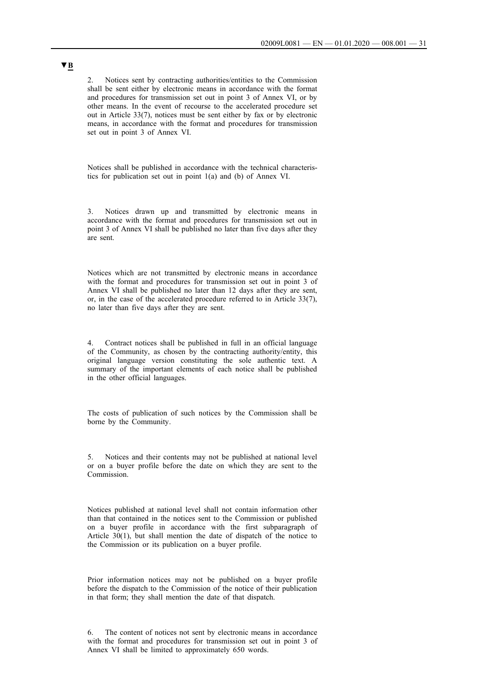2. Notices sent by contracting authorities/entities to the Commission shall be sent either by electronic means in accordance with the format and procedures for transmission set out in point 3 of Annex VI, or by other means. In the event of recourse to the accelerated procedure set out in Article 33(7), notices must be sent either by fax or by electronic means, in accordance with the format and procedures for transmission set out in point 3 of Annex VI.

Notices shall be published in accordance with the technical characteristics for publication set out in point 1(a) and (b) of Annex VI.

3. Notices drawn up and transmitted by electronic means in accordance with the format and procedures for transmission set out in point 3 of Annex VI shall be published no later than five days after they are sent.

Notices which are not transmitted by electronic means in accordance with the format and procedures for transmission set out in point 3 of Annex VI shall be published no later than 12 days after they are sent, or, in the case of the accelerated procedure referred to in Article 33(7), no later than five days after they are sent.

Contract notices shall be published in full in an official language of the Community, as chosen by the contracting authority/entity, this original language version constituting the sole authentic text. A summary of the important elements of each notice shall be published in the other official languages.

The costs of publication of such notices by the Commission shall be borne by the Community.

5. Notices and their contents may not be published at national level or on a buyer profile before the date on which they are sent to the Commission.

Notices published at national level shall not contain information other than that contained in the notices sent to the Commission or published on a buyer profile in accordance with the first subparagraph of Article 30(1), but shall mention the date of dispatch of the notice to the Commission or its publication on a buyer profile.

Prior information notices may not be published on a buyer profile before the dispatch to the Commission of the notice of their publication in that form; they shall mention the date of that dispatch.

6. The content of notices not sent by electronic means in accordance with the format and procedures for transmission set out in point 3 of Annex VI shall be limited to approximately 650 words.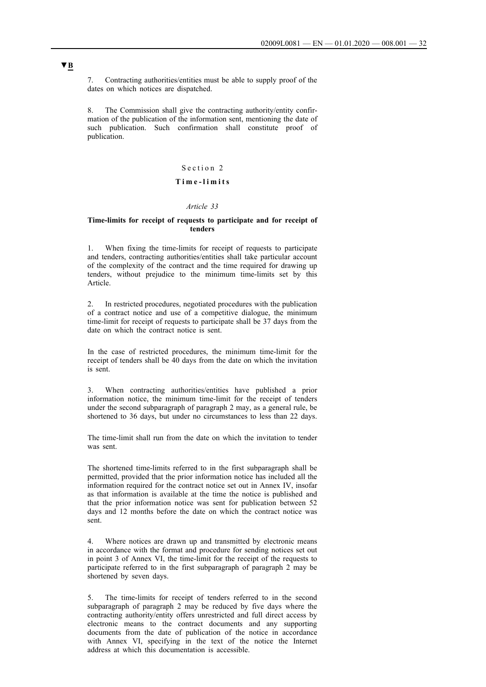<span id="page-31-0"></span>7. Contracting authorities/entities must be able to supply proof of the dates on which notices are dispatched.

8. The Commission shall give the contracting authority/entity confirmation of the publication of the information sent, mentioning the date of such publication. Such confirmation shall constitute proof of publication.

# Section 2

# **T i m e - l i m i t s**

### *Article 33*

## **Time-limits for receipt of requests to participate and for receipt of tenders**

1. When fixing the time-limits for receipt of requests to participate and tenders, contracting authorities/entities shall take particular account of the complexity of the contract and the time required for drawing up tenders, without prejudice to the minimum time-limits set by this Article.

2. In restricted procedures, negotiated procedures with the publication of a contract notice and use of a competitive dialogue, the minimum time-limit for receipt of requests to participate shall be 37 days from the date on which the contract notice is sent.

In the case of restricted procedures, the minimum time-limit for the receipt of tenders shall be 40 days from the date on which the invitation is sent.

3. When contracting authorities/entities have published a prior information notice, the minimum time-limit for the receipt of tenders under the second subparagraph of paragraph 2 may, as a general rule, be shortened to 36 days, but under no circumstances to less than 22 days.

The time-limit shall run from the date on which the invitation to tender was sent.

The shortened time-limits referred to in the first subparagraph shall be permitted, provided that the prior information notice has included all the information required for the contract notice set out in Annex IV, insofar as that information is available at the time the notice is published and that the prior information notice was sent for publication between 52 days and 12 months before the date on which the contract notice was sent.

4. Where notices are drawn up and transmitted by electronic means in accordance with the format and procedure for sending notices set out in point 3 of Annex VI, the time-limit for the receipt of the requests to participate referred to in the first subparagraph of paragraph 2 may be shortened by seven days.

5. The time-limits for receipt of tenders referred to in the second subparagraph of paragraph 2 may be reduced by five days where the contracting authority/entity offers unrestricted and full direct access by electronic means to the contract documents and any supporting documents from the date of publication of the notice in accordance with Annex VI, specifying in the text of the notice the Internet address at which this documentation is accessible.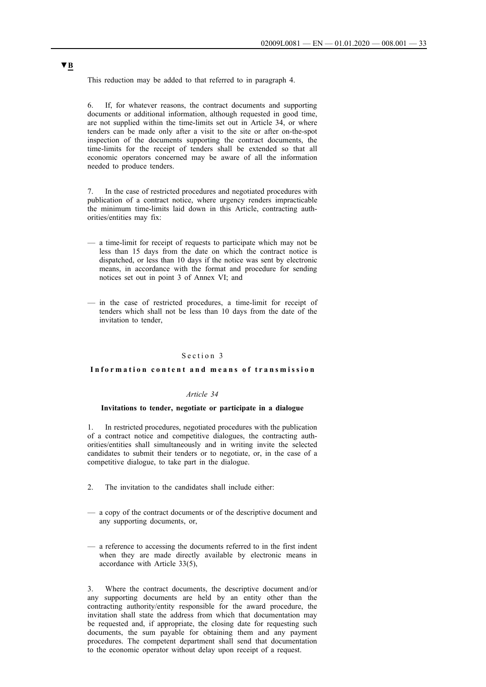<span id="page-32-0"></span>This reduction may be added to that referred to in paragraph 4.

6. If, for whatever reasons, the contract documents and supporting documents or additional information, although requested in good time, are not supplied within the time-limits set out in Article 34, or where tenders can be made only after a visit to the site or after on-the-spot inspection of the documents supporting the contract documents, the time-limits for the receipt of tenders shall be extended so that all economic operators concerned may be aware of all the information needed to produce tenders.

7. In the case of restricted procedures and negotiated procedures with publication of a contract notice, where urgency renders impracticable the minimum time-limits laid down in this Article, contracting authorities/entities may fix:

- a time-limit for receipt of requests to participate which may not be less than 15 days from the date on which the contract notice is dispatched, or less than 10 days if the notice was sent by electronic means, in accordance with the format and procedure for sending notices set out in point 3 of Annex VI; and
- in the case of restricted procedures, a time-limit for receipt of tenders which shall not be less than 10 days from the date of the invitation to tender,

# Section 3

# Information content and means of transmission

#### *Article 34*

### **Invitations to tender, negotiate or participate in a dialogue**

1. In restricted procedures, negotiated procedures with the publication of a contract notice and competitive dialogues, the contracting authorities/entities shall simultaneously and in writing invite the selected candidates to submit their tenders or to negotiate, or, in the case of a competitive dialogue, to take part in the dialogue.

- 2. The invitation to the candidates shall include either:
- a copy of the contract documents or of the descriptive document and any supporting documents, or,
- a reference to accessing the documents referred to in the first indent when they are made directly available by electronic means in accordance with Article 33(5),

3. Where the contract documents, the descriptive document and/or any supporting documents are held by an entity other than the contracting authority/entity responsible for the award procedure, the invitation shall state the address from which that documentation may be requested and, if appropriate, the closing date for requesting such documents, the sum payable for obtaining them and any payment procedures. The competent department shall send that documentation to the economic operator without delay upon receipt of a request.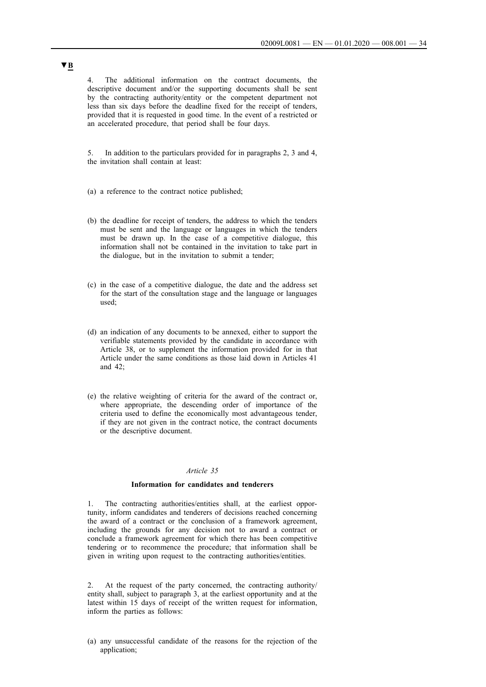<span id="page-33-0"></span>4. The additional information on the contract documents, the descriptive document and/or the supporting documents shall be sent by the contracting authority/entity or the competent department not less than six days before the deadline fixed for the receipt of tenders, provided that it is requested in good time. In the event of a restricted or an accelerated procedure, that period shall be four days.

5. In addition to the particulars provided for in paragraphs 2, 3 and 4, the invitation shall contain at least:

- (a) a reference to the contract notice published;
- (b) the deadline for receipt of tenders, the address to which the tenders must be sent and the language or languages in which the tenders must be drawn up. In the case of a competitive dialogue, this information shall not be contained in the invitation to take part in the dialogue, but in the invitation to submit a tender;
- (c) in the case of a competitive dialogue, the date and the address set for the start of the consultation stage and the language or languages used;
- (d) an indication of any documents to be annexed, either to support the verifiable statements provided by the candidate in accordance with Article 38, or to supplement the information provided for in that Article under the same conditions as those laid down in Articles 41 and 42;
- (e) the relative weighting of criteria for the award of the contract or, where appropriate, the descending order of importance of the criteria used to define the economically most advantageous tender, if they are not given in the contract notice, the contract documents or the descriptive document.

## *Article 35*

### **Information for candidates and tenderers**

1. The contracting authorities/entities shall, at the earliest opportunity, inform candidates and tenderers of decisions reached concerning the award of a contract or the conclusion of a framework agreement, including the grounds for any decision not to award a contract or conclude a framework agreement for which there has been competitive tendering or to recommence the procedure; that information shall be given in writing upon request to the contracting authorities/entities.

2. At the request of the party concerned, the contracting authority/ entity shall, subject to paragraph 3, at the earliest opportunity and at the latest within 15 days of receipt of the written request for information, inform the parties as follows:

(a) any unsuccessful candidate of the reasons for the rejection of the application;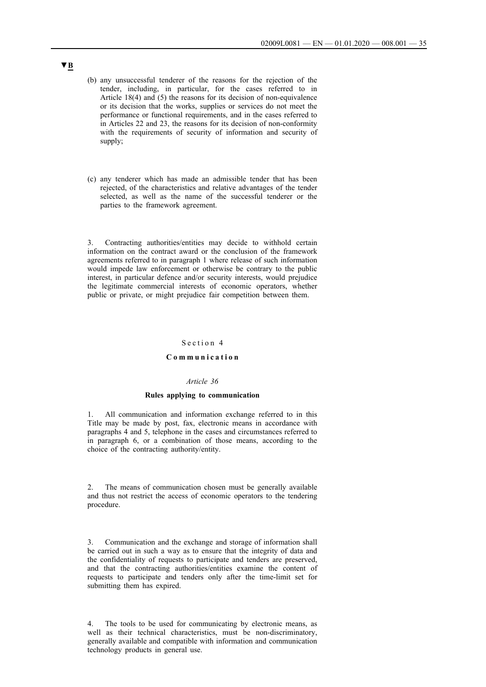- <span id="page-34-0"></span>(b) any unsuccessful tenderer of the reasons for the rejection of the tender, including, in particular, for the cases referred to in Article 18(4) and (5) the reasons for its decision of non-equivalence or its decision that the works, supplies or services do not meet the performance or functional requirements, and in the cases referred to in Articles 22 and 23, the reasons for its decision of non-conformity with the requirements of security of information and security of supply;
- (c) any tenderer which has made an admissible tender that has been rejected, of the characteristics and relative advantages of the tender selected, as well as the name of the successful tenderer or the parties to the framework agreement.

3. Contracting authorities/entities may decide to withhold certain information on the contract award or the conclusion of the framework agreements referred to in paragraph 1 where release of such information would impede law enforcement or otherwise be contrary to the public interest, in particular defence and/or security interests, would prejudice the legitimate commercial interests of economic operators, whether public or private, or might prejudice fair competition between them.

# Section 4

## **C o m m u n i c a t i o n**

## *Article 36*

### **Rules applying to communication**

1. All communication and information exchange referred to in this Title may be made by post, fax, electronic means in accordance with paragraphs 4 and 5, telephone in the cases and circumstances referred to in paragraph 6, or a combination of those means, according to the choice of the contracting authority/entity.

2. The means of communication chosen must be generally available and thus not restrict the access of economic operators to the tendering procedure.

3. Communication and the exchange and storage of information shall be carried out in such a way as to ensure that the integrity of data and the confidentiality of requests to participate and tenders are preserved, and that the contracting authorities/entities examine the content of requests to participate and tenders only after the time-limit set for submitting them has expired.

4. The tools to be used for communicating by electronic means, as well as their technical characteristics, must be non-discriminatory, generally available and compatible with information and communication technology products in general use.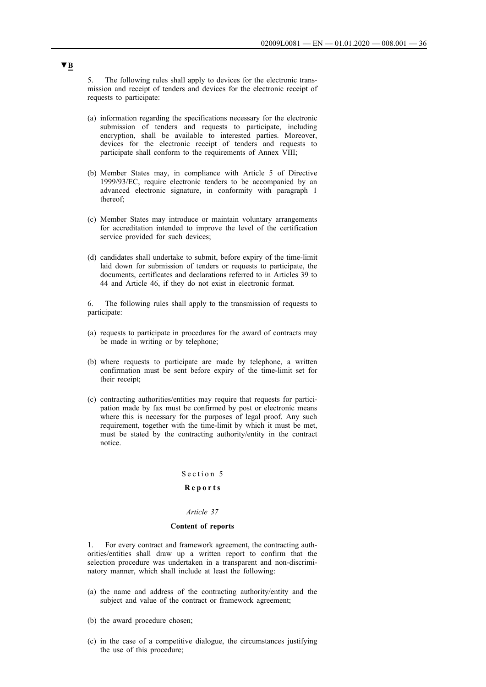<span id="page-35-0"></span>5. The following rules shall apply to devices for the electronic transmission and receipt of tenders and devices for the electronic receipt of requests to participate:

- (a) information regarding the specifications necessary for the electronic submission of tenders and requests to participate, including encryption, shall be available to interested parties. Moreover, devices for the electronic receipt of tenders and requests to participate shall conform to the requirements of Annex VIII;
- (b) Member States may, in compliance with Article 5 of Directive 1999/93/EC, require electronic tenders to be accompanied by an advanced electronic signature, in conformity with paragraph 1 thereof;
- (c) Member States may introduce or maintain voluntary arrangements for accreditation intended to improve the level of the certification service provided for such devices;
- (d) candidates shall undertake to submit, before expiry of the time-limit laid down for submission of tenders or requests to participate, the documents, certificates and declarations referred to in Articles 39 to 44 and Article 46, if they do not exist in electronic format.

6. The following rules shall apply to the transmission of requests to participate:

- (a) requests to participate in procedures for the award of contracts may be made in writing or by telephone;
- (b) where requests to participate are made by telephone, a written confirmation must be sent before expiry of the time-limit set for their receipt;
- (c) contracting authorities/entities may require that requests for participation made by fax must be confirmed by post or electronic means where this is necessary for the purposes of legal proof. Any such requirement, together with the time-limit by which it must be met, must be stated by the contracting authority/entity in the contract notice.

# Section 5

# **R e p o r t s**

### *Article 37*

### **Content of reports**

1. For every contract and framework agreement, the contracting authorities/entities shall draw up a written report to confirm that the selection procedure was undertaken in a transparent and non-discriminatory manner, which shall include at least the following:

- (a) the name and address of the contracting authority/entity and the subject and value of the contract or framework agreement;
- (b) the award procedure chosen;
- (c) in the case of a competitive dialogue, the circumstances justifying the use of this procedure;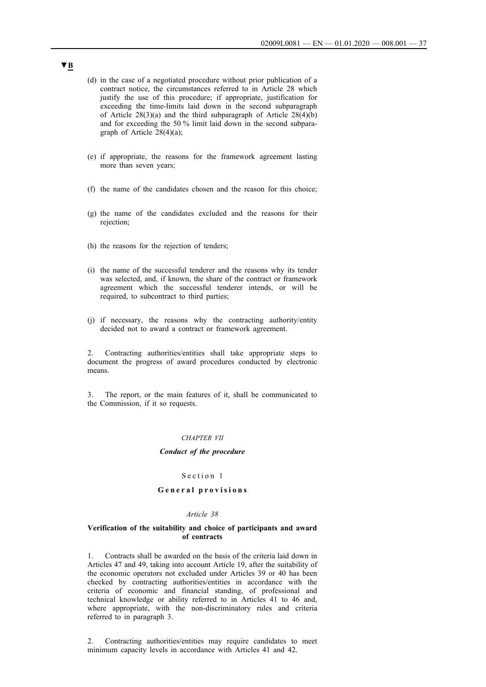- (d) in the case of a negotiated procedure without prior publication of a contract notice, the circumstances referred to in Article 28 which justify the use of this procedure; if appropriate, justification for exceeding the time-limits laid down in the second subparagraph of Article 28(3)(a) and the third subparagraph of Article  $28(4)(b)$ and for exceeding the 50 % limit laid down in the second subparagraph of Article 28(4)(a);
- (e) if appropriate, the reasons for the framework agreement lasting more than seven years;
- (f) the name of the candidates chosen and the reason for this choice;
- (g) the name of the candidates excluded and the reasons for their rejection;
- (h) the reasons for the rejection of tenders;
- (i) the name of the successful tenderer and the reasons why its tender was selected, and, if known, the share of the contract or framework agreement which the successful tenderer intends, or will be required, to subcontract to third parties;
- (j) if necessary, the reasons why the contracting authority/entity decided not to award a contract or framework agreement.

2. Contracting authorities/entities shall take appropriate steps to document the progress of award procedures conducted by electronic means.

3. The report, or the main features of it, shall be communicated to the Commission, if it so requests.

### *CHAPTER VII*

### *Conduct of the procedure*

### Section 1

### **G e n e r a l p r o v i s i o n s**

#### *Article 38*

### **Verification of the suitability and choice of participants and award of contracts**

1. Contracts shall be awarded on the basis of the criteria laid down in Articles 47 and 49, taking into account Article 19, after the suitability of the economic operators not excluded under Articles 39 or 40 has been checked by contracting authorities/entities in accordance with the criteria of economic and financial standing, of professional and technical knowledge or ability referred to in Articles 41 to 46 and, where appropriate, with the non-discriminatory rules and criteria referred to in paragraph 3.

2. Contracting authorities/entities may require candidates to meet minimum capacity levels in accordance with Articles 41 and 42.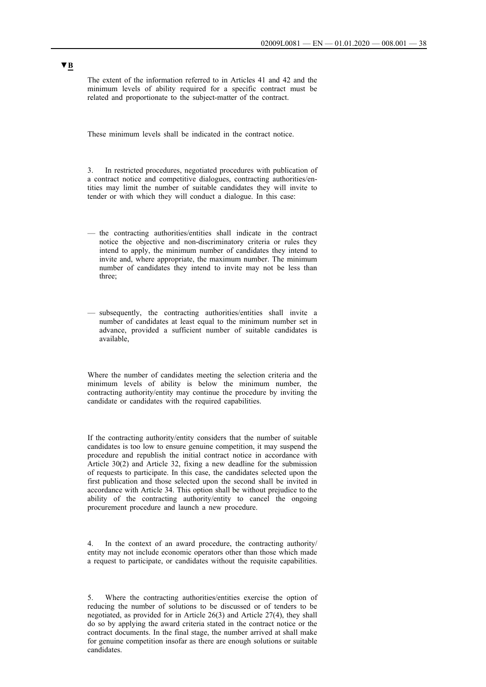The extent of the information referred to in Articles 41 and 42 and the minimum levels of ability required for a specific contract must be related and proportionate to the subject-matter of the contract.

These minimum levels shall be indicated in the contract notice.

3. In restricted procedures, negotiated procedures with publication of a contract notice and competitive dialogues, contracting authorities/entities may limit the number of suitable candidates they will invite to tender or with which they will conduct a dialogue. In this case:

- the contracting authorities/entities shall indicate in the contract notice the objective and non-discriminatory criteria or rules they intend to apply, the minimum number of candidates they intend to invite and, where appropriate, the maximum number. The minimum number of candidates they intend to invite may not be less than three;
- subsequently, the contracting authorities/entities shall invite a number of candidates at least equal to the minimum number set in advance, provided a sufficient number of suitable candidates is available,

Where the number of candidates meeting the selection criteria and the minimum levels of ability is below the minimum number, the contracting authority/entity may continue the procedure by inviting the candidate or candidates with the required capabilities.

If the contracting authority/entity considers that the number of suitable candidates is too low to ensure genuine competition, it may suspend the procedure and republish the initial contract notice in accordance with Article 30(2) and Article 32, fixing a new deadline for the submission of requests to participate. In this case, the candidates selected upon the first publication and those selected upon the second shall be invited in accordance with Article 34. This option shall be without prejudice to the ability of the contracting authority/entity to cancel the ongoing procurement procedure and launch a new procedure.

In the context of an award procedure, the contracting authority/ entity may not include economic operators other than those which made a request to participate, or candidates without the requisite capabilities.

Where the contracting authorities/entities exercise the option of reducing the number of solutions to be discussed or of tenders to be negotiated, as provided for in Article 26(3) and Article 27(4), they shall do so by applying the award criteria stated in the contract notice or the contract documents. In the final stage, the number arrived at shall make for genuine competition insofar as there are enough solutions or suitable candidates.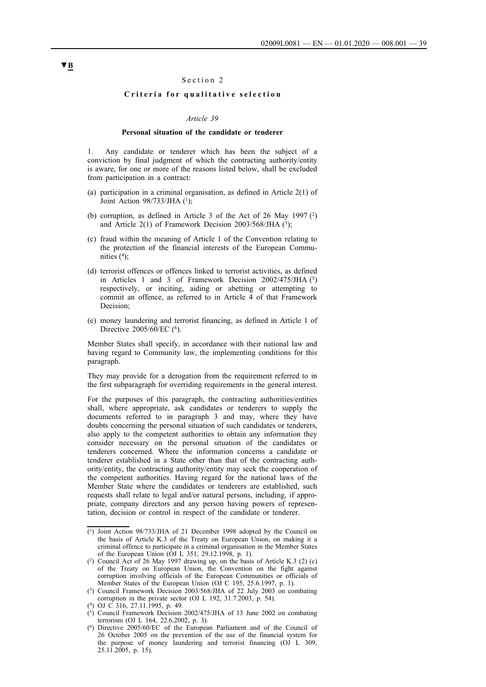### Section 2

### **Criteria for qualitative selection**

#### *Article 39*

### **Personal situation of the candidate or tenderer**

1. Any candidate or tenderer which has been the subject of a conviction by final judgment of which the contracting authority/entity is aware, for one or more of the reasons listed below, shall be excluded from participation in a contract:

- (a) participation in a criminal organisation, as defined in Article 2(1) of Joint Action 98/733/JHA (1);
- (b) corruption, as defined in Article 3 of the Act of 26 May 1997 (2) and Article 2(1) of Framework Decision 2003/568/JHA  $(3)$ ;
- (c) fraud within the meaning of Article 1 of the Convention relating to the protection of the financial interests of the European Communities  $(4)$ :
- (d) terrorist offences or offences linked to terrorist activities, as defined in Articles 1 and 3 of Framework Decision 2002/475/JHA (5) respectively, or inciting, aiding or abetting or attempting to commit an offence, as referred to in Article 4 of that Framework Decision;
- (e) money laundering and terrorist financing, as defined in Article 1 of Directive 2005/60/EC (<sup>6</sup>).

Member States shall specify, in accordance with their national law and having regard to Community law, the implementing conditions for this paragraph.

They may provide for a derogation from the requirement referred to in the first subparagraph for overriding requirements in the general interest.

For the purposes of this paragraph, the contracting authorities/entities shall, where appropriate, ask candidates or tenderers to supply the documents referred to in paragraph 3 and may, where they have doubts concerning the personal situation of such candidates or tenderers, also apply to the competent authorities to obtain any information they consider necessary on the personal situation of the candidates or tenderers concerned. Where the information concerns a candidate or tenderer established in a State other than that of the contracting authority/entity, the contracting authority/entity may seek the cooperation of the competent authorities. Having regard for the national laws of the Member State where the candidates or tenderers are established, such requests shall relate to legal and/or natural persons, including, if appropriate, company directors and any person having powers of representation, decision or control in respect of the candidate or tenderer.

<sup>(1)</sup> Joint Action 98/733/JHA of 21 December 1998 adopted by the Council on the basis of Article K.3 of the Treaty on European Union, on making it a criminal offence to participate in a criminal organisation in the Member States of the European Union (OJ L 351, 29.12.1998, p. 1).

<sup>(2)</sup> Council Act of 26 May 1997 drawing up, on the basis of Article K.3 (2) (c) of the Treaty on European Union, the Convention on the fight against corruption involving officials of the European Communities or officials of Member States of the European Union (OJ C 195, 25.6.1997, p. 1).

<sup>(3)</sup> Council Framework Decision 2003/568/JHA of 22 July 2003 on combating corruption in the private sector (OJ L 192, 31.7.2003, p. 54).

<sup>(4)</sup> OJ C 316, 27.11.1995, p. 49.

 $(5)$  Council Framework Decision 2002/475/JHA of 13 June 2002 on combating terrorism (OJ L 164, 22.6.2002, p. 3).

<sup>(6)</sup> Directive 2005/60/EC of the European Parliament and of the Council of 26 October 2005 on the prevention of the use of the financial system for the purpose of money laundering and terrorist financing (OJ L 309, 25.11.2005, p. 15).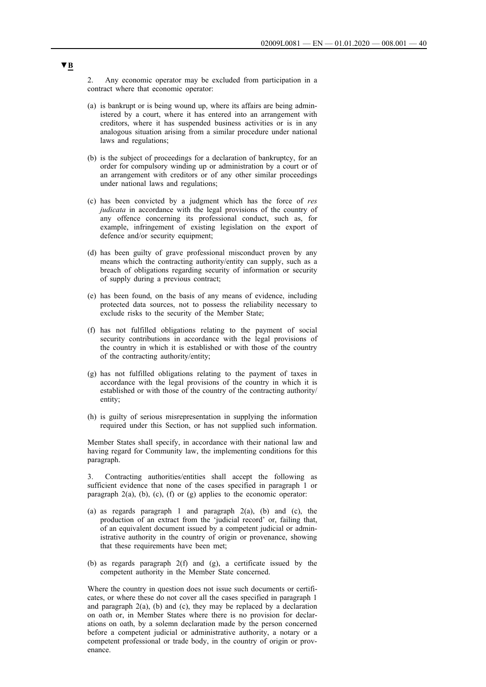2. Any economic operator may be excluded from participation in a contract where that economic operator:

- (a) is bankrupt or is being wound up, where its affairs are being administered by a court, where it has entered into an arrangement with creditors, where it has suspended business activities or is in any analogous situation arising from a similar procedure under national laws and regulations;
- (b) is the subject of proceedings for a declaration of bankruptcy, for an order for compulsory winding up or administration by a court or of an arrangement with creditors or of any other similar proceedings under national laws and regulations;
- (c) has been convicted by a judgment which has the force of *res judicata* in accordance with the legal provisions of the country of any offence concerning its professional conduct, such as, for example, infringement of existing legislation on the export of defence and/or security equipment;
- (d) has been guilty of grave professional misconduct proven by any means which the contracting authority/entity can supply, such as a breach of obligations regarding security of information or security of supply during a previous contract;
- (e) has been found, on the basis of any means of evidence, including protected data sources, not to possess the reliability necessary to exclude risks to the security of the Member State;
- (f) has not fulfilled obligations relating to the payment of social security contributions in accordance with the legal provisions of the country in which it is established or with those of the country of the contracting authority/entity;
- (g) has not fulfilled obligations relating to the payment of taxes in accordance with the legal provisions of the country in which it is established or with those of the country of the contracting authority/ entity;
- (h) is guilty of serious misrepresentation in supplying the information required under this Section, or has not supplied such information.

Member States shall specify, in accordance with their national law and having regard for Community law, the implementing conditions for this paragraph.

3. Contracting authorities/entities shall accept the following as sufficient evidence that none of the cases specified in paragraph 1 or paragraph  $2(a)$ , (b), (c), (f) or (g) applies to the economic operator:

- (a) as regards paragraph 1 and paragraph 2(a), (b) and (c), the production of an extract from the 'judicial record' or, failing that, of an equivalent document issued by a competent judicial or administrative authority in the country of origin or provenance, showing that these requirements have been met;
- (b) as regards paragraph 2(f) and (g), a certificate issued by the competent authority in the Member State concerned.

Where the country in question does not issue such documents or certificates, or where these do not cover all the cases specified in paragraph 1 and paragraph  $2(a)$ , (b) and (c), they may be replaced by a declaration on oath or, in Member States where there is no provision for declarations on oath, by a solemn declaration made by the person concerned before a competent judicial or administrative authority, a notary or a competent professional or trade body, in the country of origin or provenance.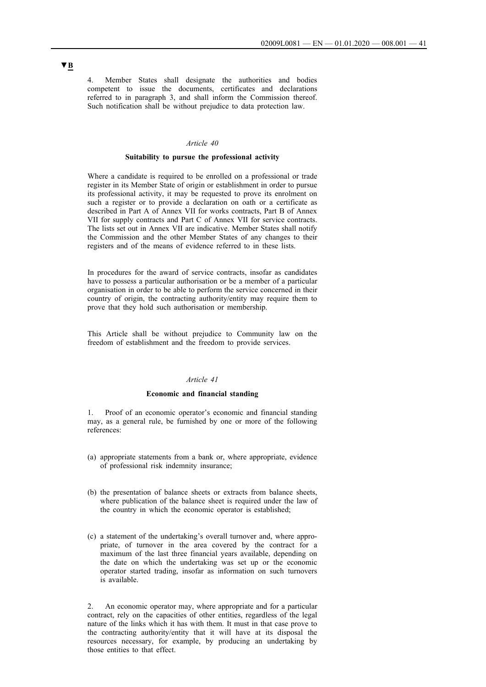4. Member States shall designate the authorities and bodies competent to issue the documents, certificates and declarations referred to in paragraph 3, and shall inform the Commission thereof. Such notification shall be without prejudice to data protection law.

### *Article 40*

#### **Suitability to pursue the professional activity**

Where a candidate is required to be enrolled on a professional or trade register in its Member State of origin or establishment in order to pursue its professional activity, it may be requested to prove its enrolment on such a register or to provide a declaration on oath or a certificate as described in Part A of Annex VII for works contracts, Part B of Annex VII for supply contracts and Part C of Annex VII for service contracts. The lists set out in Annex VII are indicative. Member States shall notify the Commission and the other Member States of any changes to their registers and of the means of evidence referred to in these lists.

In procedures for the award of service contracts, insofar as candidates have to possess a particular authorisation or be a member of a particular organisation in order to be able to perform the service concerned in their country of origin, the contracting authority/entity may require them to prove that they hold such authorisation or membership.

This Article shall be without prejudice to Community law on the freedom of establishment and the freedom to provide services.

#### *Article 41*

### **Economic and financial standing**

1. Proof of an economic operator's economic and financial standing may, as a general rule, be furnished by one or more of the following references:

- (a) appropriate statements from a bank or, where appropriate, evidence of professional risk indemnity insurance;
- (b) the presentation of balance sheets or extracts from balance sheets, where publication of the balance sheet is required under the law of the country in which the economic operator is established;
- (c) a statement of the undertaking's overall turnover and, where appropriate, of turnover in the area covered by the contract for a maximum of the last three financial years available, depending on the date on which the undertaking was set up or the economic operator started trading, insofar as information on such turnovers is available.

2. An economic operator may, where appropriate and for a particular contract, rely on the capacities of other entities, regardless of the legal nature of the links which it has with them. It must in that case prove to the contracting authority/entity that it will have at its disposal the resources necessary, for example, by producing an undertaking by those entities to that effect.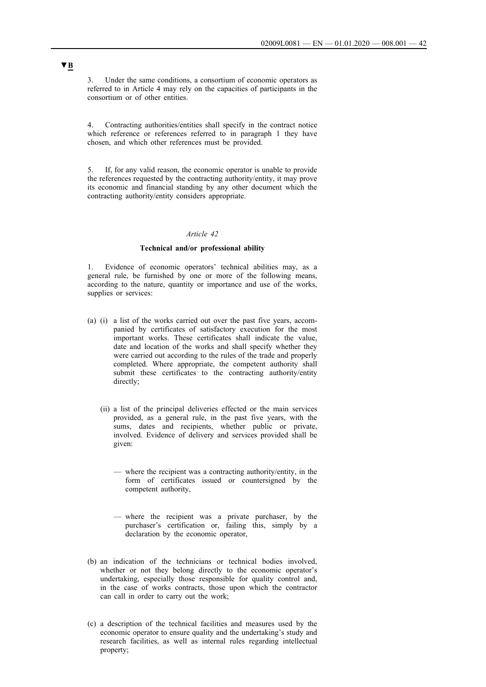3. Under the same conditions, a consortium of economic operators as referred to in Article 4 may rely on the capacities of participants in the consortium or of other entities.

4. Contracting authorities/entities shall specify in the contract notice which reference or references referred to in paragraph 1 they have chosen, and which other references must be provided.

5. If, for any valid reason, the economic operator is unable to provide the references requested by the contracting authority/entity, it may prove its economic and financial standing by any other document which the contracting authority/entity considers appropriate.

### *Article 42*

### **Technical and/or professional ability**

1. Evidence of economic operators' technical abilities may, as a general rule, be furnished by one or more of the following means, according to the nature, quantity or importance and use of the works, supplies or services:

- (a) (i) a list of the works carried out over the past five years, accompanied by certificates of satisfactory execution for the most important works. These certificates shall indicate the value, date and location of the works and shall specify whether they were carried out according to the rules of the trade and properly completed. Where appropriate, the competent authority shall submit these certificates to the contracting authority/entity directly;
	- (ii) a list of the principal deliveries effected or the main services provided, as a general rule, in the past five years, with the sums, dates and recipients, whether public or private, involved. Evidence of delivery and services provided shall be given:
		- where the recipient was a contracting authority/entity, in the form of certificates issued or countersigned by the competent authority,
		- where the recipient was a private purchaser, by the purchaser's certification or, failing this, simply by a declaration by the economic operator,
- (b) an indication of the technicians or technical bodies involved, whether or not they belong directly to the economic operator's undertaking, especially those responsible for quality control and, in the case of works contracts, those upon which the contractor can call in order to carry out the work;
- (c) a description of the technical facilities and measures used by the economic operator to ensure quality and the undertaking's study and research facilities, as well as internal rules regarding intellectual property;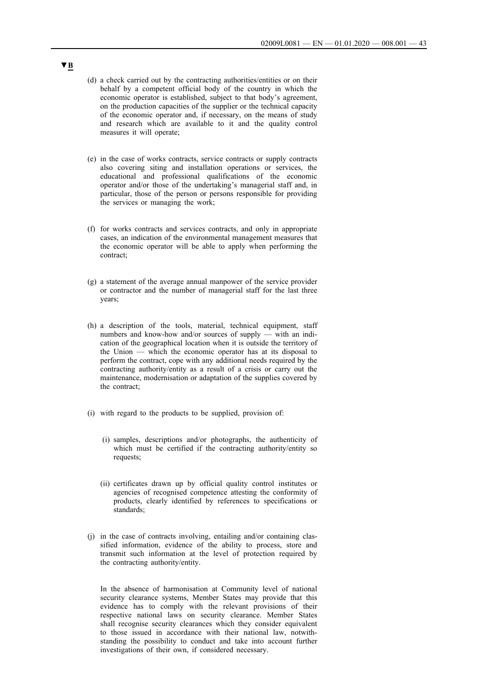- (d) a check carried out by the contracting authorities/entities or on their behalf by a competent official body of the country in which the economic operator is established, subject to that body's agreement, on the production capacities of the supplier or the technical capacity of the economic operator and, if necessary, on the means of study and research which are available to it and the quality control measures it will operate;
- (e) in the case of works contracts, service contracts or supply contracts also covering siting and installation operations or services, the educational and professional qualifications of the economic operator and/or those of the undertaking's managerial staff and, in particular, those of the person or persons responsible for providing the services or managing the work;
- (f) for works contracts and services contracts, and only in appropriate cases, an indication of the environmental management measures that the economic operator will be able to apply when performing the contract;
- (g) a statement of the average annual manpower of the service provider or contractor and the number of managerial staff for the last three years;
- (h) a description of the tools, material, technical equipment, staff numbers and know-how and/or sources of supply — with an indication of the geographical location when it is outside the territory of the Union — which the economic operator has at its disposal to perform the contract, cope with any additional needs required by the contracting authority/entity as a result of a crisis or carry out the maintenance, modernisation or adaptation of the supplies covered by the contract;
- (i) with regard to the products to be supplied, provision of:
	- (i) samples, descriptions and/or photographs, the authenticity of which must be certified if the contracting authority/entity so requests;
	- (ii) certificates drawn up by official quality control institutes or agencies of recognised competence attesting the conformity of products, clearly identified by references to specifications or standards;
- (j) in the case of contracts involving, entailing and/or containing classified information, evidence of the ability to process, store and transmit such information at the level of protection required by the contracting authority/entity.

In the absence of harmonisation at Community level of national security clearance systems, Member States may provide that this evidence has to comply with the relevant provisions of their respective national laws on security clearance. Member States shall recognise security clearances which they consider equivalent to those issued in accordance with their national law, notwithstanding the possibility to conduct and take into account further investigations of their own, if considered necessary.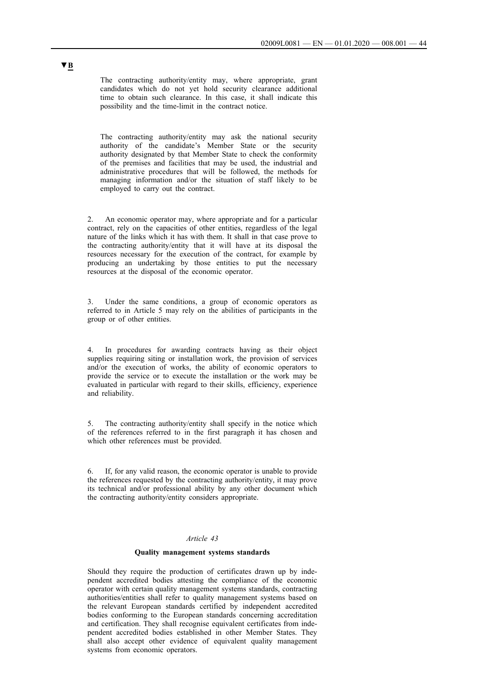The contracting authority/entity may, where appropriate, grant candidates which do not yet hold security clearance additional time to obtain such clearance. In this case, it shall indicate this possibility and the time-limit in the contract notice.

The contracting authority/entity may ask the national security authority of the candidate's Member State or the security authority designated by that Member State to check the conformity of the premises and facilities that may be used, the industrial and administrative procedures that will be followed, the methods for managing information and/or the situation of staff likely to be employed to carry out the contract.

2. An economic operator may, where appropriate and for a particular contract, rely on the capacities of other entities, regardless of the legal nature of the links which it has with them. It shall in that case prove to the contracting authority/entity that it will have at its disposal the resources necessary for the execution of the contract, for example by producing an undertaking by those entities to put the necessary resources at the disposal of the economic operator.

Under the same conditions, a group of economic operators as referred to in Article 5 may rely on the abilities of participants in the group or of other entities.

4. In procedures for awarding contracts having as their object supplies requiring siting or installation work, the provision of services and/or the execution of works, the ability of economic operators to provide the service or to execute the installation or the work may be evaluated in particular with regard to their skills, efficiency, experience and reliability.

The contracting authority/entity shall specify in the notice which of the references referred to in the first paragraph it has chosen and which other references must be provided.

6. If, for any valid reason, the economic operator is unable to provide the references requested by the contracting authority/entity, it may prove its technical and/or professional ability by any other document which the contracting authority/entity considers appropriate.

### *Article 43*

### **Quality management systems standards**

Should they require the production of certificates drawn up by independent accredited bodies attesting the compliance of the economic operator with certain quality management systems standards, contracting authorities/entities shall refer to quality management systems based on the relevant European standards certified by independent accredited bodies conforming to the European standards concerning accreditation and certification. They shall recognise equivalent certificates from independent accredited bodies established in other Member States. They shall also accept other evidence of equivalent quality management systems from economic operators.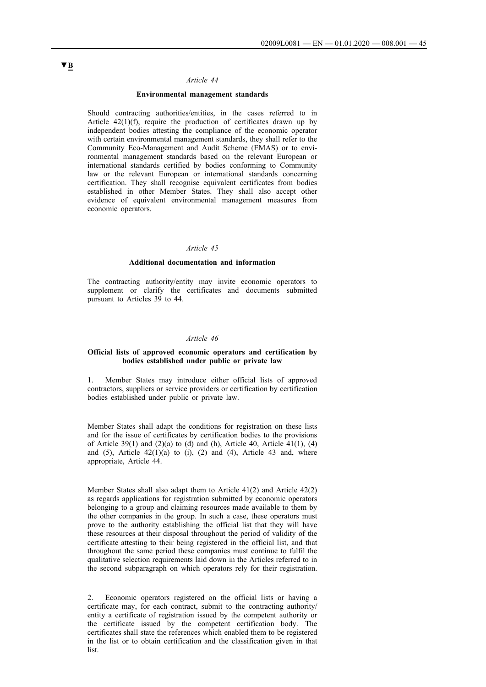### *Article 44*

### **Environmental management standards**

Should contracting authorities/entities, in the cases referred to in Article  $42(1)(f)$ , require the production of certificates drawn up by independent bodies attesting the compliance of the economic operator with certain environmental management standards, they shall refer to the Community Eco-Management and Audit Scheme (EMAS) or to environmental management standards based on the relevant European or international standards certified by bodies conforming to Community law or the relevant European or international standards concerning certification. They shall recognise equivalent certificates from bodies established in other Member States. They shall also accept other evidence of equivalent environmental management measures from economic operators.

## *Article 45*

### **Additional documentation and information**

The contracting authority/entity may invite economic operators to supplement or clarify the certificates and documents submitted pursuant to Articles 39 to 44.

### *Article 46*

### **Official lists of approved economic operators and certification by bodies established under public or private law**

1. Member States may introduce either official lists of approved contractors, suppliers or service providers or certification by certification bodies established under public or private law.

Member States shall adapt the conditions for registration on these lists and for the issue of certificates by certification bodies to the provisions of Article 39(1) and (2)(a) to (d) and (h), Article 40, Article 41(1), (4) and  $(5)$ , Article  $42(1)(a)$  to  $(i)$ ,  $(2)$  and  $(4)$ , Article  $43$  and, where appropriate, Article 44.

Member States shall also adapt them to Article 41(2) and Article 42(2) as regards applications for registration submitted by economic operators belonging to a group and claiming resources made available to them by the other companies in the group. In such a case, these operators must prove to the authority establishing the official list that they will have these resources at their disposal throughout the period of validity of the certificate attesting to their being registered in the official list, and that throughout the same period these companies must continue to fulfil the qualitative selection requirements laid down in the Articles referred to in the second subparagraph on which operators rely for their registration.

2. Economic operators registered on the official lists or having a certificate may, for each contract, submit to the contracting authority/ entity a certificate of registration issued by the competent authority or the certificate issued by the competent certification body. The certificates shall state the references which enabled them to be registered in the list or to obtain certification and the classification given in that list.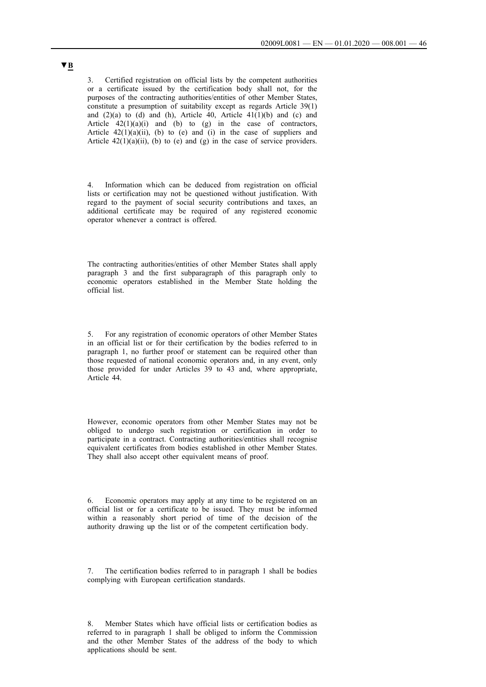3. Certified registration on official lists by the competent authorities or a certificate issued by the certification body shall not, for the purposes of the contracting authorities/entities of other Member States, constitute a presumption of suitability except as regards Article 39(1) and  $(2)(a)$  to  $(d)$  and  $(h)$ , Article 40, Article 41 $(1)(b)$  and  $(c)$  and Article  $42(1)(a)(i)$  and (b) to (g) in the case of contractors, Article  $42(1)(a)(ii)$ , (b) to (e) and (i) in the case of suppliers and Article  $42(1)(a)(ii)$ , (b) to (e) and (g) in the case of service providers.

4. Information which can be deduced from registration on official lists or certification may not be questioned without justification. With regard to the payment of social security contributions and taxes, an additional certificate may be required of any registered economic operator whenever a contract is offered.

The contracting authorities/entities of other Member States shall apply paragraph 3 and the first subparagraph of this paragraph only to economic operators established in the Member State holding the official list.

5. For any registration of economic operators of other Member States in an official list or for their certification by the bodies referred to in paragraph 1, no further proof or statement can be required other than those requested of national economic operators and, in any event, only those provided for under Articles 39 to 43 and, where appropriate, Article 44.

However, economic operators from other Member States may not be obliged to undergo such registration or certification in order to participate in a contract. Contracting authorities/entities shall recognise equivalent certificates from bodies established in other Member States. They shall also accept other equivalent means of proof.

6. Economic operators may apply at any time to be registered on an official list or for a certificate to be issued. They must be informed within a reasonably short period of time of the decision of the authority drawing up the list or of the competent certification body.

7. The certification bodies referred to in paragraph 1 shall be bodies complying with European certification standards.

8. Member States which have official lists or certification bodies as referred to in paragraph 1 shall be obliged to inform the Commission and the other Member States of the address of the body to which applications should be sent.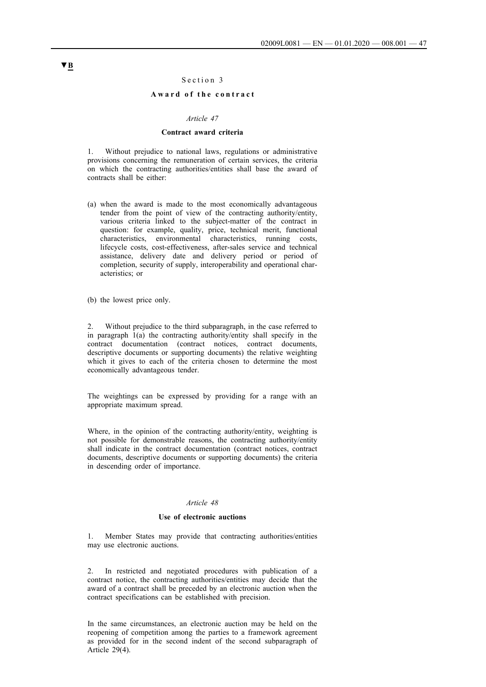### Section 3

## **A w a r d o f t h e c o n t r a c t**

#### *Article 47*

### **Contract award criteria**

1. Without prejudice to national laws, regulations or administrative provisions concerning the remuneration of certain services, the criteria on which the contracting authorities/entities shall base the award of contracts shall be either:

- (a) when the award is made to the most economically advantageous tender from the point of view of the contracting authority/entity, various criteria linked to the subject-matter of the contract in question: for example, quality, price, technical merit, functional characteristics, environmental characteristics, running costs, lifecycle costs, cost-effectiveness, after-sales service and technical assistance, delivery date and delivery period or period of completion, security of supply, interoperability and operational characteristics; or
- (b) the lowest price only.

2. Without prejudice to the third subparagraph, in the case referred to in paragraph  $1(a)$  the contracting authority/entity shall specify in the contract documentation (contract notices, contract documents, descriptive documents or supporting documents) the relative weighting which it gives to each of the criteria chosen to determine the most economically advantageous tender.

The weightings can be expressed by providing for a range with an appropriate maximum spread.

Where, in the opinion of the contracting authority/entity, weighting is not possible for demonstrable reasons, the contracting authority/entity shall indicate in the contract documentation (contract notices, contract documents, descriptive documents or supporting documents) the criteria in descending order of importance.

#### *Article 48*

### **Use of electronic auctions**

1. Member States may provide that contracting authorities/entities may use electronic auctions.

2. In restricted and negotiated procedures with publication of a contract notice, the contracting authorities/entities may decide that the award of a contract shall be preceded by an electronic auction when the contract specifications can be established with precision.

In the same circumstances, an electronic auction may be held on the reopening of competition among the parties to a framework agreement as provided for in the second indent of the second subparagraph of Article 29(4).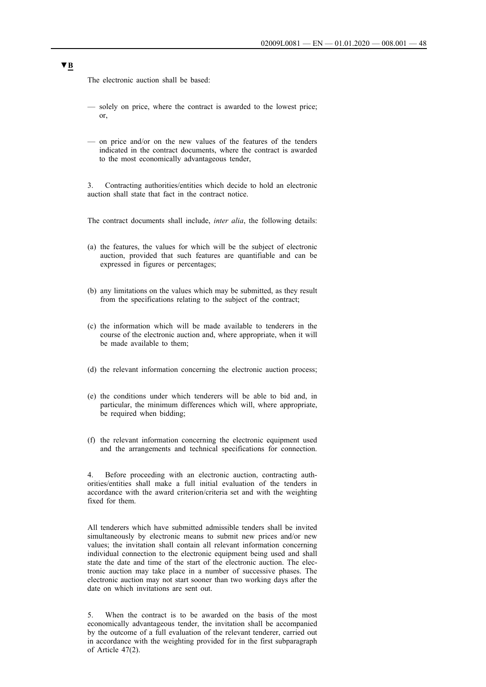The electronic auction shall be based:

- solely on price, where the contract is awarded to the lowest price; or,
- on price and/or on the new values of the features of the tenders indicated in the contract documents, where the contract is awarded to the most economically advantageous tender,

3. Contracting authorities/entities which decide to hold an electronic auction shall state that fact in the contract notice.

The contract documents shall include, *inter alia*, the following details:

- (a) the features, the values for which will be the subject of electronic auction, provided that such features are quantifiable and can be expressed in figures or percentages;
- (b) any limitations on the values which may be submitted, as they result from the specifications relating to the subject of the contract;
- (c) the information which will be made available to tenderers in the course of the electronic auction and, where appropriate, when it will be made available to them;
- (d) the relevant information concerning the electronic auction process;
- (e) the conditions under which tenderers will be able to bid and, in particular, the minimum differences which will, where appropriate, be required when bidding;
- (f) the relevant information concerning the electronic equipment used and the arrangements and technical specifications for connection.

Before proceeding with an electronic auction, contracting authorities/entities shall make a full initial evaluation of the tenders in accordance with the award criterion/criteria set and with the weighting fixed for them.

All tenderers which have submitted admissible tenders shall be invited simultaneously by electronic means to submit new prices and/or new values; the invitation shall contain all relevant information concerning individual connection to the electronic equipment being used and shall state the date and time of the start of the electronic auction. The electronic auction may take place in a number of successive phases. The electronic auction may not start sooner than two working days after the date on which invitations are sent out.

5. When the contract is to be awarded on the basis of the most economically advantageous tender, the invitation shall be accompanied by the outcome of a full evaluation of the relevant tenderer, carried out in accordance with the weighting provided for in the first subparagraph of Article 47(2).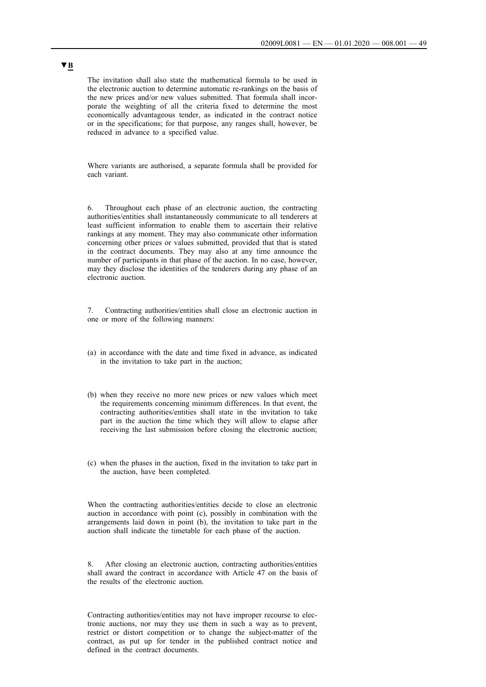The invitation shall also state the mathematical formula to be used in the electronic auction to determine automatic re-rankings on the basis of the new prices and/or new values submitted. That formula shall incorporate the weighting of all the criteria fixed to determine the most economically advantageous tender, as indicated in the contract notice or in the specifications; for that purpose, any ranges shall, however, be reduced in advance to a specified value.

Where variants are authorised, a separate formula shall be provided for each variant.

6. Throughout each phase of an electronic auction, the contracting authorities/entities shall instantaneously communicate to all tenderers at least sufficient information to enable them to ascertain their relative rankings at any moment. They may also communicate other information concerning other prices or values submitted, provided that that is stated in the contract documents. They may also at any time announce the number of participants in that phase of the auction. In no case, however, may they disclose the identities of the tenderers during any phase of an electronic auction.

7. Contracting authorities/entities shall close an electronic auction in one or more of the following manners:

- (a) in accordance with the date and time fixed in advance, as indicated in the invitation to take part in the auction;
- (b) when they receive no more new prices or new values which meet the requirements concerning minimum differences. In that event, the contracting authorities/entities shall state in the invitation to take part in the auction the time which they will allow to elapse after receiving the last submission before closing the electronic auction;
- (c) when the phases in the auction, fixed in the invitation to take part in the auction, have been completed.

When the contracting authorities/entities decide to close an electronic auction in accordance with point (c), possibly in combination with the arrangements laid down in point (b), the invitation to take part in the auction shall indicate the timetable for each phase of the auction.

8. After closing an electronic auction, contracting authorities/entities shall award the contract in accordance with Article 47 on the basis of the results of the electronic auction.

Contracting authorities/entities may not have improper recourse to electronic auctions, nor may they use them in such a way as to prevent, restrict or distort competition or to change the subject-matter of the contract, as put up for tender in the published contract notice and defined in the contract documents.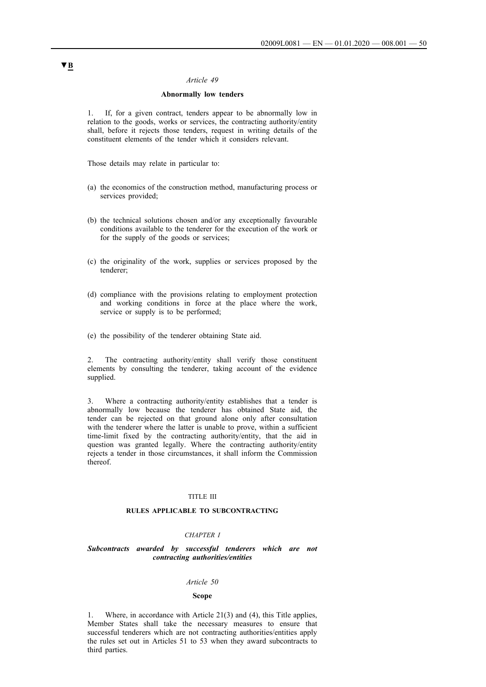### *Article 49*

## **Abnormally low tenders**

1. If, for a given contract, tenders appear to be abnormally low in relation to the goods, works or services, the contracting authority/entity shall, before it rejects those tenders, request in writing details of the constituent elements of the tender which it considers relevant.

Those details may relate in particular to:

- (a) the economics of the construction method, manufacturing process or services provided;
- (b) the technical solutions chosen and/or any exceptionally favourable conditions available to the tenderer for the execution of the work or for the supply of the goods or services;
- (c) the originality of the work, supplies or services proposed by the tenderer;
- (d) compliance with the provisions relating to employment protection and working conditions in force at the place where the work, service or supply is to be performed;
- (e) the possibility of the tenderer obtaining State aid.

2. The contracting authority/entity shall verify those constituent elements by consulting the tenderer, taking account of the evidence supplied.

3. Where a contracting authority/entity establishes that a tender is abnormally low because the tenderer has obtained State aid, the tender can be rejected on that ground alone only after consultation with the tenderer where the latter is unable to prove, within a sufficient time-limit fixed by the contracting authority/entity, that the aid in question was granted legally. Where the contracting authority/entity rejects a tender in those circumstances, it shall inform the Commission thereof.

### TITLE III

### **RULES APPLICABLE TO SUBCONTRACTING**

#### *CHAPTER I*

### *Subcontracts awarded by successful tenderers which are not contracting authorities/entities*

### *Article 50*

### **Scope**

1. Where, in accordance with Article 21(3) and (4), this Title applies, Member States shall take the necessary measures to ensure that successful tenderers which are not contracting authorities/entities apply the rules set out in Articles 51 to 53 when they award subcontracts to third parties.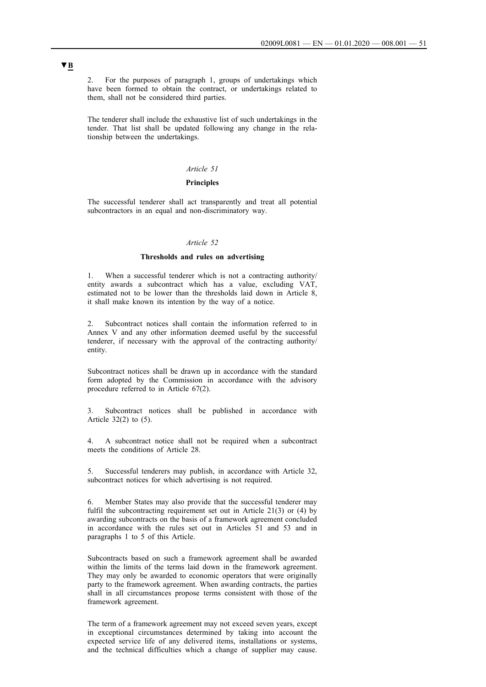2. For the purposes of paragraph 1, groups of undertakings which have been formed to obtain the contract, or undertakings related to them, shall not be considered third parties.

The tenderer shall include the exhaustive list of such undertakings in the tender. That list shall be updated following any change in the relationship between the undertakings.

### *Article 51*

### **Principles**

The successful tenderer shall act transparently and treat all potential subcontractors in an equal and non-discriminatory way.

#### *Article 52*

### **Thresholds and rules on advertising**

1. When a successful tenderer which is not a contracting authority/ entity awards a subcontract which has a value, excluding VAT, estimated not to be lower than the thresholds laid down in Article 8, it shall make known its intention by the way of a notice.

2. Subcontract notices shall contain the information referred to in Annex V and any other information deemed useful by the successful tenderer, if necessary with the approval of the contracting authority/ entity.

Subcontract notices shall be drawn up in accordance with the standard form adopted by the Commission in accordance with the advisory procedure referred to in Article 67(2).

3. Subcontract notices shall be published in accordance with Article 32(2) to (5).

4. A subcontract notice shall not be required when a subcontract meets the conditions of Article 28.

5. Successful tenderers may publish, in accordance with Article 32, subcontract notices for which advertising is not required.

6. Member States may also provide that the successful tenderer may fulfil the subcontracting requirement set out in Article  $21(3)$  or (4) by awarding subcontracts on the basis of a framework agreement concluded in accordance with the rules set out in Articles 51 and 53 and in paragraphs 1 to 5 of this Article.

Subcontracts based on such a framework agreement shall be awarded within the limits of the terms laid down in the framework agreement. They may only be awarded to economic operators that were originally party to the framework agreement. When awarding contracts, the parties shall in all circumstances propose terms consistent with those of the framework agreement.

The term of a framework agreement may not exceed seven years, except in exceptional circumstances determined by taking into account the expected service life of any delivered items, installations or systems, and the technical difficulties which a change of supplier may cause.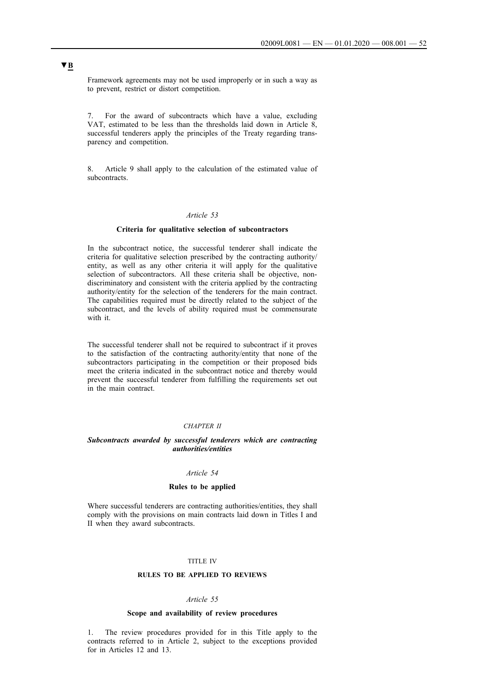Framework agreements may not be used improperly or in such a way as to prevent, restrict or distort competition.

7. For the award of subcontracts which have a value, excluding VAT, estimated to be less than the thresholds laid down in Article 8, successful tenderers apply the principles of the Treaty regarding transparency and competition.

8. Article 9 shall apply to the calculation of the estimated value of subcontracts.

#### *Article 53*

### **Criteria for qualitative selection of subcontractors**

In the subcontract notice, the successful tenderer shall indicate the criteria for qualitative selection prescribed by the contracting authority/ entity, as well as any other criteria it will apply for the qualitative selection of subcontractors. All these criteria shall be objective, nondiscriminatory and consistent with the criteria applied by the contracting authority/entity for the selection of the tenderers for the main contract. The capabilities required must be directly related to the subject of the subcontract, and the levels of ability required must be commensurate with it.

The successful tenderer shall not be required to subcontract if it proves to the satisfaction of the contracting authority/entity that none of the subcontractors participating in the competition or their proposed bids meet the criteria indicated in the subcontract notice and thereby would prevent the successful tenderer from fulfilling the requirements set out in the main contract.

### *CHAPTER II*

### *Subcontracts awarded by successful tenderers which are contracting authorities/entities*

#### *Article 54*

### **Rules to be applied**

Where successful tenderers are contracting authorities/entities, they shall comply with the provisions on main contracts laid down in Titles I and II when they award subcontracts.

### TITLE IV

## **RULES TO BE APPLIED TO REVIEWS**

#### *Article 55*

### **Scope and availability of review procedures**

1. The review procedures provided for in this Title apply to the contracts referred to in Article 2, subject to the exceptions provided for in Articles 12 and 13.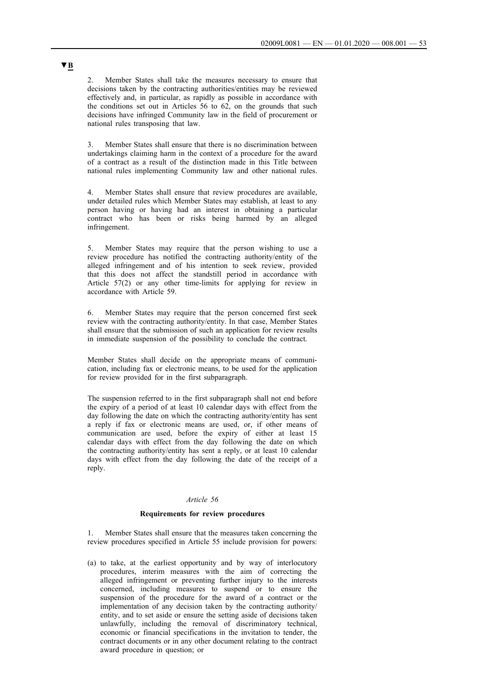2. Member States shall take the measures necessary to ensure that decisions taken by the contracting authorities/entities may be reviewed effectively and, in particular, as rapidly as possible in accordance with the conditions set out in Articles 56 to 62, on the grounds that such decisions have infringed Community law in the field of procurement or national rules transposing that law.

3. Member States shall ensure that there is no discrimination between undertakings claiming harm in the context of a procedure for the award of a contract as a result of the distinction made in this Title between national rules implementing Community law and other national rules.

4. Member States shall ensure that review procedures are available, under detailed rules which Member States may establish, at least to any person having or having had an interest in obtaining a particular contract who has been or risks being harmed by an alleged infringement.

5. Member States may require that the person wishing to use a review procedure has notified the contracting authority/entity of the alleged infringement and of his intention to seek review, provided that this does not affect the standstill period in accordance with Article 57(2) or any other time-limits for applying for review in accordance with Article 59.

6. Member States may require that the person concerned first seek review with the contracting authority/entity. In that case, Member States shall ensure that the submission of such an application for review results in immediate suspension of the possibility to conclude the contract.

Member States shall decide on the appropriate means of communication, including fax or electronic means, to be used for the application for review provided for in the first subparagraph.

The suspension referred to in the first subparagraph shall not end before the expiry of a period of at least 10 calendar days with effect from the day following the date on which the contracting authority/entity has sent a reply if fax or electronic means are used, or, if other means of communication are used, before the expiry of either at least 15 calendar days with effect from the day following the date on which the contracting authority/entity has sent a reply, or at least 10 calendar days with effect from the day following the date of the receipt of a reply.

### *Article 56*

### **Requirements for review procedures**

1. Member States shall ensure that the measures taken concerning the review procedures specified in Article 55 include provision for powers:

(a) to take, at the earliest opportunity and by way of interlocutory procedures, interim measures with the aim of correcting the alleged infringement or preventing further injury to the interests concerned, including measures to suspend or to ensure the suspension of the procedure for the award of a contract or the implementation of any decision taken by the contracting authority/ entity, and to set aside or ensure the setting aside of decisions taken unlawfully, including the removal of discriminatory technical, economic or financial specifications in the invitation to tender, the contract documents or in any other document relating to the contract award procedure in question; or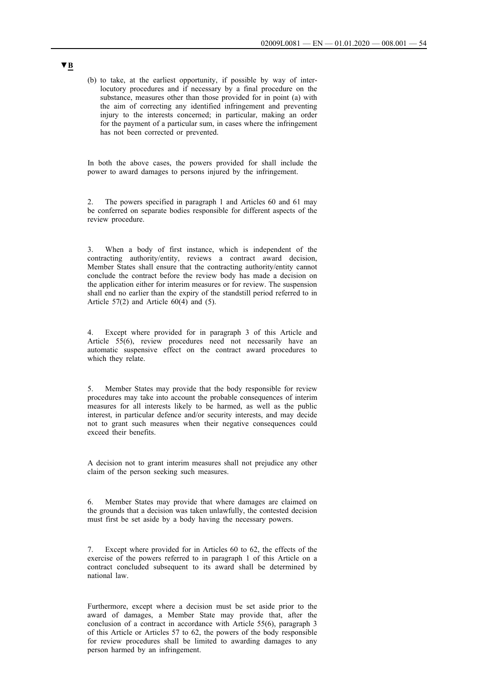(b) to take, at the earliest opportunity, if possible by way of interlocutory procedures and if necessary by a final procedure on the substance, measures other than those provided for in point (a) with the aim of correcting any identified infringement and preventing injury to the interests concerned; in particular, making an order for the payment of a particular sum, in cases where the infringement has not been corrected or prevented.

In both the above cases, the powers provided for shall include the power to award damages to persons injured by the infringement.

2. The powers specified in paragraph 1 and Articles 60 and 61 may be conferred on separate bodies responsible for different aspects of the review procedure.

3. When a body of first instance, which is independent of the contracting authority/entity, reviews a contract award decision, Member States shall ensure that the contracting authority/entity cannot conclude the contract before the review body has made a decision on the application either for interim measures or for review. The suspension shall end no earlier than the expiry of the standstill period referred to in Article 57(2) and Article 60(4) and (5).

4. Except where provided for in paragraph 3 of this Article and Article 55(6), review procedures need not necessarily have an automatic suspensive effect on the contract award procedures to which they relate.

5. Member States may provide that the body responsible for review procedures may take into account the probable consequences of interim measures for all interests likely to be harmed, as well as the public interest, in particular defence and/or security interests, and may decide not to grant such measures when their negative consequences could exceed their benefits.

A decision not to grant interim measures shall not prejudice any other claim of the person seeking such measures.

6. Member States may provide that where damages are claimed on the grounds that a decision was taken unlawfully, the contested decision must first be set aside by a body having the necessary powers.

7. Except where provided for in Articles 60 to 62, the effects of the exercise of the powers referred to in paragraph 1 of this Article on a contract concluded subsequent to its award shall be determined by national law.

Furthermore, except where a decision must be set aside prior to the award of damages, a Member State may provide that, after the conclusion of a contract in accordance with Article 55(6), paragraph 3 of this Article or Articles 57 to 62, the powers of the body responsible for review procedures shall be limited to awarding damages to any person harmed by an infringement.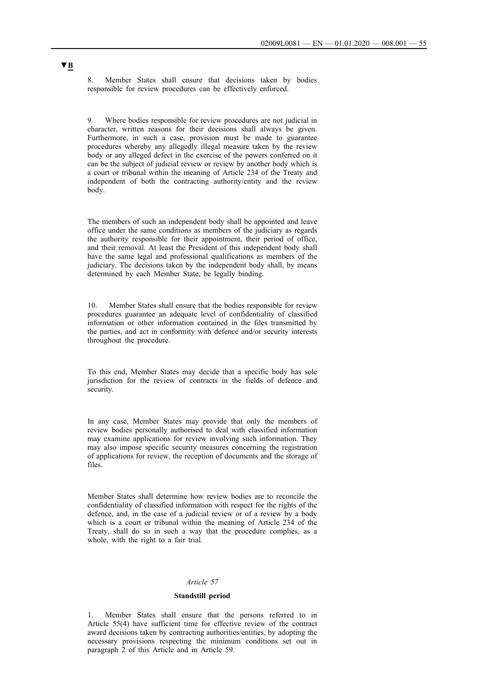8. Member States shall ensure that decisions taken by bodies responsible for review procedures can be effectively enforced.

9. Where bodies responsible for review procedures are not judicial in character, written reasons for their decisions shall always be given. Furthermore, in such a case, provision must be made to guarantee procedures whereby any allegedly illegal measure taken by the review body or any alleged defect in the exercise of the powers conferred on it can be the subject of judicial review or review by another body which is a court or tribunal within the meaning of Article 234 of the Treaty and independent of both the contracting authority/entity and the review body.

The members of such an independent body shall be appointed and leave office under the same conditions as members of the judiciary as regards the authority responsible for their appointment, their period of office, and their removal. At least the President of this independent body shall have the same legal and professional qualifications as members of the judiciary. The decisions taken by the independent body shall, by means determined by each Member State, be legally binding.

10. Member States shall ensure that the bodies responsible for review procedures guarantee an adequate level of confidentiality of classified information or other information contained in the files transmitted by the parties, and act in conformity with defence and/or security interests throughout the procedure.

To this end, Member States may decide that a specific body has sole jurisdiction for the review of contracts in the fields of defence and security.

In any case, Member States may provide that only the members of review bodies personally authorised to deal with classified information may examine applications for review involving such information. They may also impose specific security measures concerning the registration of applications for review, the reception of documents and the storage of files.

Member States shall determine how review bodies are to reconcile the confidentiality of classified information with respect for the rights of the defence, and, in the case of a judicial review or of a review by a body which is a court or tribunal within the meaning of Article 234 of the Treaty, shall do so in such a way that the procedure complies, as a whole, with the right to a fair trial.

#### *Article 57*

### **Standstill period**

1. Member States shall ensure that the persons referred to in Article 55(4) have sufficient time for effective review of the contract award decisions taken by contracting authorities/entities, by adopting the necessary provisions respecting the minimum conditions set out in paragraph 2 of this Article and in Article 59.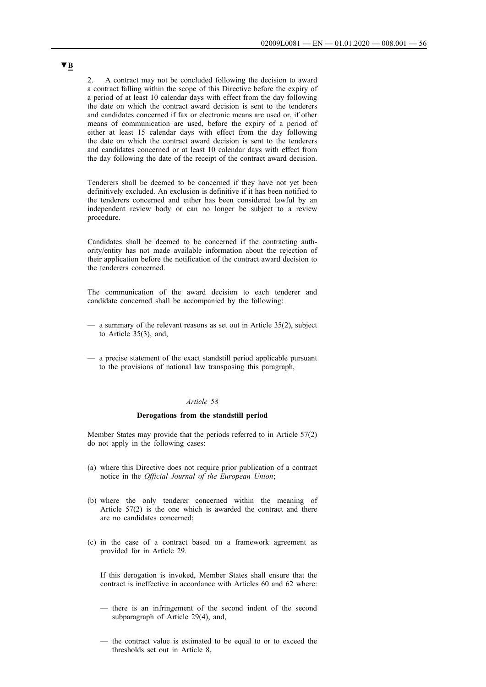2. A contract may not be concluded following the decision to award a contract falling within the scope of this Directive before the expiry of a period of at least 10 calendar days with effect from the day following the date on which the contract award decision is sent to the tenderers and candidates concerned if fax or electronic means are used or, if other means of communication are used, before the expiry of a period of either at least 15 calendar days with effect from the day following the date on which the contract award decision is sent to the tenderers and candidates concerned or at least 10 calendar days with effect from the day following the date of the receipt of the contract award decision.

Tenderers shall be deemed to be concerned if they have not yet been definitively excluded. An exclusion is definitive if it has been notified to the tenderers concerned and either has been considered lawful by an independent review body or can no longer be subject to a review procedure.

Candidates shall be deemed to be concerned if the contracting authority/entity has not made available information about the rejection of their application before the notification of the contract award decision to the tenderers concerned.

The communication of the award decision to each tenderer and candidate concerned shall be accompanied by the following:

- a summary of the relevant reasons as set out in Article 35(2), subject to Article 35(3), and,
- a precise statement of the exact standstill period applicable pursuant to the provisions of national law transposing this paragraph,

### *Article 58*

### **Derogations from the standstill period**

Member States may provide that the periods referred to in Article 57(2) do not apply in the following cases:

- (a) where this Directive does not require prior publication of a contract notice in the *Official Journal of the European Union*;
- (b) where the only tenderer concerned within the meaning of Article 57(2) is the one which is awarded the contract and there are no candidates concerned;
- (c) in the case of a contract based on a framework agreement as provided for in Article 29.

If this derogation is invoked, Member States shall ensure that the contract is ineffective in accordance with Articles 60 and 62 where:

- there is an infringement of the second indent of the second subparagraph of Article 29(4), and,
- the contract value is estimated to be equal to or to exceed the thresholds set out in Article 8,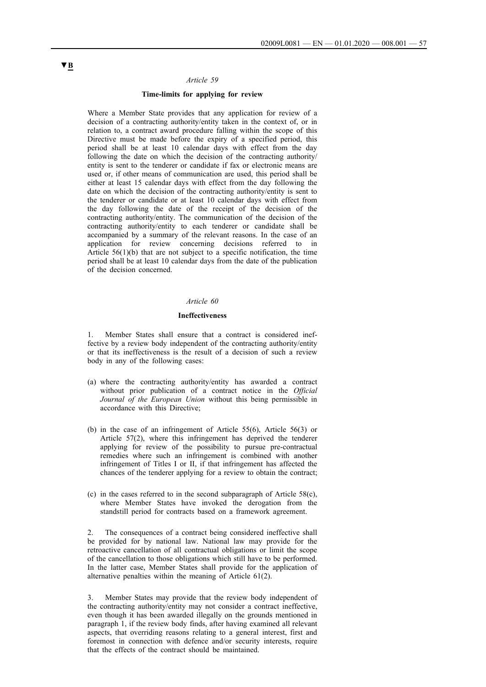### *Article 59*

### **Time-limits for applying for review**

Where a Member State provides that any application for review of a decision of a contracting authority/entity taken in the context of, or in relation to, a contract award procedure falling within the scope of this Directive must be made before the expiry of a specified period, this period shall be at least 10 calendar days with effect from the day following the date on which the decision of the contracting authority/ entity is sent to the tenderer or candidate if fax or electronic means are used or, if other means of communication are used, this period shall be either at least 15 calendar days with effect from the day following the date on which the decision of the contracting authority/entity is sent to the tenderer or candidate or at least 10 calendar days with effect from the day following the date of the receipt of the decision of the contracting authority/entity. The communication of the decision of the contracting authority/entity to each tenderer or candidate shall be accompanied by a summary of the relevant reasons. In the case of an application for review concerning decisions referred to in Article  $56(1)(b)$  that are not subject to a specific notification, the time period shall be at least 10 calendar days from the date of the publication of the decision concerned.

### *Article 60*

### **Ineffectiveness**

1. Member States shall ensure that a contract is considered ineffective by a review body independent of the contracting authority/entity or that its ineffectiveness is the result of a decision of such a review body in any of the following cases:

- (a) where the contracting authority/entity has awarded a contract without prior publication of a contract notice in the *Official Journal of the European Union* without this being permissible in accordance with this Directive;
- (b) in the case of an infringement of Article 55(6), Article 56(3) or Article 57(2), where this infringement has deprived the tenderer applying for review of the possibility to pursue pre-contractual remedies where such an infringement is combined with another infringement of Titles I or II, if that infringement has affected the chances of the tenderer applying for a review to obtain the contract;
- (c) in the cases referred to in the second subparagraph of Article 58(c), where Member States have invoked the derogation from the standstill period for contracts based on a framework agreement.

2. The consequences of a contract being considered ineffective shall be provided for by national law. National law may provide for the retroactive cancellation of all contractual obligations or limit the scope of the cancellation to those obligations which still have to be performed. In the latter case, Member States shall provide for the application of alternative penalties within the meaning of Article 61(2).

Member States may provide that the review body independent of the contracting authority/entity may not consider a contract ineffective, even though it has been awarded illegally on the grounds mentioned in paragraph 1, if the review body finds, after having examined all relevant aspects, that overriding reasons relating to a general interest, first and foremost in connection with defence and/or security interests, require that the effects of the contract should be maintained.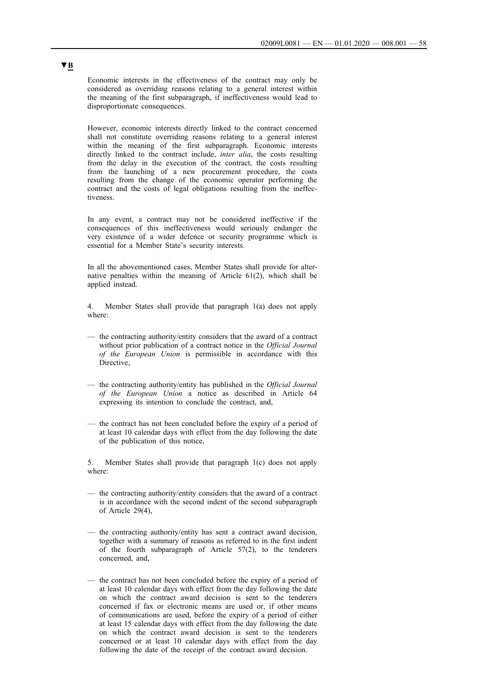Economic interests in the effectiveness of the contract may only be considered as overriding reasons relating to a general interest within the meaning of the first subparagraph, if ineffectiveness would lead to disproportionate consequences.

However, economic interests directly linked to the contract concerned shall not constitute overriding reasons relating to a general interest within the meaning of the first subparagraph. Economic interests directly linked to the contract include, *inter alia*, the costs resulting from the delay in the execution of the contract, the costs resulting from the launching of a new procurement procedure, the costs resulting from the change of the economic operator performing the contract and the costs of legal obligations resulting from the ineffectiveness.

In any event, a contract may not be considered ineffective if the consequences of this ineffectiveness would seriously endanger the very existence of a wider defence or security programme which is essential for a Member State's security interests.

In all the abovementioned cases, Member States shall provide for alternative penalties within the meaning of Article 61(2), which shall be applied instead.

4. Member States shall provide that paragraph 1(a) does not apply where:

- the contracting authority/entity considers that the award of a contract without prior publication of a contract notice in the *Official Journal of the European Union* is permissible in accordance with this Directive,
- the contracting authority/entity has published in the *Official Journal of the European Union* a notice as described in Article 64 expressing its intention to conclude the contract, and,
- the contract has not been concluded before the expiry of a period of at least 10 calendar days with effect from the day following the date of the publication of this notice,

5. Member States shall provide that paragraph 1(c) does not apply where:

- the contracting authority/entity considers that the award of a contract is in accordance with the second indent of the second subparagraph of Article 29(4),
- the contracting authority/entity has sent a contract award decision, together with a summary of reasons as referred to in the first indent of the fourth subparagraph of Article 57(2), to the tenderers concerned, and,
- the contract has not been concluded before the expiry of a period of at least 10 calendar days with effect from the day following the date on which the contract award decision is sent to the tenderers concerned if fax or electronic means are used or, if other means of communications are used, before the expiry of a period of either at least 15 calendar days with effect from the day following the date on which the contract award decision is sent to the tenderers concerned or at least 10 calendar days with effect from the day following the date of the receipt of the contract award decision.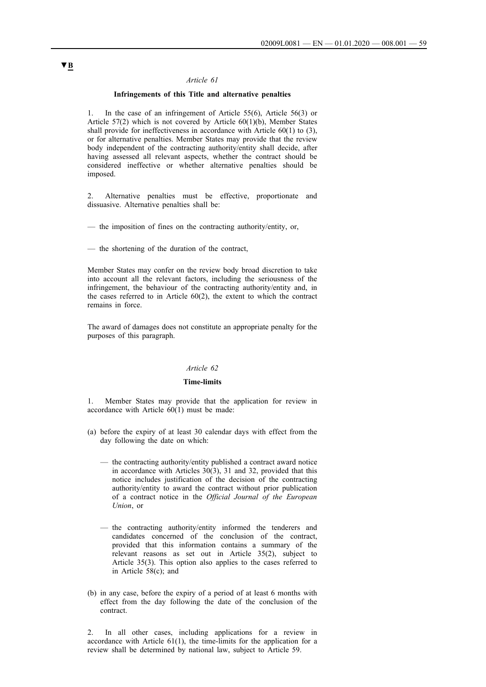### *Article 61*

### **Infringements of this Title and alternative penalties**

1. In the case of an infringement of Article 55(6), Article 56(3) or Article 57(2) which is not covered by Article 60(1)(b), Member States shall provide for ineffectiveness in accordance with Article 60(1) to (3), or for alternative penalties. Member States may provide that the review body independent of the contracting authority/entity shall decide, after having assessed all relevant aspects, whether the contract should be considered ineffective or whether alternative penalties should be imposed.

Alternative penalties must be effective, proportionate and dissuasive. Alternative penalties shall be:

- the imposition of fines on the contracting authority/entity, or,
- the shortening of the duration of the contract,

Member States may confer on the review body broad discretion to take into account all the relevant factors, including the seriousness of the infringement, the behaviour of the contracting authority/entity and, in the cases referred to in Article 60(2), the extent to which the contract remains in force.

The award of damages does not constitute an appropriate penalty for the purposes of this paragraph.

#### *Article 62*

### **Time-limits**

1. Member States may provide that the application for review in accordance with Article  $60(1)$  must be made:

- (a) before the expiry of at least 30 calendar days with effect from the day following the date on which:
	- the contracting authority/entity published a contract award notice in accordance with Articles 30(3), 31 and 32, provided that this notice includes justification of the decision of the contracting authority/entity to award the contract without prior publication of a contract notice in the *Official Journal of the European Union*, or
	- the contracting authority/entity informed the tenderers and candidates concerned of the conclusion of the contract, provided that this information contains a summary of the relevant reasons as set out in Article 35(2), subject to Article 35(3). This option also applies to the cases referred to in Article 58(c); and
- (b) in any case, before the expiry of a period of at least 6 months with effect from the day following the date of the conclusion of the contract.

2. In all other cases, including applications for a review in accordance with Article 61(1), the time-limits for the application for a review shall be determined by national law, subject to Article 59.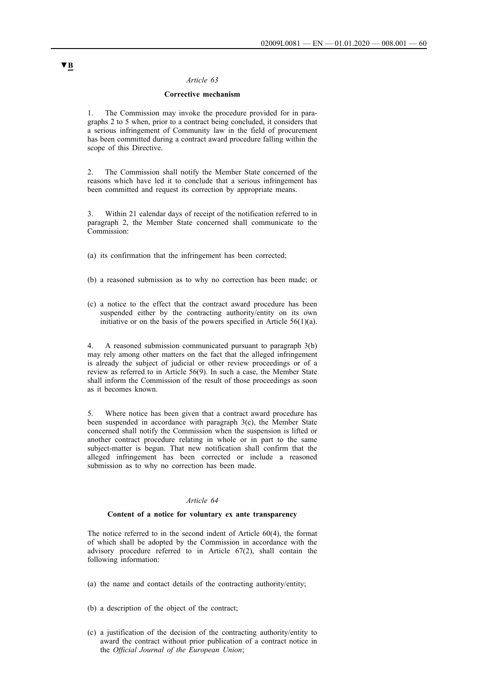### *Article 63*

## **Corrective mechanism**

The Commission may invoke the procedure provided for in paragraphs 2 to 5 when, prior to a contract being concluded, it considers that a serious infringement of Community law in the field of procurement has been committed during a contract award procedure falling within the scope of this Directive.

2. The Commission shall notify the Member State concerned of the reasons which have led it to conclude that a serious infringement has been committed and request its correction by appropriate means.

3. Within 21 calendar days of receipt of the notification referred to in paragraph 2, the Member State concerned shall communicate to the Commission:

(a) its confirmation that the infringement has been corrected;

- (b) a reasoned submission as to why no correction has been made; or
- (c) a notice to the effect that the contract award procedure has been suspended either by the contracting authority/entity on its own initiative or on the basis of the powers specified in Article  $56(1)(a)$ .

4. A reasoned submission communicated pursuant to paragraph 3(b) may rely among other matters on the fact that the alleged infringement is already the subject of judicial or other review proceedings or of a review as referred to in Article 56(9). In such a case, the Member State shall inform the Commission of the result of those proceedings as soon as it becomes known.

5. Where notice has been given that a contract award procedure has been suspended in accordance with paragraph 3(c), the Member State concerned shall notify the Commission when the suspension is lifted or another contract procedure relating in whole or in part to the same subject-matter is begun. That new notification shall confirm that the alleged infringement has been corrected or include a reasoned submission as to why no correction has been made.

### *Article 64*

### **Content of a notice for voluntary ex ante transparency**

The notice referred to in the second indent of Article 60(4), the format of which shall be adopted by the Commission in accordance with the advisory procedure referred to in Article 67(2), shall contain the following information:

- (a) the name and contact details of the contracting authority/entity;
- (b) a description of the object of the contract;
- (c) a justification of the decision of the contracting authority/entity to award the contract without prior publication of a contract notice in the *Official Journal of the European Union*;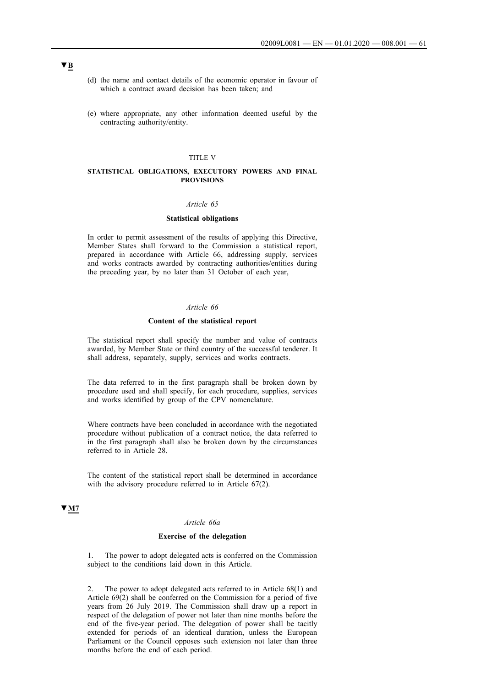- (d) the name and contact details of the economic operator in favour of which a contract award decision has been taken; and
- (e) where appropriate, any other information deemed useful by the contracting authority/entity.

### TITLE V

### **STATISTICAL OBLIGATIONS, EXECUTORY POWERS AND FINAL PROVISIONS**

### *Article 65*

### **Statistical obligations**

In order to permit assessment of the results of applying this Directive, Member States shall forward to the Commission a statistical report, prepared in accordance with Article 66, addressing supply, services and works contracts awarded by contracting authorities/entities during the preceding year, by no later than 31 October of each year,

### *Article 66*

### **Content of the statistical report**

The statistical report shall specify the number and value of contracts awarded, by Member State or third country of the successful tenderer. It shall address, separately, supply, services and works contracts.

The data referred to in the first paragraph shall be broken down by procedure used and shall specify, for each procedure, supplies, services and works identified by group of the CPV nomenclature.

Where contracts have been concluded in accordance with the negotiated procedure without publication of a contract notice, the data referred to in the first paragraph shall also be broken down by the circumstances referred to in Article 28.

The content of the statistical report shall be determined in accordance with the advisory procedure referred to in Article 67(2).

## **▼M7**

## *Article 66a*

### **Exercise of the delegation**

1. The power to adopt delegated acts is conferred on the Commission subject to the conditions laid down in this Article.

2. The power to adopt delegated acts referred to in Article 68(1) and Article 69(2) shall be conferred on the Commission for a period of five years from 26 July 2019. The Commission shall draw up a report in respect of the delegation of power not later than nine months before the end of the five-year period. The delegation of power shall be tacitly extended for periods of an identical duration, unless the European Parliament or the Council opposes such extension not later than three months before the end of each period.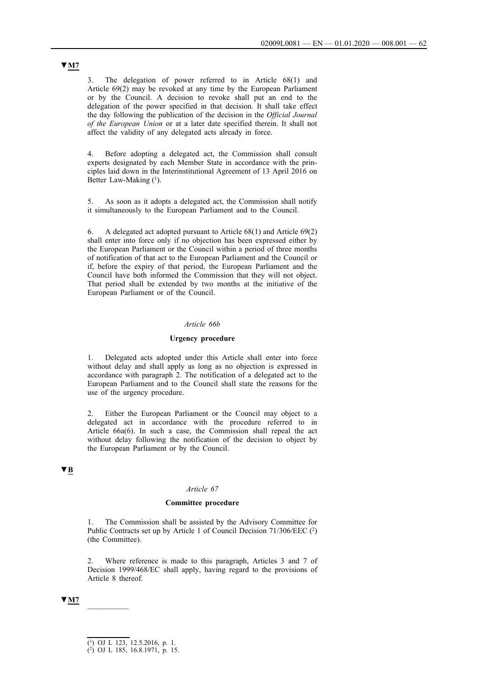3. The delegation of power referred to in Article 68(1) and Article 69(2) may be revoked at any time by the European Parliament or by the Council. A decision to revoke shall put an end to the delegation of the power specified in that decision. It shall take effect the day following the publication of the decision in the *Official Journal of the European Union* or at a later date specified therein. It shall not affect the validity of any delegated acts already in force.

4. Before adopting a delegated act, the Commission shall consult experts designated by each Member State in accordance with the principles laid down in the Interinstitutional Agreement of 13 April 2016 on Better Law-Making  $(1)$ .

5. As soon as it adopts a delegated act, the Commission shall notify it simultaneously to the European Parliament and to the Council.

6. A delegated act adopted pursuant to Article 68(1) and Article 69(2) shall enter into force only if no objection has been expressed either by the European Parliament or the Council within a period of three months of notification of that act to the European Parliament and the Council or if, before the expiry of that period, the European Parliament and the Council have both informed the Commission that they will not object. That period shall be extended by two months at the initiative of the European Parliament or of the Council.

#### *Article 66b*

#### **Urgency procedure**

1. Delegated acts adopted under this Article shall enter into force without delay and shall apply as long as no objection is expressed in accordance with paragraph 2. The notification of a delegated act to the European Parliament and to the Council shall state the reasons for the use of the urgency procedure.

2. Either the European Parliament or the Council may object to a delegated act in accordance with the procedure referred to in Article 66a(6). In such a case, the Commission shall repeal the act without delay following the notification of the decision to object by the European Parliament or by the Council.

# **▼B**

#### *Article 67*

### **Committee procedure**

1. The Commission shall be assisted by the Advisory Committee for Public Contracts set up by Article 1 of Council Decision 71/306/EEC (2) (the Committee).

2. Where reference is made to this paragraph, Articles 3 and 7 of Decision 1999/468/EC shall apply, having regard to the provisions of Article 8 thereof.

**▼M7** \_\_\_\_\_\_\_\_\_\_

## **▼M7**

<sup>(1)</sup> OJ L 123, 12.5.2016, p. 1.

<sup>(2)</sup> OJ L 185, 16.8.1971, p. 15.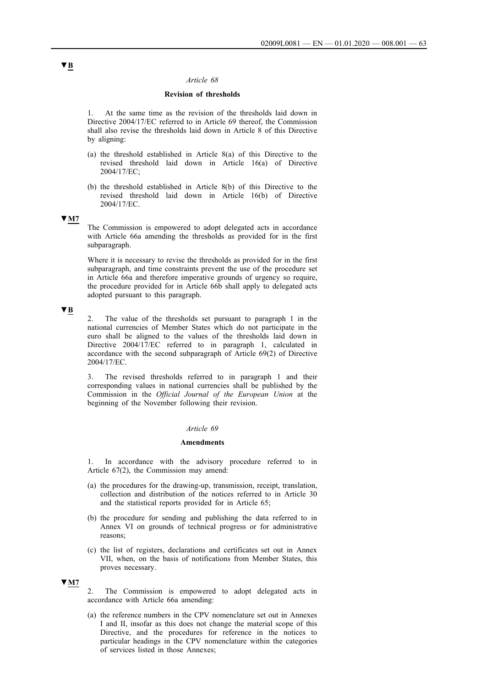### *Article 68*

## **Revision of thresholds**

1. At the same time as the revision of the thresholds laid down in Directive 2004/17/EC referred to in Article 69 thereof, the Commission shall also revise the thresholds laid down in Article 8 of this Directive by aligning:

- (a) the threshold established in Article 8(a) of this Directive to the revised threshold laid down in Article 16(a) of Directive 2004/17/EC;
- (b) the threshold established in Article 8(b) of this Directive to the revised threshold laid down in Article 16(b) of Directive 2004/17/EC.

### **▼M7**

The Commission is empowered to adopt delegated acts in accordance with Article 66a amending the thresholds as provided for in the first subparagraph.

Where it is necessary to revise the thresholds as provided for in the first subparagraph, and time constraints prevent the use of the procedure set in Article 66a and therefore imperative grounds of urgency so require, the procedure provided for in Article 66b shall apply to delegated acts adopted pursuant to this paragraph.

### **▼B**

2. The value of the thresholds set pursuant to paragraph 1 in the national currencies of Member States which do not participate in the euro shall be aligned to the values of the thresholds laid down in Directive 2004/17/EC referred to in paragraph 1, calculated in accordance with the second subparagraph of Article 69(2) of Directive 2004/17/EC.

3. The revised thresholds referred to in paragraph 1 and their corresponding values in national currencies shall be published by the Commission in the *Official Journal of the European Union* at the beginning of the November following their revision.

#### *Article 69*

### **Amendments**

1. In accordance with the advisory procedure referred to in Article 67(2), the Commission may amend:

- (a) the procedures for the drawing-up, transmission, receipt, translation, collection and distribution of the notices referred to in Article 30 and the statistical reports provided for in Article 65;
- (b) the procedure for sending and publishing the data referred to in Annex VI on grounds of technical progress or for administrative reasons;
- (c) the list of registers, declarations and certificates set out in Annex VII, when, on the basis of notifications from Member States, this proves necessary.

### **▼M7**

2. The Commission is empowered to adopt delegated acts in accordance with Article 66a amending:

(a) the reference numbers in the CPV nomenclature set out in Annexes I and II, insofar as this does not change the material scope of this Directive, and the procedures for reference in the notices to particular headings in the CPV nomenclature within the categories of services listed in those Annexes;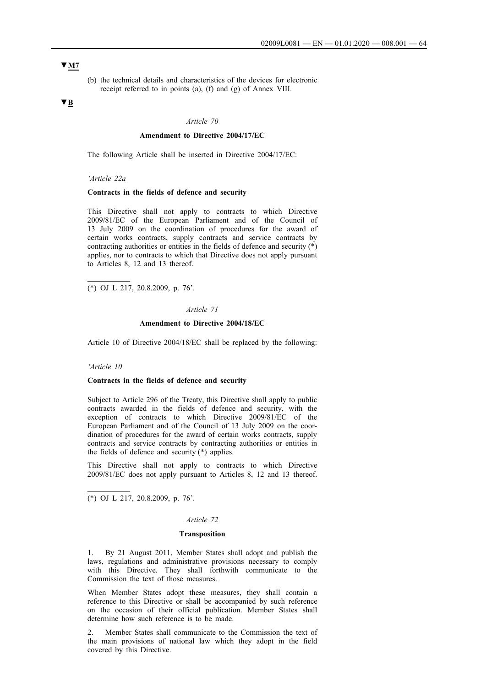**▼M7**

(b) the technical details and characteristics of the devices for electronic receipt referred to in points (a), (f) and (g) of Annex VIII.

## **▼B**

### *Article 70*

### **Amendment to Directive 2004/17/EC**

The following Article shall be inserted in Directive 2004/17/EC:

*'Article 22a*

### **Contracts in the fields of defence and security**

This Directive shall not apply to contracts to which Directive 2009/81/EC of the European Parliament and of the Council of 13 July 2009 on the coordination of procedures for the award of certain works contracts, supply contracts and service contracts by contracting authorities or entities in the fields of defence and security (\*) applies, nor to contracts to which that Directive does not apply pursuant to Articles 8, 12 and 13 thereof.

(\*) OJ L 217, 20.8.2009, p. 76'.

### *Article 71*

#### **Amendment to Directive 2004/18/EC**

Article 10 of Directive 2004/18/EC shall be replaced by the following:

#### *'Article 10*

### **Contracts in the fields of defence and security**

Subject to Article 296 of the Treaty, this Directive shall apply to public contracts awarded in the fields of defence and security, with the exception of contracts to which Directive 2009/81/EC of the European Parliament and of the Council of 13 July 2009 on the coordination of procedures for the award of certain works contracts, supply contracts and service contracts by contracting authorities or entities in the fields of defence and security (\*) applies.

This Directive shall not apply to contracts to which Directive 2009/81/EC does not apply pursuant to Articles 8, 12 and 13 thereof.

(\*) OJ L 217, 20.8.2009, p. 76'.

### *Article 72*

#### **Transposition**

1. By 21 August 2011, Member States shall adopt and publish the laws, regulations and administrative provisions necessary to comply with this Directive. They shall forthwith communicate to the Commission the text of those measures.

When Member States adopt these measures, they shall contain a reference to this Directive or shall be accompanied by such reference on the occasion of their official publication. Member States shall determine how such reference is to be made.

2. Member States shall communicate to the Commission the text of the main provisions of national law which they adopt in the field covered by this Directive.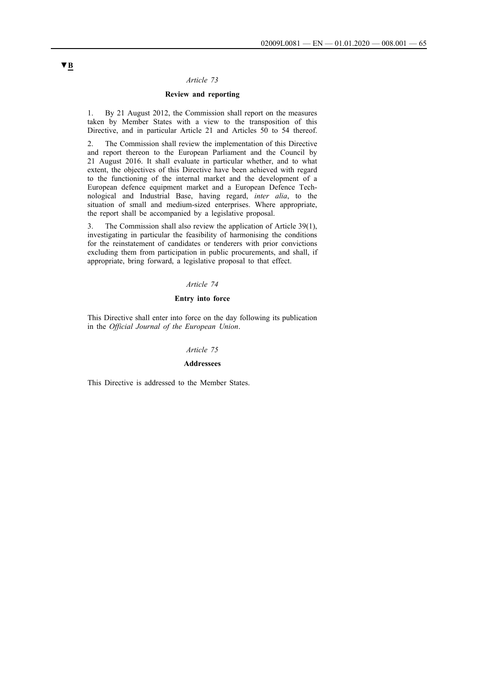## *Article 73*

## **Review and reporting**

1. By 21 August 2012, the Commission shall report on the measures taken by Member States with a view to the transposition of this Directive, and in particular Article 21 and Articles 50 to 54 thereof.

2. The Commission shall review the implementation of this Directive and report thereon to the European Parliament and the Council by 21 August 2016. It shall evaluate in particular whether, and to what extent, the objectives of this Directive have been achieved with regard to the functioning of the internal market and the development of a European defence equipment market and a European Defence Technological and Industrial Base, having regard, *inter alia*, to the situation of small and medium-sized enterprises. Where appropriate, the report shall be accompanied by a legislative proposal.

3. The Commission shall also review the application of Article 39(1), investigating in particular the feasibility of harmonising the conditions for the reinstatement of candidates or tenderers with prior convictions excluding them from participation in public procurements, and shall, if appropriate, bring forward, a legislative proposal to that effect.

### *Article 74*

## **Entry into force**

This Directive shall enter into force on the day following its publication in the *Official Journal of the European Union*.

#### *Article 75*

### **Addressees**

This Directive is addressed to the Member States.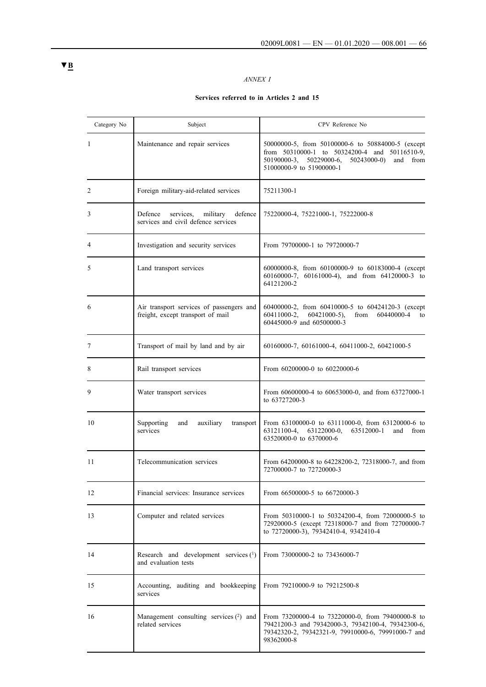# *ANNEX I*

# **Services referred to in Articles 2 and 15**

| Category No | Subject                                                                            | CPV Reference No                                                                                                                                                                         |
|-------------|------------------------------------------------------------------------------------|------------------------------------------------------------------------------------------------------------------------------------------------------------------------------------------|
| 1           | Maintenance and repair services                                                    | 50000000-5, from 50100000-6 to 50884000-5 (except<br>from 50310000-1 to 50324200-4 and 50116510-9,<br>50190000-3, 50229000-6,<br>$50243000-0$<br>and<br>from<br>51000000-9 to 51900000-1 |
| 2           | Foreign military-aid-related services                                              | 75211300-1                                                                                                                                                                               |
| 3           | defence<br>Defence<br>services.<br>military<br>services and civil defence services | 75220000-4, 75221000-1, 75222000-8                                                                                                                                                       |
| 4           | Investigation and security services                                                | From 79700000-1 to 79720000-7                                                                                                                                                            |
| 5           | Land transport services                                                            | 60000000-8, from 60100000-9 to 60183000-4 (except<br>60160000-7, 60161000-4), and from 64120000-3 to<br>64121200-2                                                                       |
| 6           | Air transport services of passengers and<br>freight, except transport of mail      | 60400000-2, from 60410000-5 to 60424120-3 (except<br>60411000-2.<br>$60421000-5$ ,<br>from<br>60440000-4<br>to<br>60445000-9 and 60500000-3                                              |
| 7           | Transport of mail by land and by air                                               | 60160000-7, 60161000-4, 60411000-2, 60421000-5                                                                                                                                           |
| 8           | Rail transport services                                                            | From 60200000-0 to 60220000-6                                                                                                                                                            |
| 9           | Water transport services                                                           | From 60600000-4 to 60653000-0, and from 63727000-1<br>to 63727200-3                                                                                                                      |
| 10          | Supporting<br>auxiliary<br>and<br>transport<br>services                            | From 63100000-0 to 63111000-0, from 63120000-6 to<br>63121100-4, 63122000-0, 63512000-1<br>from<br>and<br>63520000-0 to 6370000-6                                                        |
| 11          | Telecommunication services                                                         | From 64200000-8 to 64228200-2, 72318000-7, and from<br>72700000-7 to 72720000-3                                                                                                          |
| 12          | Financial services: Insurance services                                             | From 66500000-5 to 66720000-3                                                                                                                                                            |
| 13          | Computer and related services                                                      | From 50310000-1 to 50324200-4, from 72000000-5 to<br>72920000-5 (except 72318000-7 and from 72700000-7<br>to 72720000-3), 79342410-4, 9342410-4                                          |
| 14          | Research and development services $(1)$<br>and evaluation tests                    | From 73000000-2 to 73436000-7                                                                                                                                                            |
| 15          | Accounting, auditing and bookkeeping<br>services                                   | From 79210000-9 to 79212500-8                                                                                                                                                            |
| 16          | Management consulting services $(2)$ and<br>related services                       | From 73200000-4 to 73220000-0, from 79400000-8 to<br>79421200-3 and 79342000-3, 79342100-4, 79342300-6,<br>79342320-2, 79342321-9, 79910000-6, 79991000-7 and<br>98362000-8              |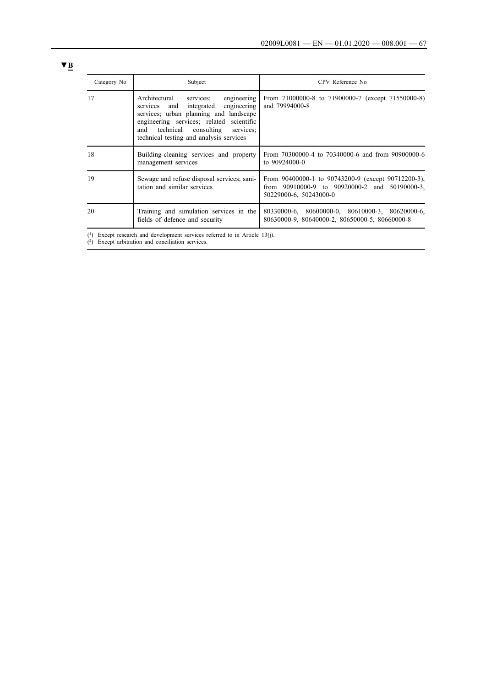| Category No | Subject                                                                                                                                                                                                                                                       | CPV Reference No.                                                                                                             |
|-------------|---------------------------------------------------------------------------------------------------------------------------------------------------------------------------------------------------------------------------------------------------------------|-------------------------------------------------------------------------------------------------------------------------------|
| 17          | Architectural<br>engineering<br>services;<br>services and integrated engineering<br>services; urban planning and landscape<br>engineering services; related scientific<br>technical consulting<br>and<br>services;<br>technical testing and analysis services | From 71000000-8 to 71900000-7 (except 71550000-8)<br>and 79994000-8                                                           |
| 18          | Building-cleaning services and property<br>management services                                                                                                                                                                                                | From 70300000-4 to 70340000-6 and from 90900000-6<br>to $90924000-0$                                                          |
| 19          | Sewage and refuse disposal services; sani-<br>tation and similar services                                                                                                                                                                                     | From 90400000-1 to 90743200-9 (except 90712200-3),<br>from 90910000-9 to 90920000-2 and 50190000-3,<br>50229000-6, 50243000-0 |
| 20          | Training and simulation services in the<br>fields of defence and security                                                                                                                                                                                     | 80330000-6, 80600000-0, 80610000-3, 80620000-6,<br>80630000-9, 80640000-2, 80650000-5, 80660000-8                             |

 $(1)$  Except research and development services referred to in Article 13(j).

(2) Except arbitration and conciliation services.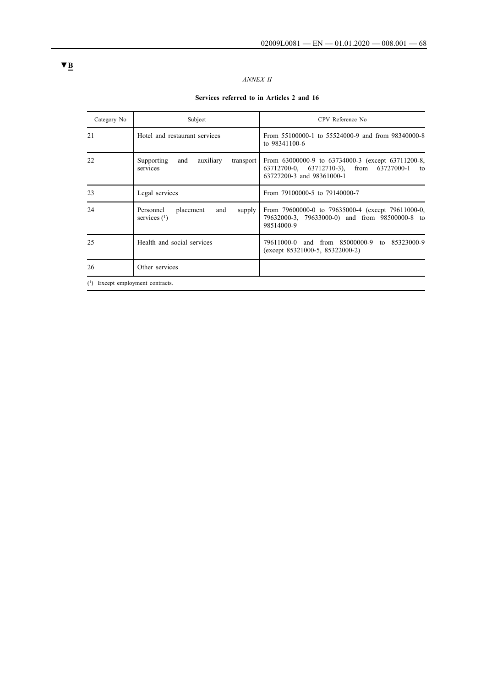## *ANNEX II*

## **Services referred to in Articles 2 and 16**

| Category No                        | Subject                                                   | CPV Reference No                                                                                                              |
|------------------------------------|-----------------------------------------------------------|-------------------------------------------------------------------------------------------------------------------------------|
| 21                                 | Hotel and restaurant services                             | From 55100000-1 to 55524000-9 and from 98340000-8<br>to 98341100-6                                                            |
| 22                                 | auxiliary<br>Supporting<br>transport<br>and<br>services   | From 63000000-9 to 63734000-3 (except 63711200-8,<br>63712700-0, 63712710-3), from 63727000-1 to<br>63727200-3 and 98361000-1 |
| 23                                 | Legal services                                            | From 79100000-5 to 79140000-7                                                                                                 |
| 24                                 | Personnel<br>placement<br>supply<br>and<br>services $(1)$ | From 79600000-0 to 79635000-4 (except 79611000-0,<br>79632000-3, 79633000-0) and from 98500000-8 to<br>98514000-9             |
| 25                                 | Health and social services                                | and from 85000000-9 to 85323000-9<br>79611000-0<br>$(except 85321000-5, 85322000-2)$                                          |
| 26                                 | Other services                                            |                                                                                                                               |
| $(1)$ Except employment contracts. |                                                           |                                                                                                                               |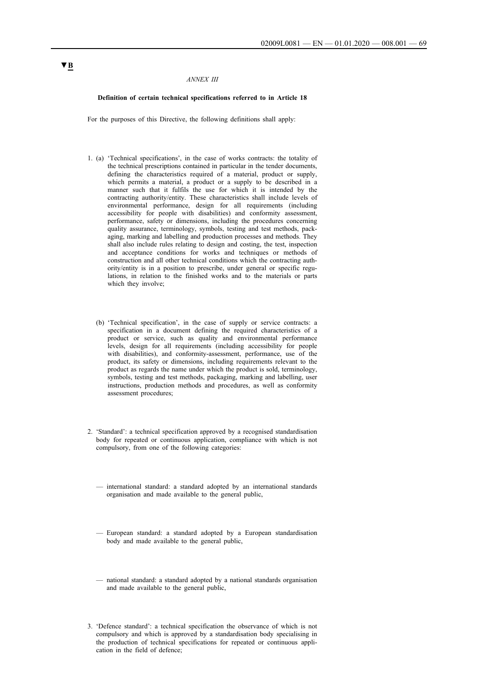#### *ANNEX III*

#### **Definition of certain technical specifications referred to in Article 18**

For the purposes of this Directive, the following definitions shall apply:

- 1. (a) 'Technical specifications', in the case of works contracts: the totality of the technical prescriptions contained in particular in the tender documents, defining the characteristics required of a material, product or supply, which permits a material, a product or a supply to be described in a manner such that it fulfils the use for which it is intended by the contracting authority/entity. These characteristics shall include levels of environmental performance, design for all requirements (including accessibility for people with disabilities) and conformity assessment, performance, safety or dimensions, including the procedures concerning quality assurance, terminology, symbols, testing and test methods, packaging, marking and labelling and production processes and methods. They shall also include rules relating to design and costing, the test, inspection and acceptance conditions for works and techniques or methods of construction and all other technical conditions which the contracting authority/entity is in a position to prescribe, under general or specific regulations, in relation to the finished works and to the materials or parts which they involve;
	- (b) 'Technical specification', in the case of supply or service contracts: a specification in a document defining the required characteristics of a product or service, such as quality and environmental performance levels, design for all requirements (including accessibility for people with disabilities), and conformity-assessment, performance, use of the product, its safety or dimensions, including requirements relevant to the product as regards the name under which the product is sold, terminology, symbols, testing and test methods, packaging, marking and labelling, user instructions, production methods and procedures, as well as conformity assessment procedures;
- 2. 'Standard': a technical specification approved by a recognised standardisation body for repeated or continuous application, compliance with which is not compulsory, from one of the following categories:
	- international standard: a standard adopted by an international standards organisation and made available to the general public,
	- European standard: a standard adopted by a European standardisation body and made available to the general public,
	- national standard: a standard adopted by a national standards organisation and made available to the general public,
- 3. 'Defence standard': a technical specification the observance of which is not compulsory and which is approved by a standardisation body specialising in the production of technical specifications for repeated or continuous application in the field of defence;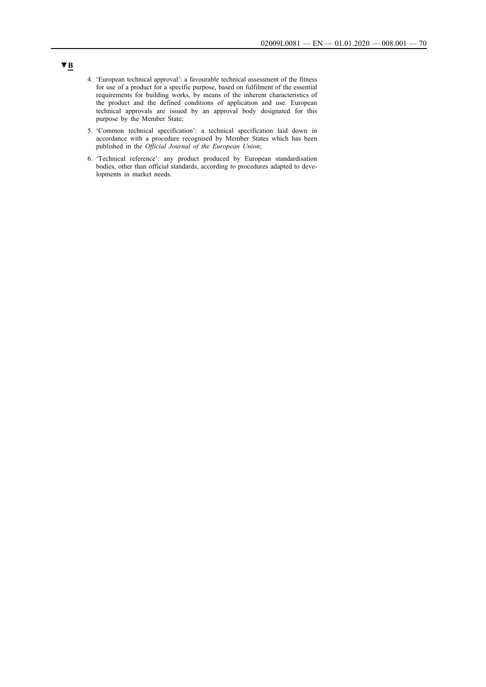- 4. 'European technical approval': a favourable technical assessment of the fitness for use of a product for a specific purpose, based on fulfilment of the essential requirements for building works, by means of the inherent characteristics of the product and the defined conditions of application and use. European technical approvals are issued by an approval body designated for this purpose by the Member State;
- 5. 'Common technical specification': a technical specification laid down in accordance with a procedure recognised by Member States which has been published in the *Official Journal of the European Union*;
- 6. 'Technical reference': any product produced by European standardisation bodies, other than official standards, according to procedures adapted to developments in market needs.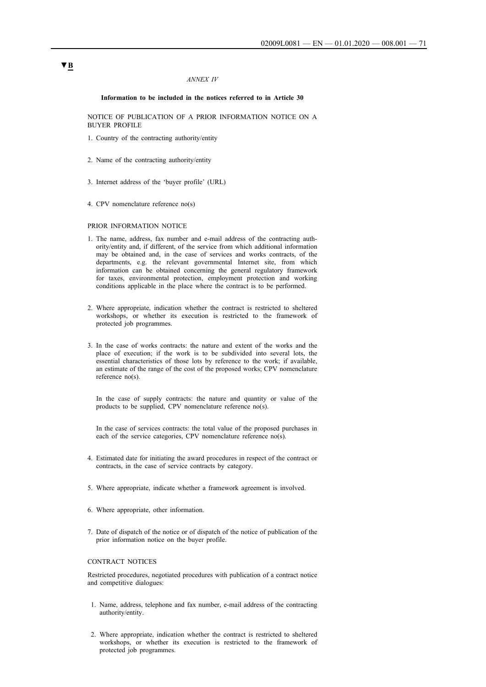### *ANNEX IV*

#### **Information to be included in the notices referred to in Article 30**

NOTICE OF PUBLICATION OF A PRIOR INFORMATION NOTICE ON A BUYER PROFILE

- 1. Country of the contracting authority/entity
- 2. Name of the contracting authority/entity
- 3. Internet address of the 'buyer profile' (URL)
- 4. CPV nomenclature reference no(s)

#### PRIOR INFORMATION NOTICE

- 1. The name, address, fax number and e-mail address of the contracting authority/entity and, if different, of the service from which additional information may be obtained and, in the case of services and works contracts, of the departments, e.g. the relevant governmental Internet site, from which information can be obtained concerning the general regulatory framework for taxes, environmental protection, employment protection and working conditions applicable in the place where the contract is to be performed.
- 2. Where appropriate, indication whether the contract is restricted to sheltered workshops, or whether its execution is restricted to the framework of protected job programmes.
- 3. In the case of works contracts: the nature and extent of the works and the place of execution; if the work is to be subdivided into several lots, the essential characteristics of those lots by reference to the work; if available, an estimate of the range of the cost of the proposed works; CPV nomenclature reference no(s).

In the case of supply contracts: the nature and quantity or value of the products to be supplied, CPV nomenclature reference no(s).

In the case of services contracts: the total value of the proposed purchases in each of the service categories, CPV nomenclature reference no(s).

- 4. Estimated date for initiating the award procedures in respect of the contract or contracts, in the case of service contracts by category.
- 5. Where appropriate, indicate whether a framework agreement is involved.
- 6. Where appropriate, other information.
- 7. Date of dispatch of the notice or of dispatch of the notice of publication of the prior information notice on the buyer profile.

### CONTRACT NOTICES

Restricted procedures, negotiated procedures with publication of a contract notice and competitive dialogues:

- 1. Name, address, telephone and fax number, e-mail address of the contracting authority/entity.
- 2. Where appropriate, indication whether the contract is restricted to sheltered workshops, or whether its execution is restricted to the framework of protected job programmes.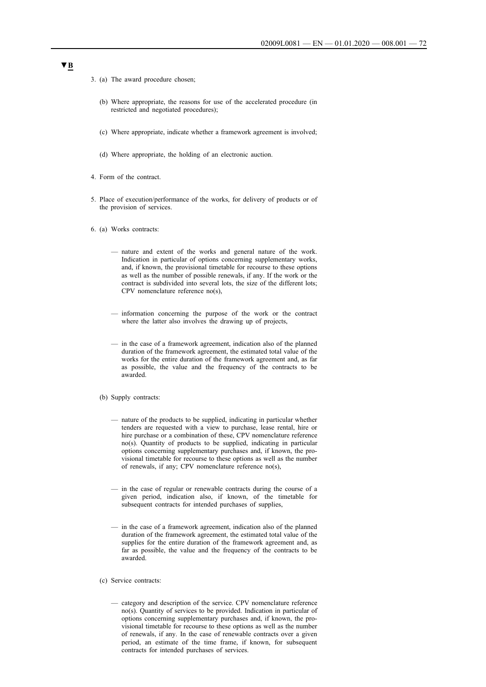- 3. (a) The award procedure chosen;
	- (b) Where appropriate, the reasons for use of the accelerated procedure (in restricted and negotiated procedures);
	- (c) Where appropriate, indicate whether a framework agreement is involved;
	- (d) Where appropriate, the holding of an electronic auction.
- 4. Form of the contract.
- 5. Place of execution/performance of the works, for delivery of products or of the provision of services.
- 6. (a) Works contracts:
	- nature and extent of the works and general nature of the work. Indication in particular of options concerning supplementary works, and, if known, the provisional timetable for recourse to these options as well as the number of possible renewals, if any. If the work or the contract is subdivided into several lots, the size of the different lots; CPV nomenclature reference no(s),
	- information concerning the purpose of the work or the contract where the latter also involves the drawing up of projects,
	- in the case of a framework agreement, indication also of the planned duration of the framework agreement, the estimated total value of the works for the entire duration of the framework agreement and, as far as possible, the value and the frequency of the contracts to be awarded.
	- (b) Supply contracts:
		- nature of the products to be supplied, indicating in particular whether tenders are requested with a view to purchase, lease rental, hire or hire purchase or a combination of these, CPV nomenclature reference no(s). Quantity of products to be supplied, indicating in particular options concerning supplementary purchases and, if known, the provisional timetable for recourse to these options as well as the number of renewals, if any; CPV nomenclature reference no(s),
		- in the case of regular or renewable contracts during the course of a given period, indication also, if known, of the timetable for subsequent contracts for intended purchases of supplies,
		- in the case of a framework agreement, indication also of the planned duration of the framework agreement, the estimated total value of the supplies for the entire duration of the framework agreement and, as far as possible, the value and the frequency of the contracts to be awarded.
	- (c) Service contracts:
		- category and description of the service. CPV nomenclature reference no(s). Quantity of services to be provided. Indication in particular of options concerning supplementary purchases and, if known, the provisional timetable for recourse to these options as well as the number of renewals, if any. In the case of renewable contracts over a given period, an estimate of the time frame, if known, for subsequent contracts for intended purchases of services.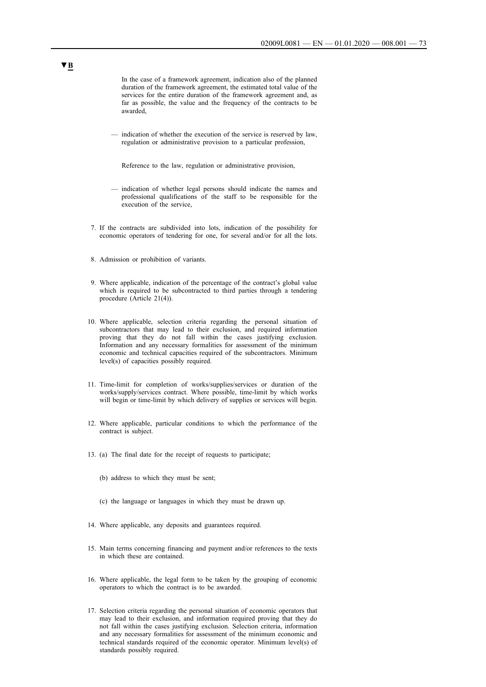In the case of a framework agreement, indication also of the planned duration of the framework agreement, the estimated total value of the services for the entire duration of the framework agreement and, as far as possible, the value and the frequency of the contracts to be awarded,

indication of whether the execution of the service is reserved by law, regulation or administrative provision to a particular profession,

Reference to the law, regulation or administrative provision,

- indication of whether legal persons should indicate the names and professional qualifications of the staff to be responsible for the execution of the service,
- 7. If the contracts are subdivided into lots, indication of the possibility for economic operators of tendering for one, for several and/or for all the lots.
- 8. Admission or prohibition of variants.
- 9. Where applicable, indication of the percentage of the contract's global value which is required to be subcontracted to third parties through a tendering procedure (Article 21(4)).
- 10. Where applicable, selection criteria regarding the personal situation of subcontractors that may lead to their exclusion, and required information proving that they do not fall within the cases justifying exclusion. Information and any necessary formalities for assessment of the minimum economic and technical capacities required of the subcontractors. Minimum level(s) of capacities possibly required.
- 11. Time-limit for completion of works/supplies/services or duration of the works/supply/services contract. Where possible, time-limit by which works will begin or time-limit by which delivery of supplies or services will begin.
- 12. Where applicable, particular conditions to which the performance of the contract is subject.
- 13. (a) The final date for the receipt of requests to participate;
	- (b) address to which they must be sent;
	- (c) the language or languages in which they must be drawn up.
- 14. Where applicable, any deposits and guarantees required.
- 15. Main terms concerning financing and payment and/or references to the texts in which these are contained.
- 16. Where applicable, the legal form to be taken by the grouping of economic operators to which the contract is to be awarded.
- 17. Selection criteria regarding the personal situation of economic operators that may lead to their exclusion, and information required proving that they do not fall within the cases justifying exclusion. Selection criteria, information and any necessary formalities for assessment of the minimum economic and technical standards required of the economic operator. Minimum level(s) of standards possibly required.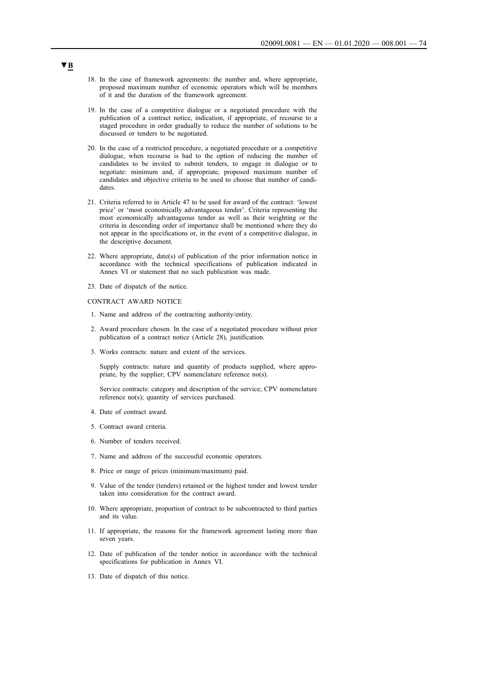- 18. In the case of framework agreements: the number and, where appropriate, proposed maximum number of economic operators which will be members of it and the duration of the framework agreement.
- 19. In the case of a competitive dialogue or a negotiated procedure with the publication of a contract notice, indication, if appropriate, of recourse to a staged procedure in order gradually to reduce the number of solutions to be discussed or tenders to be negotiated.
- 20. In the case of a restricted procedure, a negotiated procedure or a competitive dialogue, when recourse is had to the option of reducing the number of candidates to be invited to submit tenders, to engage in dialogue or to negotiate: minimum and, if appropriate, proposed maximum number of candidates and objective criteria to be used to choose that number of candidates.
- 21. Criteria referred to in Article 47 to be used for award of the contract: 'lowest price' or 'most economically advantageous tender'. Criteria representing the most economically advantageous tender as well as their weighting or the criteria in descending order of importance shall be mentioned where they do not appear in the specifications or, in the event of a competitive dialogue, in the descriptive document.
- 22. Where appropriate, date(s) of publication of the prior information notice in accordance with the technical specifications of publication indicated in Annex VI or statement that no such publication was made.
- 23. Date of dispatch of the notice.

CONTRACT AWARD NOTICE

- 1. Name and address of the contracting authority/entity.
- 2. Award procedure chosen. In the case of a negotiated procedure without prior publication of a contract notice (Article 28), justification.
- 3. Works contracts: nature and extent of the services.

Supply contracts: nature and quantity of products supplied, where appropriate, by the supplier; CPV nomenclature reference no(s).

Service contracts: category and description of the service; CPV nomenclature reference no(s); quantity of services purchased.

- 4. Date of contract award.
- 5. Contract award criteria.
- 6. Number of tenders received.
- 7. Name and address of the successful economic operators.
- 8. Price or range of prices (minimum/maximum) paid.
- 9. Value of the tender (tenders) retained or the highest tender and lowest tender taken into consideration for the contract award.
- 10. Where appropriate, proportion of contract to be subcontracted to third parties and its value.
- 11. If appropriate, the reasons for the framework agreement lasting more than seven years.
- 12. Date of publication of the tender notice in accordance with the technical specifications for publication in Annex VI.
- 13. Date of dispatch of this notice.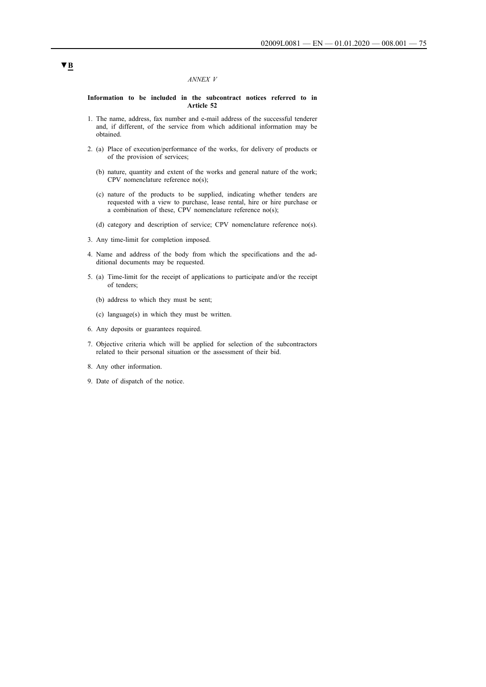#### *ANNEX V*

#### **Information to be included in the subcontract notices referred to in Article 52**

- 1. The name, address, fax number and e-mail address of the successful tenderer and, if different, of the service from which additional information may be obtained.
- 2. (a) Place of execution/performance of the works, for delivery of products or of the provision of services;
	- (b) nature, quantity and extent of the works and general nature of the work; CPV nomenclature reference no(s);
	- (c) nature of the products to be supplied, indicating whether tenders are requested with a view to purchase, lease rental, hire or hire purchase or a combination of these, CPV nomenclature reference no(s);
	- (d) category and description of service; CPV nomenclature reference no(s).
- 3. Any time-limit for completion imposed.
- 4. Name and address of the body from which the specifications and the additional documents may be requested.
- 5. (a) Time-limit for the receipt of applications to participate and/or the receipt of tenders;
	- (b) address to which they must be sent;
	- (c) language(s) in which they must be written.
- 6. Any deposits or guarantees required.
- 7. Objective criteria which will be applied for selection of the subcontractors related to their personal situation or the assessment of their bid.
- 8. Any other information.
- 9. Date of dispatch of the notice.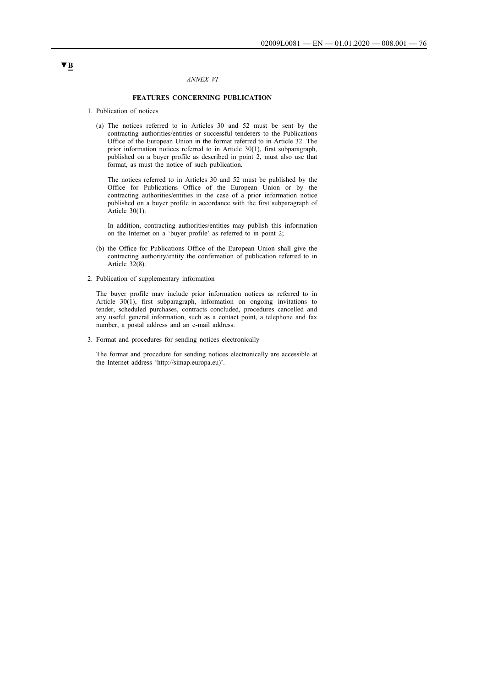### *ANNEX VI*

### **FEATURES CONCERNING PUBLICATION**

- 1. Publication of notices
	- (a) The notices referred to in Articles 30 and 52 must be sent by the contracting authorities/entities or successful tenderers to the Publications Office of the European Union in the format referred to in Article 32. The prior information notices referred to in Article 30(1), first subparagraph, published on a buyer profile as described in point 2, must also use that format, as must the notice of such publication.

The notices referred to in Articles 30 and 52 must be published by the Office for Publications Office of the European Union or by the contracting authorities/entities in the case of a prior information notice published on a buyer profile in accordance with the first subparagraph of Article  $30(1)$ .

In addition, contracting authorities/entities may publish this information on the Internet on a 'buyer profile' as referred to in point 2;

- (b) the Office for Publications Office of the European Union shall give the contracting authority/entity the confirmation of publication referred to in Article  $32(8)$ .
- 2. Publication of supplementary information

The buyer profile may include prior information notices as referred to in Article 30(1), first subparagraph, information on ongoing invitations to tender, scheduled purchases, contracts concluded, procedures cancelled and any useful general information, such as a contact point, a telephone and fax number, a postal address and an e-mail address.

3. Format and procedures for sending notices electronically

The format and procedure for sending notices electronically are accessible at the Internet address 'http://simap.europa.eu)'.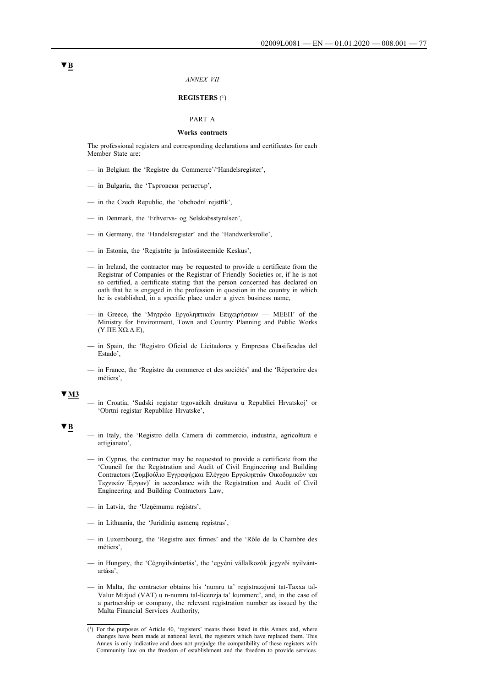#### *ANNEX VII*

#### **REGISTERS** (1)

### PART A

### **Works contracts**

The professional registers and corresponding declarations and certificates for each Member State are:

- in Belgium the 'Registre du Commerce'/'Handelsregister',
- in Bulgaria, the 'Търговски регистър',
- in the Czech Republic, the 'obchodní rejstřík',
- in Denmark, the 'Erhvervs- og Selskabsstyrelsen',
- in Germany, the 'Handelsregister' and the 'Handwerksrolle',
- in Estonia, the 'Registrite ja Infosüsteemide Keskus',
- in Ireland, the contractor may be requested to provide a certificate from the Registrar of Companies or the Registrar of Friendly Societies or, if he is not so certified, a certificate stating that the person concerned has declared on oath that he is engaged in the profession in question in the country in which he is established, in a specific place under a given business name,
- $-$  in Greece, the 'Μητρώο Εργοληπτικών Επιχειρήσεων ΜΕΕΠ' of the Ministry for Environment, Town and Country Planning and Public Works (Υ.ΠΕ.ΧΩ.Δ.Ε),
- in Spain, the 'Registro Oficial de Licitadores y Empresas Clasificadas del Estado',
- in France, the 'Registre du commerce et des sociétés' and the 'Répertoire des métiers',

## **▼M3**

— in Croatia, 'Sudski registar trgovačkih društava u Republici Hrvatskoj' or 'Obrtni registar Republike Hrvatske',

### **▼B**

- in Italy, the 'Registro della Camera di commercio, industria, agricoltura e artigianato',
- in Cyprus, the contractor may be requested to provide a certificate from the 'Council for the Registration and Audit of Civil Engineering and Building Contractors (Συμβούλιο Εγγραφήςκαι Ελέγχου Εργοληπτών Οικοδομικών και Τεχνικών Έργων)' in accordance with the Registration and Audit of Civil Engineering and Building Contractors Law,
- in Latvia, the 'Uzņēmumu reģistrs',
- in Lithuania, the 'Juridinių asmenų registras',
- in Luxembourg, the 'Registre aux firmes' and the 'Rôle de la Chambre des métiers',
- in Hungary, the 'Cégnyilvántartás', the 'egyéni vállalkozók jegyzői nyilvántartása',
- in Malta, the contractor obtains his 'numru ta' registrazzjoni tat-Taxxa tal-Valur Miżjud (VAT) u n-numru tal-licenzja ta' kummerc', and, in the case of a partnership or company, the relevant registration number as issued by the Malta Financial Services Authority,

<sup>(1)</sup> For the purposes of Article 40, 'registers' means those listed in this Annex and, where changes have been made at national level, the registers which have replaced them. This Annex is only indicative and does not prejudge the compatibility of these registers with Community law on the freedom of establishment and the freedom to provide services.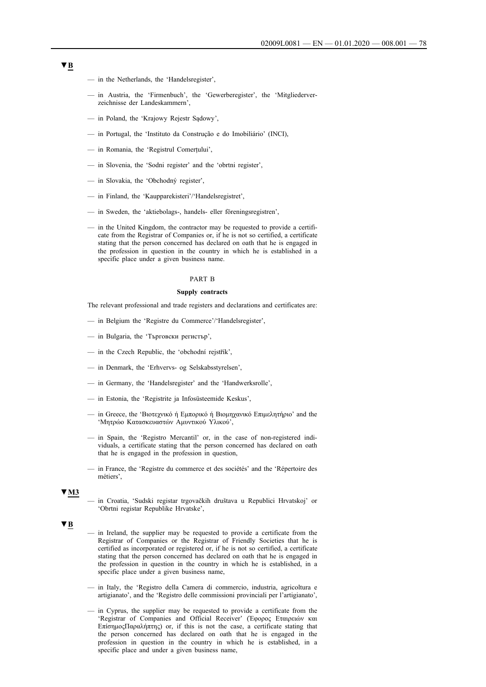- in the Netherlands, the 'Handelsregister',
- in Austria, the 'Firmenbuch', the 'Gewerberegister', the 'Mitgliederverzeichnisse der Landeskammern',
- in Poland, the 'Krajowy Rejestr Sądowy',
- in Portugal, the 'Instituto da Construção e do Imobiliário' (INCI),
- in Romania, the 'Registrul Comerțului',
- in Slovenia, the 'Sodni register' and the 'obrtni register',
- in Slovakia, the 'Obchodný register',
- in Finland, the 'Kaupparekisteri'/'Handelsregistret',
- in Sweden, the 'aktiebolags-, handels- eller föreningsregistren',
- in the United Kingdom, the contractor may be requested to provide a certificate from the Registrar of Companies or, if he is not so certified, a certificate stating that the person concerned has declared on oath that he is engaged in the profession in question in the country in which he is established in a specific place under a given business name.

#### PART B

#### **Supply contracts**

The relevant professional and trade registers and declarations and certificates are:

- in Belgium the 'Registre du Commerce'/'Handelsregister',
- in Bulgaria, the 'Търговски регистър',
- in the Czech Republic, the 'obchodní rejstřík',
- in Denmark, the 'Erhvervs- og Selskabsstyrelsen',
- in Germany, the 'Handelsregister' and the 'Handwerksrolle',
- in Estonia, the 'Registrite ja Infosüsteemide Keskus',
- $-$  in Greece, the 'Βιοτεχνικό ή Εμπορικό ή Βιομηχανικό Επιμελητήριο' and the 'Μητρώο Κατασκευαστών Αμυντικού Υλικού',
- in Spain, the 'Registro Mercantil' or, in the case of non-registered individuals, a certificate stating that the person concerned has declared on oath that he is engaged in the profession in question,
- in France, the 'Registre du commerce et des sociétés' and the 'Répertoire des métiers',

### **▼M3**

— in Croatia, 'Sudski registar trgovačkih društava u Republici Hrvatskoj' or 'Obrtni registar Republike Hrvatske',

### **▼B**

- in Ireland, the supplier may be requested to provide a certificate from the Registrar of Companies or the Registrar of Friendly Societies that he is certified as incorporated or registered or, if he is not so certified, a certificate stating that the person concerned has declared on oath that he is engaged in the profession in question in the country in which he is established, in a specific place under a given business name,
- in Italy, the 'Registro della Camera di commercio, industria, agricoltura e artigianato', and the 'Registro delle commissioni provinciali per l'artigianato',
- in Cyprus, the supplier may be requested to provide a certificate from the 'Registrar of Companies and Official Receiver' (Έφορος Εταιρειών και ΕπίσημοςΠαραλήπτης) or, if this is not the case, a certificate stating that the person concerned has declared on oath that he is engaged in the profession in question in the country in which he is established, in a specific place and under a given business name,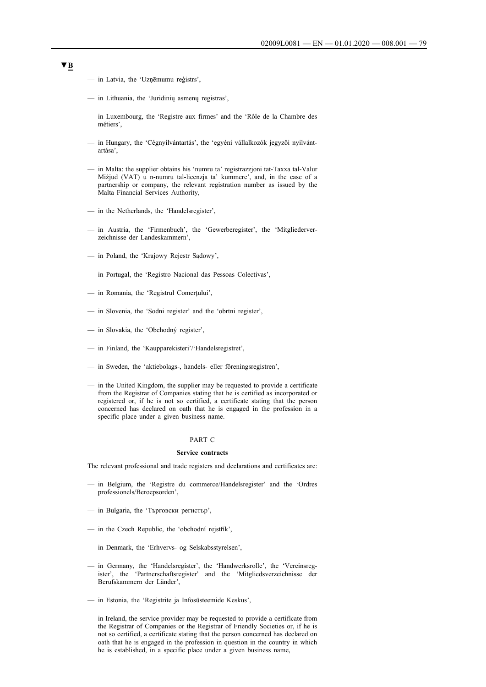- in Latvia, the 'Uzņēmumu reģistrs',
- in Lithuania, the 'Juridinių asmenų registras',
- in Luxembourg, the 'Registre aux firmes' and the 'Rôle de la Chambre des métiers',
- in Hungary, the 'Cégnyilvántartás', the 'egyéni vállalkozók jegyzői nyilvántartása',
- in Malta: the supplier obtains his 'numru ta' registrazzjoni tat-Taxxa tal-Valur Miżjud (VAT) u n-numru tal-licenzja ta' kummerc', and, in the case of a partnership or company, the relevant registration number as issued by the Malta Financial Services Authority,
- in the Netherlands, the 'Handelsregister',
- in Austria, the 'Firmenbuch', the 'Gewerberegister', the 'Mitgliederverzeichnisse der Landeskammern',
- in Poland, the 'Krajowy Rejestr Sądowy',
- in Portugal, the 'Registro Nacional das Pessoas Colectivas',
- in Romania, the 'Registrul Comerțului',
- in Slovenia, the 'Sodni register' and the 'obrtni register',
- in Slovakia, the 'Obchodný register',
- in Finland, the 'Kaupparekisteri'/'Handelsregistret',
- in Sweden, the 'aktiebolags-, handels- eller föreningsregistren',
- in the United Kingdom, the supplier may be requested to provide a certificate from the Registrar of Companies stating that he is certified as incorporated or registered or, if he is not so certified, a certificate stating that the person concerned has declared on oath that he is engaged in the profession in a specific place under a given business name.

#### PART C

#### **Service contracts**

The relevant professional and trade registers and declarations and certificates are:

- in Belgium, the 'Registre du commerce/Handelsregister' and the 'Ordres professionels/Beroepsorden',
- in Bulgaria, the 'Търговски регистър',
- in the Czech Republic, the 'obchodní rejstřík',
- in Denmark, the 'Erhvervs- og Selskabsstyrelsen',
- in Germany, the 'Handelsregister', the 'Handwerksrolle', the 'Vereinsregister', the 'Partnerschaftsregister' and the 'Mitgliedsverzeichnisse der Berufskammern der Länder',
- in Estonia, the 'Registrite ja Infosüsteemide Keskus',
- in Ireland, the service provider may be requested to provide a certificate from the Registrar of Companies or the Registrar of Friendly Societies or, if he is not so certified, a certificate stating that the person concerned has declared on oath that he is engaged in the profession in question in the country in which he is established, in a specific place under a given business name,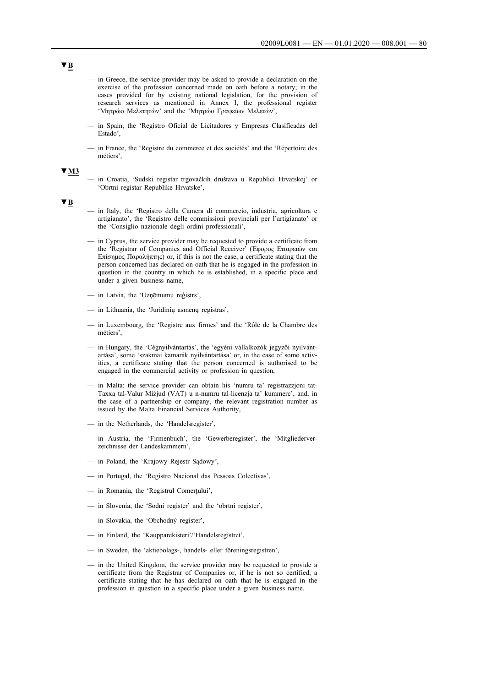- in Greece, the service provider may be asked to provide a declaration on the exercise of the profession concerned made on oath before a notary; in the cases provided for by existing national legislation, for the provision of research services as mentioned in Annex I, the professional register 'Μητρώο Μελετητών' and the 'Μητρώο Γραφείων Μελετών',
- in Spain, the 'Registro Oficial de Licitadores y Empresas Clasificadas del Estado',
- in France, the 'Registre du commerce et des sociétés' and the 'Répertoire des métiers',

#### **▼M3**

— in Croatia, 'Sudski registar trgovačkih društava u Republici Hrvatskoj' or 'Obrtni registar Republike Hrvatske',

## **▼B**

- in Italy, the 'Registro della Camera di commercio, industria, agricoltura e artigianato', the 'Registro delle commissioni provinciali per l'artigianato' or the 'Consiglio nazionale degli ordini professionali',
- in Cyprus, the service provider may be requested to provide a certificate from the 'Registrar of Companies and Official Receiver' (Έφορος Εταιρειών και Επίσημος Παραλήπτης) or, if this is not the case, a certificate stating that the person concerned has declared on oath that he is engaged in the profession in question in the country in which he is established, in a specific place and under a given business name,
- in Latvia, the 'Uzņēmumu reģistrs',
- in Lithuania, the 'Juridinių asmenų registras',
- in Luxembourg, the 'Registre aux firmes' and the 'Rôle de la Chambre des métiers',
- in Hungary, the 'Cégnyilvántartás', the 'egyéni vállalkozók jegyzői nyilvántartása', some 'szakmai kamarák nyilvántartása' or, in the case of some activities, a certificate stating that the person concerned is authorised to be engaged in the commercial activity or profession in question,
- in Malta: the service provider can obtain his 'numru ta' registrazzjoni tat-Taxxa tal-Valur Miżjud (VAT) u n-numru tal-licenzja ta' kummerc', and, in the case of a partnership or company, the relevant registration number as issued by the Malta Financial Services Authority,
- in the Netherlands, the 'Handelsregister',
- in Austria, the 'Firmenbuch', the 'Gewerberegister', the 'Mitgliederverzeichnisse der Landeskammern',
- in Poland, the 'Krajowy Rejestr Sądowy',
- in Portugal, the 'Registro Nacional das Pessoas Colectivas',
- in Romania, the 'Registrul Comerțului',
- in Slovenia, the 'Sodni register' and the 'obrtni register',
- in Slovakia, the 'Obchodný register',
- in Finland, the 'Kaupparekisteri'/'Handelsregistret',
- in Sweden, the 'aktiebolags-, handels- eller föreningsregistren',
- in the United Kingdom, the service provider may be requested to provide a certificate from the Registrar of Companies or, if he is not so certified, a certificate stating that he has declared on oath that he is engaged in the profession in question in a specific place under a given business name.